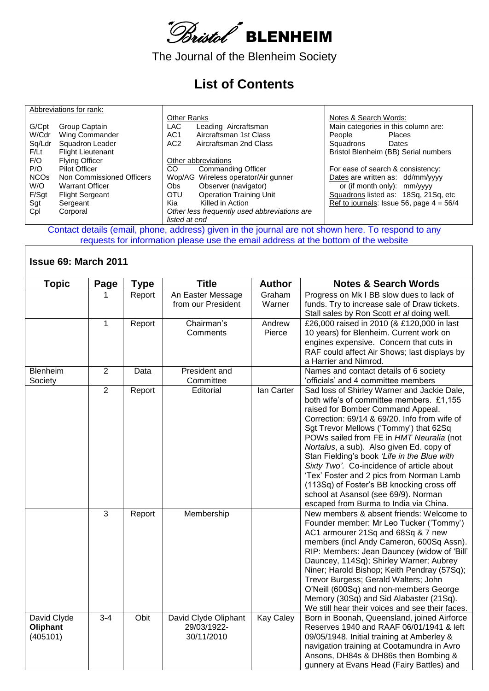

The Journal of the Blenheim Society

## **List of Contents**

|                        | Abbreviations for rank:   |                    |                                              |                       |                                            |
|------------------------|---------------------------|--------------------|----------------------------------------------|-----------------------|--------------------------------------------|
|                        |                           | <b>Other Ranks</b> |                                              | Notes & Search Words: |                                            |
| G/Cpt                  | Group Captain             | <b>LAC</b>         | Leading Aircraftsman                         |                       | Main categories in this column are:        |
| W/Cdr                  | Wing Commander            | AC <sub>1</sub>    | Aircraftsman 1st Class                       | People                | <b>Places</b>                              |
| Sq/Ldr                 | Squadron Leader           | AC <sub>2</sub>    | Aircraftsman 2nd Class                       | Squadrons             | Dates                                      |
| F/Lt                   | <b>Flight Lieutenant</b>  |                    |                                              |                       | Bristol Blenheim (BB) Serial numbers       |
| F/O                    | <b>Flying Officer</b>     |                    | Other abbreviations                          |                       |                                            |
| P/O                    | <b>Pilot Officer</b>      | CO                 | <b>Commanding Officer</b>                    |                       | For ease of search & consistency:          |
| <b>NCO<sub>s</sub></b> | Non Commissioned Officers |                    | Wop/AG Wireless operator/Air gunner          |                       | Dates are written as: dd/mm/yyyy           |
| W/O                    | <b>Warrant Officer</b>    | Obs                | Observer (navigator)                         |                       | or (if month only): mm/yyyy                |
| F/Sgt                  | <b>Flight Sergeant</b>    | <b>OTU</b>         | <b>Operation Training Unit</b>               |                       | Squadrons listed as: 18Sq, 21Sq, etc       |
| Sgt                    | Sergeant                  | Kia                | Killed in Action                             |                       | Ref to journals: Issue 56, page $4 = 56/4$ |
| Cpl                    | Corporal                  |                    | Other less frequently used abbreviations are |                       |                                            |
|                        |                           | listed at end      |                                              |                       |                                            |

Contact details (email, phone, address) given in the journal are not shown here. To respond to any requests for information please use the email address at the bottom of the website

## **Issue 69: March 2011**

| <b>Topic</b>                        | Page           | <b>Type</b> | <b>Title</b>                                      | <b>Author</b>    | <b>Notes &amp; Search Words</b>                                                                                                                                                                                                                                                                                                                                                                                                                                                                                                                                                       |
|-------------------------------------|----------------|-------------|---------------------------------------------------|------------------|---------------------------------------------------------------------------------------------------------------------------------------------------------------------------------------------------------------------------------------------------------------------------------------------------------------------------------------------------------------------------------------------------------------------------------------------------------------------------------------------------------------------------------------------------------------------------------------|
|                                     |                | Report      | An Easter Message<br>from our President           | Graham<br>Warner | Progress on Mk I BB slow dues to lack of<br>funds. Try to increase sale of Draw tickets.<br>Stall sales by Ron Scott et al doing well.                                                                                                                                                                                                                                                                                                                                                                                                                                                |
|                                     | 1              | Report      | Chairman's<br>Comments                            | Andrew<br>Pierce | £26,000 raised in 2010 (& £120,000 in last<br>10 years) for Blenheim. Current work on<br>engines expensive. Concern that cuts in<br>RAF could affect Air Shows; last displays by<br>a Harrier and Nimrod.                                                                                                                                                                                                                                                                                                                                                                             |
| Blenheim<br>Society                 | $\overline{2}$ | Data        | President and<br>Committee                        |                  | Names and contact details of 6 society<br>'officials' and 4 committee members                                                                                                                                                                                                                                                                                                                                                                                                                                                                                                         |
|                                     | $\overline{2}$ | Report      | Editorial                                         | lan Carter       | Sad loss of Shirley Warner and Jackie Dale,<br>both wife's of committee members. £1,155<br>raised for Bomber Command Appeal.<br>Correction: 69/14 & 69/20. Info from wife of<br>Sgt Trevor Mellows ('Tommy') that 62Sq<br>POWs sailed from FE in HMT Neuralia (not<br>Nortalus, a sub). Also given Ed. copy of<br>Stan Fielding's book 'Life in the Blue with<br>Sixty Two'. Co-incidence of article about<br>'Tex' Foster and 2 pics from Norman Lamb<br>(113Sq) of Foster's BB knocking cross off<br>school at Asansol (see 69/9). Norman<br>escaped from Burma to India via China. |
|                                     | 3              | Report      | Membership                                        |                  | New members & absent friends: Welcome to<br>Founder member: Mr Leo Tucker ('Tommy')<br>AC1 armourer 21Sq and 68Sq & 7 new<br>members (incl Andy Cameron, 600Sq Assn).<br>RIP: Members: Jean Dauncey (widow of 'Bill'<br>Dauncey, 114Sq); Shirley Warner; Aubrey<br>Niner; Harold Bishop; Keith Pendray (57Sq);<br>Trevor Burgess; Gerald Walters; John<br>O'Neill (600Sq) and non-members George<br>Memory (30Sq) and Sid Alabaster (21Sq).<br>We still hear their voices and see their faces.                                                                                        |
| David Clyde<br>Oliphant<br>(405101) | $3 - 4$        | Obit        | David Clyde Oliphant<br>29/03/1922-<br>30/11/2010 | <b>Kay Caley</b> | Born in Boonah, Queensland, joined Airforce<br>Reserves 1940 and RAAF 06/01/1941 & left<br>09/05/1948. Initial training at Amberley &<br>navigation training at Cootamundra in Avro<br>Ansons, DH84s & DH86s then Bombing &<br>gunnery at Evans Head (Fairy Battles) and                                                                                                                                                                                                                                                                                                              |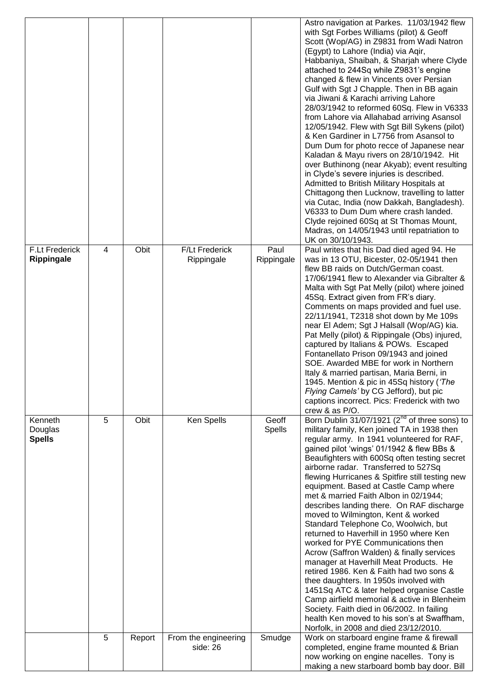|                                     |   |        |                                     |                        | Astro navigation at Parkes. 11/03/1942 flew<br>with Sgt Forbes Williams (pilot) & Geoff<br>Scott (Wop/AG) in Z9831 from Wadi Natron<br>(Egypt) to Lahore (India) via Aqir,<br>Habbaniya, Shaibah, & Sharjah where Clyde<br>attached to 244Sq while Z9831's engine<br>changed & flew in Vincents over Persian<br>Gulf with Sgt J Chapple. Then in BB again<br>via Jiwani & Karachi arriving Lahore<br>28/03/1942 to reformed 60Sq. Flew in V6333<br>from Lahore via Allahabad arriving Asansol<br>12/05/1942. Flew with Sgt Bill Sykens (pilot)<br>& Ken Gardiner in L7756 from Asansol to<br>Dum Dum for photo recce of Japanese near<br>Kaladan & Mayu rivers on 28/10/1942. Hit<br>over Buthinong (near Akyab); event resulting<br>in Clyde's severe injuries is described.<br>Admitted to British Military Hospitals at<br>Chittagong then Lucknow, travelling to latter<br>via Cutac, India (now Dakkah, Bangladesh).<br>V6333 to Dum Dum where crash landed.<br>Clyde rejoined 60Sq at St Thomas Mount,<br>Madras, on 14/05/1943 until repatriation to<br>UK on 30/10/1943. |
|-------------------------------------|---|--------|-------------------------------------|------------------------|----------------------------------------------------------------------------------------------------------------------------------------------------------------------------------------------------------------------------------------------------------------------------------------------------------------------------------------------------------------------------------------------------------------------------------------------------------------------------------------------------------------------------------------------------------------------------------------------------------------------------------------------------------------------------------------------------------------------------------------------------------------------------------------------------------------------------------------------------------------------------------------------------------------------------------------------------------------------------------------------------------------------------------------------------------------------------------|
| <b>F.Lt Frederick</b><br>Rippingale | 4 | Obit   | <b>F/Lt Frederick</b><br>Rippingale | Paul<br>Rippingale     | Paul writes that his Dad died aged 94. He<br>was in 13 OTU, Bicester, 02-05/1941 then<br>flew BB raids on Dutch/German coast.<br>17/06/1941 flew to Alexander via Gibralter &<br>Malta with Sgt Pat Melly (pilot) where joined<br>45Sq. Extract given from FR's diary.<br>Comments on maps provided and fuel use.<br>22/11/1941, T2318 shot down by Me 109s<br>near El Adem; Sgt J Halsall (Wop/AG) kia.<br>Pat Melly (pilot) & Rippingale (Obs) injured,<br>captured by Italians & POWs. Escaped<br>Fontanellato Prison 09/1943 and joined<br>SOE. Awarded MBE for work in Northern<br>Italy & married partisan, Maria Berni, in<br>1945. Mention & pic in 45Sq history ('The<br>Flying Camels' by CG Jefford), but pic<br>captions incorrect. Pics: Frederick with two<br>crew & as P/O.                                                                                                                                                                                                                                                                                       |
| Kenneth<br>Douglas<br><b>Spells</b> | 5 | Obit   | Ken Spells                          | Geoff<br><b>Spells</b> | Born Dublin 31/07/1921 (2 <sup>nd</sup> of three sons) to<br>military family, Ken joined TA in 1938 then<br>regular army. In 1941 volunteered for RAF,<br>gained pilot 'wings' 01/1942 & flew BBs &<br>Beaufighters with 600Sq often testing secret<br>airborne radar. Transferred to 527Sq<br>flewing Hurricanes & Spitfire still testing new<br>equipment. Based at Castle Camp where<br>met & married Faith Albon in 02/1944;<br>describes landing there. On RAF discharge<br>moved to Wilmington, Kent & worked<br>Standard Telephone Co, Woolwich, but<br>returned to Haverhill in 1950 where Ken<br>worked for PYE Communications then<br>Acrow (Saffron Walden) & finally services<br>manager at Haverhill Meat Products. He<br>retired 1986. Ken & Faith had two sons &<br>thee daughters. In 1950s involved with<br>1451Sq ATC & later helped organise Castle<br>Camp airfield memorial & active in Blenheim<br>Society. Faith died in 06/2002. In failing<br>health Ken moved to his son's at Swaffham,<br>Norfolk, in 2008 and died 23/12/2010.                       |
|                                     | 5 | Report | From the engineering<br>side: 26    | Smudge                 | Work on starboard engine frame & firewall<br>completed, engine frame mounted & Brian<br>now working on engine nacelles. Tony is<br>making a new starboard bomb bay door. Bill                                                                                                                                                                                                                                                                                                                                                                                                                                                                                                                                                                                                                                                                                                                                                                                                                                                                                                    |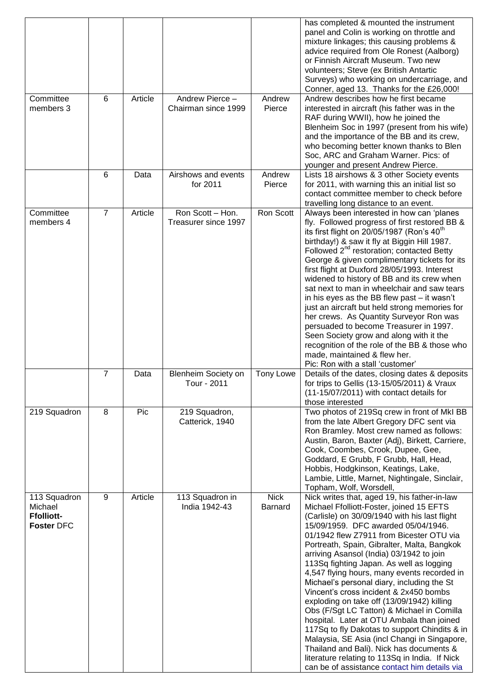| Committee                                                         | 6                | Article | Andrew Pierce -                           | Andrew                        | has completed & mounted the instrument<br>panel and Colin is working on throttle and<br>mixture linkages; this causing problems &<br>advice required from Ole Ronest (Aalborg)<br>or Finnish Aircraft Museum. Two new<br>volunteers; Steve (ex British Antartic<br>Surveys) who working on undercarriage, and<br>Conner, aged 13. Thanks for the £26,000!<br>Andrew describes how he first became                                                                                                                                                                                                                                                                                                                                                                                                                                                                                                  |
|-------------------------------------------------------------------|------------------|---------|-------------------------------------------|-------------------------------|----------------------------------------------------------------------------------------------------------------------------------------------------------------------------------------------------------------------------------------------------------------------------------------------------------------------------------------------------------------------------------------------------------------------------------------------------------------------------------------------------------------------------------------------------------------------------------------------------------------------------------------------------------------------------------------------------------------------------------------------------------------------------------------------------------------------------------------------------------------------------------------------------|
| members 3                                                         |                  |         | Chairman since 1999                       | Pierce                        | interested in aircraft (his father was in the<br>RAF during WWII), how he joined the<br>Blenheim Soc in 1997 (present from his wife)<br>and the importance of the BB and its crew,<br>who becoming better known thanks to Blen<br>Soc, ARC and Graham Warner. Pics: of<br>younger and present Andrew Pierce.                                                                                                                                                                                                                                                                                                                                                                                                                                                                                                                                                                                       |
|                                                                   | 6                | Data    | Airshows and events<br>for 2011           | Andrew<br>Pierce              | Lists 18 airshows & 3 other Society events<br>for 2011, with warning this an initial list so<br>contact committee member to check before<br>travelling long distance to an event.                                                                                                                                                                                                                                                                                                                                                                                                                                                                                                                                                                                                                                                                                                                  |
| Committee<br>members 4                                            | $\overline{7}$   | Article | Ron Scott - Hon.<br>Treasurer since 1997  | Ron Scott                     | Always been interested in how can 'planes<br>fly. Followed progress of first restored BB &<br>its first flight on 20/05/1987 (Ron's 40 <sup>th</sup><br>birthday!) & saw it fly at Biggin Hill 1987.<br>Followed 2 <sup>nd</sup> restoration; contacted Betty<br>George & given complimentary tickets for its<br>first flight at Duxford 28/05/1993. Interest<br>widened to history of BB and its crew when<br>sat next to man in wheelchair and saw tears<br>in his eyes as the BB flew past – it wasn't<br>just an aircraft but held strong memories for<br>her crews. As Quantity Surveyor Ron was<br>persuaded to become Treasurer in 1997.<br>Seen Society grow and along with it the<br>recognition of the role of the BB & those who<br>made, maintained & flew her.<br>Pic: Ron with a stall 'customer'                                                                                    |
|                                                                   | $\overline{7}$   | Data    | <b>Blenheim Society on</b><br>Tour - 2011 | <b>Tony Lowe</b>              | Details of the dates, closing dates & deposits<br>for trips to Gellis (13-15/05/2011) & Vraux<br>(11-15/07/2011) with contact details for<br>those interested                                                                                                                                                                                                                                                                                                                                                                                                                                                                                                                                                                                                                                                                                                                                      |
| 219 Squadron                                                      | 8                | Pic     | 219 Squadron,<br>Catterick, 1940          |                               | Two photos of 219Sq crew in front of MkI BB<br>from the late Albert Gregory DFC sent via<br>Ron Bramley. Most crew named as follows:<br>Austin, Baron, Baxter (Adj), Birkett, Carriere,<br>Cook, Coombes, Crook, Dupee, Gee,<br>Goddard, E Grubb, F Grubb, Hall, Head,<br>Hobbis, Hodgkinson, Keatings, Lake,<br>Lambie, Little, Marnet, Nightingale, Sinclair,<br>Topham, Wolf, Worsdell,                                                                                                                                                                                                                                                                                                                                                                                                                                                                                                         |
| 113 Squadron<br>Michael<br><b>Ffolliott-</b><br><b>Foster DFC</b> | $\boldsymbol{9}$ | Article | 113 Squadron in<br>India 1942-43          | <b>Nick</b><br><b>Barnard</b> | Nick writes that, aged 19, his father-in-law<br>Michael Ffolliott-Foster, joined 15 EFTS<br>(Carlisle) on 30/09/1940 with his last flight<br>15/09/1959. DFC awarded 05/04/1946.<br>01/1942 flew Z7911 from Bicester OTU via<br>Portreath, Spain, Gibralter, Malta, Bangkok<br>arriving Asansol (India) 03/1942 to join<br>113Sq fighting Japan. As well as logging<br>4,547 flying hours, many events recorded in<br>Michael's personal diary, including the St<br>Vincent's cross incident & 2x450 bombs<br>exploding on take off (13/09/1942) killing<br>Obs (F/Sgt LC Tatton) & Michael in Comilla<br>hospital. Later at OTU Ambala than joined<br>117Sq to fly Dakotas to support Chindits & in<br>Malaysia, SE Asia (incl Changi in Singapore,<br>Thailand and Bali). Nick has documents &<br>literature relating to 113Sq in India. If Nick<br>can be of assistance contact him details via |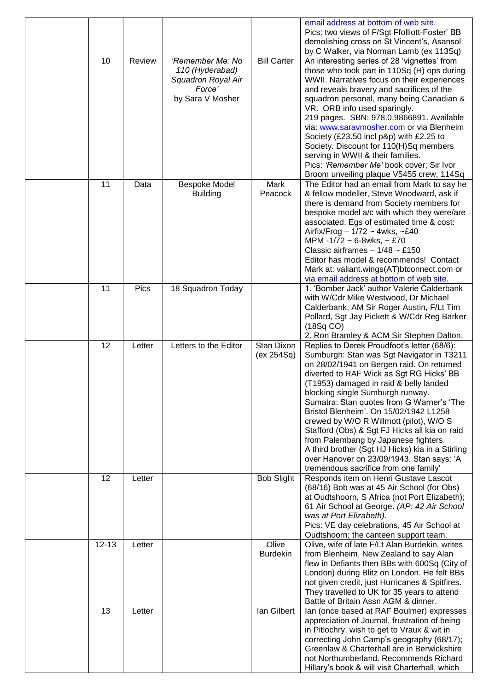|           |        |                                                                                         |                          | email address at bottom of web site.<br>Pics: two views of F/Sgt Ffolliott-Foster' BB<br>demolishing cross on St Vincent's, Asansol<br>by C Walker, via Norman Lamb (ex 113Sq)                                                                                                                                                                                                                                                                                                                                                                                                                                                       |
|-----------|--------|-----------------------------------------------------------------------------------------|--------------------------|--------------------------------------------------------------------------------------------------------------------------------------------------------------------------------------------------------------------------------------------------------------------------------------------------------------------------------------------------------------------------------------------------------------------------------------------------------------------------------------------------------------------------------------------------------------------------------------------------------------------------------------|
| 10        | Review | 'Remember Me: No<br>110 (Hyderabad)<br>Squadron Royal Air<br>Force'<br>by Sara V Mosher | <b>Bill Carter</b>       | An interesting series of 28 'vignettes' from<br>those who took part in 110Sq (H) ops during<br>WWII. Narratives focus on their experiences<br>and reveals bravery and sacrifices of the<br>squadron personal, many being Canadian &<br>VR. ORB info used sparingly.<br>219 pages. SBN: 978.0.9866891. Available<br>via: www.saravmosher.com or via Blenheim<br>Society (£23.50 incl p&p) with £2.25 to<br>Society. Discount for 110(H)Sq members<br>serving in WWII & their families.<br>Pics: 'Remember Me' book cover; Sir Ivor<br>Broom unveiling plaque V5455 crew, 114Sq                                                        |
| 11        | Data   | <b>Bespoke Model</b><br><b>Building</b>                                                 | Mark<br>Peacock          | The Editor had an email from Mark to say he<br>& fellow modeller, Steve Woodward, ask if<br>there is demand from Society members for<br>bespoke model a/c with which they were/are<br>associated. Egs of estimated time & cost:<br>Airfix/Frog $-1/72 \sim 4$ wks, ~£40<br>MPM -1/72 ~ 6-8wks, ~ £70<br>Classic airframes $-1/48 \sim \text{\textsterling}150$<br>Editor has model & recommends! Contact<br>Mark at: valiant.wings(AT)btconnect.com or<br>via email address at bottom of web site.                                                                                                                                   |
| 11        | Pics   | 18 Squadron Today                                                                       |                          | 1. 'Bomber Jack' author Valerie Calderbank<br>with W/Cdr Mike Westwood, Dr Michael<br>Calderbank, AM Sir Roger Austin, F/Lt Tim<br>Pollard, Sgt Jay Pickett & W/Cdr Reg Barker<br>(18Sq CO)<br>2. Ron Bramley & ACM Sir Stephen Dalton.                                                                                                                                                                                                                                                                                                                                                                                              |
| 12        | Letter | Letters to the Editor                                                                   | Stan Dixon<br>(ex 254Sq) | Replies to Derek Proudfoot's letter (68/6):<br>Sumburgh: Stan was Sgt Navigator in T3211<br>on 28/02/1941 on Bergen raid. On returned<br>diverted to RAF Wick as Sgt RG Hicks' BB<br>(T1953) damaged in raid & belly landed<br>blocking single Sumburgh runway.<br>Sumatra: Stan quotes from G Warner's 'The<br>Bristol Blenheim'. On 15/02/1942 L1258<br>crewed by W/O R Willmott (pilot), W/O S<br>Stafford (Obs) & Sgt FJ Hicks all kia on raid<br>from Palembang by Japanese fighters.<br>A third brother (Sgt HJ Hicks) kia in a Stirling<br>over Hanover on 23/09/1943. Stan says: 'A<br>tremendous sacrifice from one family' |
| 12        | Letter |                                                                                         | <b>Bob Slight</b>        | Responds item on Henri Gustave Lascot<br>(68/16) Bob was at 45 Air School (for Obs)<br>at Oudtshoorn, S Africa (not Port Elizabeth);<br>61 Air School at George. (AP: 42 Air School<br>was at Port Elizabeth).<br>Pics: VE day celebrations, 45 Air School at<br>Oudtshoorn; the canteen support team.                                                                                                                                                                                                                                                                                                                               |
| $12 - 13$ | Letter |                                                                                         | Olive<br><b>Burdekin</b> | Olive, wife of late F/Lt Alan Burdekin, writes<br>from Blenheim, New Zealand to say Alan<br>flew in Defiants then BBs with 600Sq (City of<br>London) during Blitz on London. He felt BBs<br>not given credit, just Hurricanes & Spitfires.<br>They travelled to UK for 35 years to attend<br>Battle of Britain Assn AGM & dinner.                                                                                                                                                                                                                                                                                                    |
| 13        | Letter |                                                                                         | lan Gilbert              | Ian (once based at RAF Boulmer) expresses<br>appreciation of Journal, frustration of being<br>in Pitlochry, wish to get to Vraux & wit in<br>correcting John Camp's geography (68/17);<br>Greenlaw & Charterhall are in Berwickshire<br>not Northumberland. Recommends Richard<br>Hillary's book & will visit Charterhall, which                                                                                                                                                                                                                                                                                                     |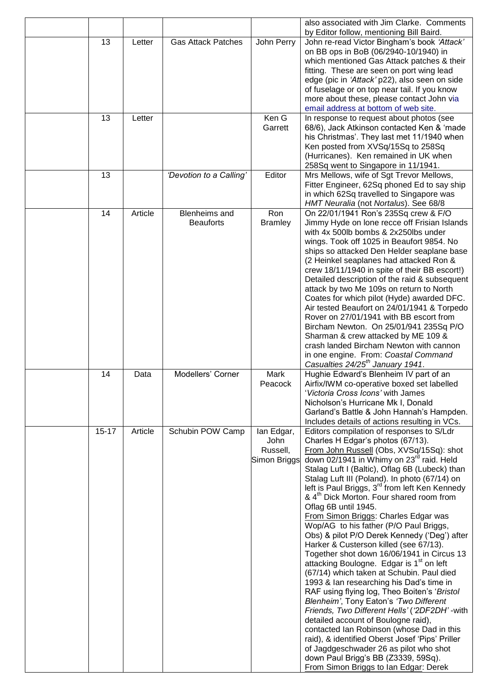|           |         |                           |                  | also associated with Jim Clarke. Comments<br>by Editor follow, mentioning Bill Baird.     |
|-----------|---------|---------------------------|------------------|-------------------------------------------------------------------------------------------|
| 13        | Letter  | <b>Gas Attack Patches</b> | John Perry       | John re-read Victor Bingham's book 'Attack'                                               |
|           |         |                           |                  | on BB ops in BoB (06/2940-10/1940) in                                                     |
|           |         |                           |                  | which mentioned Gas Attack patches & their                                                |
|           |         |                           |                  | fitting. These are seen on port wing lead                                                 |
|           |         |                           |                  | edge (pic in 'Attack' p22), also seen on side                                             |
|           |         |                           |                  | of fuselage or on top near tail. If you know                                              |
|           |         |                           |                  | more about these, please contact John via                                                 |
|           |         |                           |                  | email address at bottom of web site.                                                      |
| 13        | Letter  |                           | Ken G<br>Garrett | In response to request about photos (see<br>68/6), Jack Atkinson contacted Ken & 'made    |
|           |         |                           |                  | his Christmas'. They last met 11/1940 when                                                |
|           |         |                           |                  | Ken posted from XVSq/15Sq to 258Sq                                                        |
|           |         |                           |                  | (Hurricanes). Ken remained in UK when                                                     |
|           |         |                           |                  | 258Sq went to Singapore in 11/1941.                                                       |
| 13        |         | 'Devotion to a Calling'   | Editor           | Mrs Mellows, wife of Sgt Trevor Mellows,                                                  |
|           |         |                           |                  | Fitter Engineer, 62Sq phoned Ed to say ship                                               |
|           |         |                           |                  | in which 62Sq travelled to Singapore was                                                  |
|           |         |                           |                  | HMT Neuralia (not Nortalus). See 68/8                                                     |
| 14        | Article | <b>Blenheims</b> and      | Ron              | On 22/01/1941 Ron's 235Sq crew & F/O                                                      |
|           |         | <b>Beauforts</b>          | <b>Bramley</b>   | Jimmy Hyde on lone recce off Frisian Islands                                              |
|           |         |                           |                  | with 4x 500lb bombs & 2x250lbs under                                                      |
|           |         |                           |                  | wings. Took off 1025 in Beaufort 9854. No                                                 |
|           |         |                           |                  | ships so attacked Den Helder seaplane base                                                |
|           |         |                           |                  | (2 Heinkel seaplanes had attacked Ron &                                                   |
|           |         |                           |                  | crew 18/11/1940 in spite of their BB escort!)                                             |
|           |         |                           |                  | Detailed description of the raid & subsequent<br>attack by two Me 109s on return to North |
|           |         |                           |                  | Coates for which pilot (Hyde) awarded DFC.                                                |
|           |         |                           |                  | Air tested Beaufort on 24/01/1941 & Torpedo                                               |
|           |         |                           |                  | Rover on 27/01/1941 with BB escort from                                                   |
|           |         |                           |                  | Bircham Newton. On 25/01/941 235Sq P/O                                                    |
|           |         |                           |                  | Sharman & crew attacked by ME 109 &                                                       |
|           |         |                           |                  | crash landed Bircham Newton with cannon                                                   |
|           |         |                           |                  | in one engine. From: Coastal Command                                                      |
|           |         |                           |                  | Casualties 24/25 <sup>th</sup> January 1941.                                              |
| 14        | Data    | Modellers' Corner         | Mark             | Hughie Edward's Blenheim IV part of an                                                    |
|           |         |                           | Peacock          | Airfix/IWM co-operative boxed set labelled                                                |
|           |         |                           |                  | 'Victoria Cross Icons' with James<br>Nicholson's Hurricane Mk I, Donald                   |
|           |         |                           |                  | Garland's Battle & John Hannah's Hampden.                                                 |
|           |         |                           |                  | Includes details of actions resulting in VCs.                                             |
| $15 - 17$ | Article | Schubin POW Camp          | lan Edgar,       | Editors compilation of responses to S/Ldr                                                 |
|           |         |                           | John             | Charles H Edgar's photos (67/13).                                                         |
|           |         |                           | Russell,         | From John Russell (Obs, XVSq/15Sq): shot                                                  |
|           |         |                           | Simon Briggs     | down 02/1941 in Whimy on 23 <sup>rd</sup> raid. Held                                      |
|           |         |                           |                  | Stalag Luft I (Baltic), Oflag 6B (Lubeck) than                                            |
|           |         |                           |                  | Stalag Luft III (Poland). In photo (67/14) on                                             |
|           |         |                           |                  | left is Paul Briggs, 3 <sup>rd</sup> from left Ken Kennedy                                |
|           |         |                           |                  | & 4 <sup>th</sup> Dick Morton. Four shared room from                                      |
|           |         |                           |                  | Oflag 6B until 1945.                                                                      |
|           |         |                           |                  | From Simon Briggs: Charles Edgar was                                                      |
|           |         |                           |                  | Wop/AG to his father (P/O Paul Briggs,<br>Obs) & pilot P/O Derek Kennedy ('Deg') after    |
|           |         |                           |                  | Harker & Custerson killed (see 67/13).                                                    |
|           |         |                           |                  | Together shot down 16/06/1941 in Circus 13                                                |
|           |         |                           |                  | attacking Boulogne. Edgar is 1 <sup>st</sup> on left                                      |
|           |         |                           |                  | (67/14) which taken at Schubin. Paul died                                                 |
|           |         |                           |                  | 1993 & Ian researching his Dad's time in                                                  |
|           |         |                           |                  | RAF using flying log, Theo Boiten's 'Bristol                                              |
|           |         |                           |                  | Blenheim', Tony Eaton's 'Two Different                                                    |
|           |         |                           |                  | Friends, Two Different Hells' ('2DF2DH' - with                                            |
|           |         |                           |                  | detailed account of Boulogne raid),                                                       |
|           |         |                           |                  | contacted Ian Robinson (whose Dad in this                                                 |
|           |         |                           |                  | raid), & identified Oberst Josef 'Pips' Priller                                           |
|           |         |                           |                  | of Jagdgeschwader 26 as pilot who shot                                                    |
|           |         |                           |                  | down Paul Brigg's BB (Z3339, 59Sq).<br>From Simon Briggs to Ian Edgar: Derek              |
|           |         |                           |                  |                                                                                           |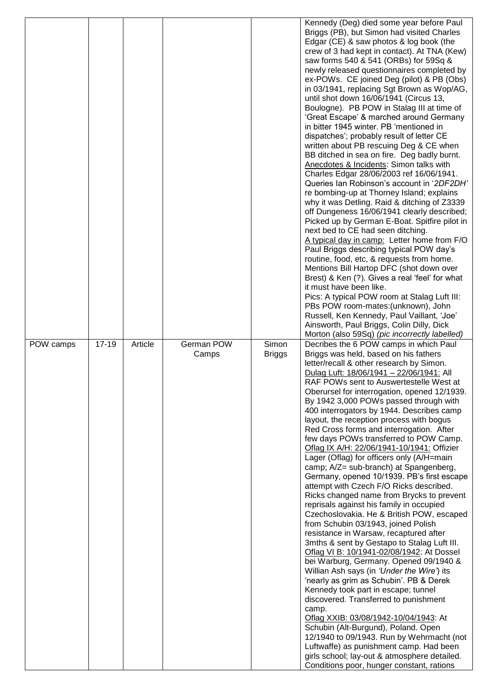|           |           |         |            |               | Kennedy (Deg) died some year before Paul                                                   |
|-----------|-----------|---------|------------|---------------|--------------------------------------------------------------------------------------------|
|           |           |         |            |               | Briggs (PB), but Simon had visited Charles                                                 |
|           |           |         |            |               | Edgar (CE) & saw photos & log book (the<br>crew of 3 had kept in contact). At TNA (Kew)    |
|           |           |         |            |               | saw forms 540 & 541 (ORBs) for 59Sq &                                                      |
|           |           |         |            |               | newly released questionnaires completed by                                                 |
|           |           |         |            |               | ex-POWs. CE joined Deg (pilot) & PB (Obs)                                                  |
|           |           |         |            |               | in 03/1941, replacing Sgt Brown as Wop/AG,                                                 |
|           |           |         |            |               | until shot down 16/06/1941 (Circus 13,                                                     |
|           |           |         |            |               | Boulogne). PB POW in Stalag III at time of                                                 |
|           |           |         |            |               | 'Great Escape' & marched around Germany<br>in bitter 1945 winter. PB 'mentioned in         |
|           |           |         |            |               | dispatches'; probably result of letter CE                                                  |
|           |           |         |            |               | written about PB rescuing Deg & CE when                                                    |
|           |           |         |            |               | BB ditched in sea on fire. Deg badly burnt.                                                |
|           |           |         |            |               | Anecdotes & Incidents: Simon talks with                                                    |
|           |           |         |            |               | Charles Edgar 28/06/2003 ref 16/06/1941.                                                   |
|           |           |         |            |               | Queries Ian Robinson's account in '2DF2DH'                                                 |
|           |           |         |            |               | re bombing-up at Thorney Island; explains<br>why it was Detling. Raid & ditching of Z3339  |
|           |           |         |            |               | off Dungeness 16/06/1941 clearly described;                                                |
|           |           |         |            |               | Picked up by German E-Boat. Spitfire pilot in                                              |
|           |           |         |            |               | next bed to CE had seen ditching.                                                          |
|           |           |         |            |               | A typical day in camp: Letter home from F/O                                                |
|           |           |         |            |               | Paul Briggs describing typical POW day's                                                   |
|           |           |         |            |               | routine, food, etc, & requests from home.                                                  |
|           |           |         |            |               | Mentions Bill Hartop DFC (shot down over<br>Brest) & Ken (?). Gives a real 'feel' for what |
|           |           |         |            |               | it must have been like.                                                                    |
|           |           |         |            |               | Pics: A typical POW room at Stalag Luft III:                                               |
|           |           |         |            |               | PBs POW room-mates: (unknown), John                                                        |
|           |           |         |            |               | Russell, Ken Kennedy, Paul Vaillant, 'Joe'                                                 |
|           |           |         |            |               | Ainsworth, Paul Briggs, Colin Dilly, Dick<br>Morton (also 59Sq) (pic incorrectly labelled) |
| POW camps | $17 - 19$ | Article | German POW | Simon         | Decribes the 6 POW camps in which Paul                                                     |
|           |           |         | Camps      | <b>Briggs</b> | Briggs was held, based on his fathers                                                      |
|           |           |         |            |               | letter/recall & other research by Simon.                                                   |
|           |           |         |            |               |                                                                                            |
|           |           |         |            |               | Dulag Luft: 18/06/1941 - 22/06/1941: All                                                   |
|           |           |         |            |               | RAF POWs sent to Auswertestelle West at                                                    |
|           |           |         |            |               | Oberursel for interrogation, opened 12/1939.                                               |
|           |           |         |            |               | By 1942 3,000 POWs passed through with                                                     |
|           |           |         |            |               | 400 interrogators by 1944. Describes camp<br>layout, the reception process with bogus      |
|           |           |         |            |               | Red Cross forms and interrogation. After                                                   |
|           |           |         |            |               | few days POWs transferred to POW Camp.                                                     |
|           |           |         |            |               | Oflag IX A/H: 22/06/1941-10/1941: Offizier                                                 |
|           |           |         |            |               | Lager (Oflag) for officers only (A/H=main                                                  |
|           |           |         |            |               | camp; A/Z= sub-branch) at Spangenberg,                                                     |
|           |           |         |            |               | Germany, opened 10/1939. PB's first escape<br>attempt with Czech F/O Ricks described.      |
|           |           |         |            |               | Ricks changed name from Brycks to prevent                                                  |
|           |           |         |            |               | reprisals against his family in occupied                                                   |
|           |           |         |            |               | Czechoslovakia. He & British POW, escaped                                                  |
|           |           |         |            |               | from Schubin 03/1943, joined Polish                                                        |
|           |           |         |            |               | resistance in Warsaw, recaptured after                                                     |
|           |           |         |            |               | 3mths & sent by Gestapo to Stalag Luft III.                                                |
|           |           |         |            |               | Oflag VI B: 10/1941-02/08/1942: At Dossel<br>bei Warburg, Germany. Opened 09/1940 &        |
|           |           |         |            |               | Willian Ash says (in 'Under the Wire') its                                                 |
|           |           |         |            |               | 'nearly as grim as Schubin'. PB & Derek                                                    |
|           |           |         |            |               | Kennedy took part in escape; tunnel                                                        |
|           |           |         |            |               | discovered. Transferred to punishment                                                      |
|           |           |         |            |               | camp.                                                                                      |
|           |           |         |            |               | Oflag XXIB: 03/08/1942-10/04/1943: At                                                      |
|           |           |         |            |               | Schubin (Alt-Burgund), Poland. Open<br>12/1940 to 09/1943. Run by Wehrmacht (not           |
|           |           |         |            |               | Luftwaffe) as punishment camp. Had been                                                    |
|           |           |         |            |               | girls school; lay-out & atmosphere detailed.<br>Conditions poor, hunger constant, rations  |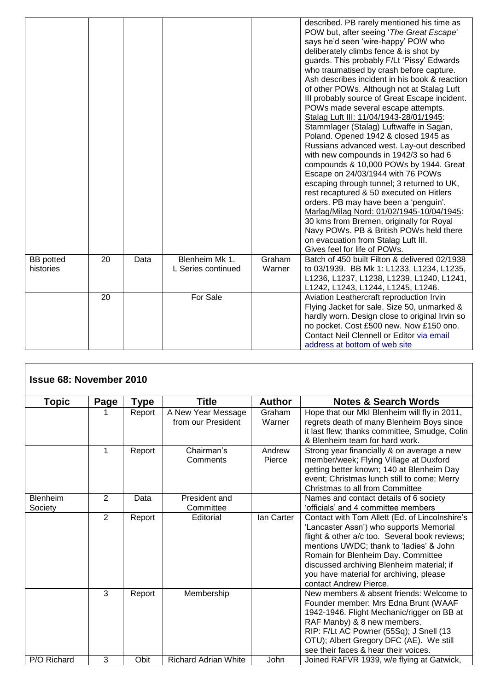|                               |    |      |                                      |                  | described. PB rarely mentioned his time as<br>POW but, after seeing 'The Great Escape'<br>says he'd seen 'wire-happy' POW who<br>deliberately climbs fence & is shot by<br>guards. This probably F/Lt 'Pissy' Edwards<br>who traumatised by crash before capture.<br>Ash describes incident in his book & reaction<br>of other POWs. Although not at Stalag Luft<br>III probably source of Great Escape incident.<br>POWs made several escape attempts.<br>Stalag Luft III: 11/04/1943-28/01/1945:<br>Stammlager (Stalag) Luftwaffe in Sagan,<br>Poland. Opened 1942 & closed 1945 as<br>Russians advanced west. Lay-out described<br>with new compounds in 1942/3 so had 6<br>compounds & 10,000 POWs by 1944. Great<br>Escape on 24/03/1944 with 76 POWs<br>escaping through tunnel; 3 returned to UK,<br>rest recaptured & 50 executed on Hitlers<br>orders. PB may have been a 'penguin'.<br>Marlag/Milag Nord: 01/02/1945-10/04/1945:<br>30 kms from Bremen, originally for Royal<br>Navy POWs. PB & British POWs held there<br>on evacuation from Stalag Luft III.<br>Gives feel for life of POWs. |
|-------------------------------|----|------|--------------------------------------|------------------|----------------------------------------------------------------------------------------------------------------------------------------------------------------------------------------------------------------------------------------------------------------------------------------------------------------------------------------------------------------------------------------------------------------------------------------------------------------------------------------------------------------------------------------------------------------------------------------------------------------------------------------------------------------------------------------------------------------------------------------------------------------------------------------------------------------------------------------------------------------------------------------------------------------------------------------------------------------------------------------------------------------------------------------------------------------------------------------------------------|
| <b>BB</b> potted<br>histories | 20 | Data | Blenheim Mk 1.<br>L Series continued | Graham<br>Warner | Batch of 450 built Filton & delivered 02/1938<br>to 03/1939. BB Mk 1: L1233, L1234, L1235,<br>L1236, L1237, L1238, L1239, L1240, L1241,<br>L1242, L1243, L1244, L1245, L1246.                                                                                                                                                                                                                                                                                                                                                                                                                                                                                                                                                                                                                                                                                                                                                                                                                                                                                                                            |
|                               | 20 |      | For Sale                             |                  | Aviation Leathercraft reproduction Irvin<br>Flying Jacket for sale. Size 50, unmarked &<br>hardly worn. Design close to original Irvin so<br>no pocket. Cost £500 new. Now £150 ono.<br>Contact Neil Clennell or Editor via email<br>address at bottom of web site                                                                                                                                                                                                                                                                                                                                                                                                                                                                                                                                                                                                                                                                                                                                                                                                                                       |

| <b>Issue 68: November 2010</b> |      |             |                                          |                   |                                                                                                                                                                                                                                                                                                                                               |
|--------------------------------|------|-------------|------------------------------------------|-------------------|-----------------------------------------------------------------------------------------------------------------------------------------------------------------------------------------------------------------------------------------------------------------------------------------------------------------------------------------------|
| <b>Topic</b>                   | Page | <b>Type</b> | <b>Title</b>                             | <b>Author</b>     | <b>Notes &amp; Search Words</b>                                                                                                                                                                                                                                                                                                               |
|                                |      | Report      | A New Year Message<br>from our President | Graham<br>Warner  | Hope that our MkI Blenheim will fly in 2011,<br>regrets death of many Blenheim Boys since                                                                                                                                                                                                                                                     |
|                                |      |             |                                          |                   | it last flew; thanks committee, Smudge, Colin<br>& Blenheim team for hard work.                                                                                                                                                                                                                                                               |
|                                | 1    | Report      | Chairman's<br>Comments                   | Andrew<br>Pierce  | Strong year financially & on average a new<br>member/week; Flying Village at Duxford<br>getting better known; 140 at Blenheim Day<br>event; Christmas lunch still to come; Merry<br>Christmas to all from Committee                                                                                                                           |
| <b>Blenheim</b><br>Society     | 2    | Data        | President and<br>Committee               |                   | Names and contact details of 6 society<br>'officials' and 4 committee members                                                                                                                                                                                                                                                                 |
|                                | 2    | Report      | Editorial                                | <b>Ian Carter</b> | Contact with Tom Allett (Ed. of Lincolnshire's<br>'Lancaster Assn') who supports Memorial<br>flight & other a/c too. Several book reviews;<br>mentions UWDC; thank to 'ladies' & John<br>Romain for Blenheim Day. Committee<br>discussed archiving Blenheim material; if<br>you have material for archiving, please<br>contact Andrew Pierce. |
|                                | 3    | Report      | Membership                               |                   | New members & absent friends: Welcome to<br>Founder member: Mrs Edna Brunt (WAAF<br>1942-1946. Flight Mechanic/rigger on BB at<br>RAF Manby) & 8 new members.<br>RIP: F/Lt AC Powner (55Sq); J Snell (13<br>OTU); Albert Gregory DFC (AE). We still<br>see their faces & hear their voices.                                                   |
| P/O Richard                    | 3    | Obit        | <b>Richard Adrian White</b>              | John              | Joined RAFVR 1939, w/e flying at Gatwick,                                                                                                                                                                                                                                                                                                     |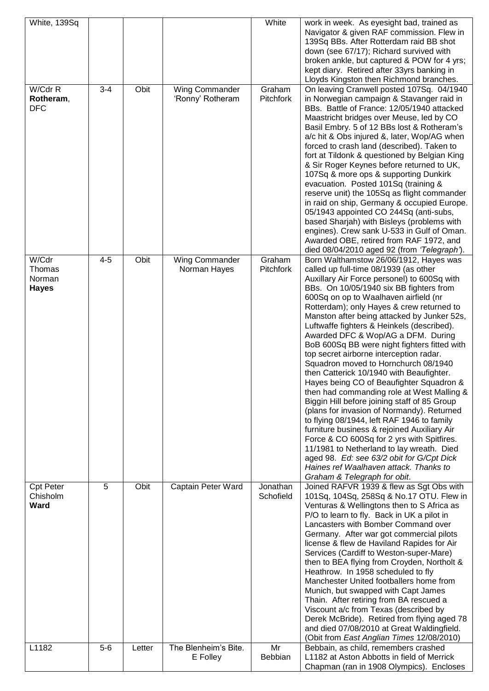| White, 139Sq     |         |        |                      | White     | work in week. As eyesight bad, trained as                                                  |
|------------------|---------|--------|----------------------|-----------|--------------------------------------------------------------------------------------------|
|                  |         |        |                      |           | Navigator & given RAF commission. Flew in                                                  |
|                  |         |        |                      |           | 139Sq BBs. After Rotterdam raid BB shot                                                    |
|                  |         |        |                      |           | down (see 67/17); Richard survived with<br>broken ankle, but captured & POW for 4 yrs;     |
|                  |         |        |                      |           | kept diary. Retired after 33yrs banking in                                                 |
|                  |         |        |                      |           | Lloyds Kingston then Richmond branches.                                                    |
| W/Cdr R          | $3 - 4$ | Obit   | Wing Commander       | Graham    | On leaving Cranwell posted 107Sq. 04/1940                                                  |
| Rotheram,        |         |        | 'Ronny' Rotheram     | Pitchfork | in Norwegian campaign & Stavanger raid in                                                  |
| <b>DFC</b>       |         |        |                      |           | BBs. Battle of France: 12/05/1940 attacked                                                 |
|                  |         |        |                      |           | Maastricht bridges over Meuse, led by CO                                                   |
|                  |         |        |                      |           | Basil Embry. 5 of 12 BBs lost & Rotheram's                                                 |
|                  |         |        |                      |           | a/c hit & Obs injured &, later, Wop/AG when                                                |
|                  |         |        |                      |           | forced to crash land (described). Taken to                                                 |
|                  |         |        |                      |           | fort at Tildonk & questioned by Belgian King                                               |
|                  |         |        |                      |           | & Sir Roger Keynes before returned to UK,                                                  |
|                  |         |        |                      |           | 107Sq & more ops & supporting Dunkirk                                                      |
|                  |         |        |                      |           | evacuation. Posted 101Sq (training &                                                       |
|                  |         |        |                      |           | reserve unit) the 105Sq as flight commander<br>in raid on ship, Germany & occupied Europe. |
|                  |         |        |                      |           | 05/1943 appointed CO 244Sq (anti-subs,                                                     |
|                  |         |        |                      |           | based Sharjah) with Bisleys (problems with                                                 |
|                  |         |        |                      |           | engines). Crew sank U-533 in Gulf of Oman.                                                 |
|                  |         |        |                      |           | Awarded OBE, retired from RAF 1972, and                                                    |
|                  |         |        |                      |           | died 08/04/2010 aged 92 (from 'Telegraph').                                                |
| W/Cdr            | $4 - 5$ | Obit   | Wing Commander       | Graham    | Born Walthamstow 26/06/1912, Hayes was                                                     |
| Thomas           |         |        | Norman Hayes         | Pitchfork | called up full-time 08/1939 (as other                                                      |
| Norman           |         |        |                      |           | Auxillary Air Force personel) to 600Sq with                                                |
| <b>Hayes</b>     |         |        |                      |           | BBs. On 10/05/1940 six BB fighters from                                                    |
|                  |         |        |                      |           | 600Sq on op to Waalhaven airfield (nr<br>Rotterdam); only Hayes & crew returned to         |
|                  |         |        |                      |           | Manston after being attacked by Junker 52s,                                                |
|                  |         |        |                      |           | Luftwaffe fighters & Heinkels (described).                                                 |
|                  |         |        |                      |           | Awarded DFC & Wop/AG a DFM. During                                                         |
|                  |         |        |                      |           | BoB 600Sq BB were night fighters fitted with                                               |
|                  |         |        |                      |           | top secret airborne interception radar.                                                    |
|                  |         |        |                      |           | Squadron moved to Hornchurch 08/1940                                                       |
|                  |         |        |                      |           | then Catterick 10/1940 with Beaufighter.                                                   |
|                  |         |        |                      |           | Hayes being CO of Beaufighter Squadron &                                                   |
|                  |         |        |                      |           | then had commanding role at West Malling &                                                 |
|                  |         |        |                      |           | Biggin Hill before joining staff of 85 Group                                               |
|                  |         |        |                      |           | (plans for invasion of Normandy). Returned<br>to flying 08/1944, left RAF 1946 to family   |
|                  |         |        |                      |           | furniture business & rejoined Auxiliary Air                                                |
|                  |         |        |                      |           | Force & CO 600Sq for 2 yrs with Spitfires.                                                 |
|                  |         |        |                      |           | 11/1981 to Netherland to lay wreath. Died                                                  |
|                  |         |        |                      |           | aged 98. Ed: see 63/2 obit for G/Cpt Dick                                                  |
|                  |         |        |                      |           | Haines ref Waalhaven attack. Thanks to                                                     |
|                  |         |        |                      |           | Graham & Telegraph for obit.                                                               |
| <b>Cpt Peter</b> | 5       | Obit   | Captain Peter Ward   | Jonathan  | Joined RAFVR 1939 & flew as Sgt Obs with                                                   |
| Chisholm         |         |        |                      | Schofield | 101Sq, 104Sq, 258Sq & No.17 OTU. Flew in                                                   |
| Ward             |         |        |                      |           | Venturas & Wellingtons then to S Africa as                                                 |
|                  |         |        |                      |           | P/O to learn to fly. Back in UK a pilot in<br>Lancasters with Bomber Command over          |
|                  |         |        |                      |           | Germany. After war got commercial pilots                                                   |
|                  |         |        |                      |           | license & flew de Haviland Rapides for Air                                                 |
|                  |         |        |                      |           | Services (Cardiff to Weston-super-Mare)                                                    |
|                  |         |        |                      |           | then to BEA flying from Croyden, Northolt &                                                |
|                  |         |        |                      |           | Heathrow. In 1958 scheduled to fly                                                         |
|                  |         |        |                      |           | Manchester United footballers home from                                                    |
|                  |         |        |                      |           | Munich, but swapped with Capt James                                                        |
|                  |         |        |                      |           | Thain. After retiring from BA rescued a                                                    |
|                  |         |        |                      |           | Viscount a/c from Texas (described by                                                      |
|                  |         |        |                      |           | Derek McBride). Retired from flying aged 78<br>and died 07/08/2010 at Great Waldingfield.  |
|                  |         |        |                      |           | (Obit from East Anglian Times 12/08/2010)                                                  |
| L1182            | $5-6$   | Letter | The Blenheim's Bite. | Mr        | Bebbain, as child, remembers crashed                                                       |
|                  |         |        | E Folley             | Bebbian   | L1182 at Aston Abbotts in field of Merrick                                                 |
|                  |         |        |                      |           | Chapman (ran in 1908 Olympics). Encloses                                                   |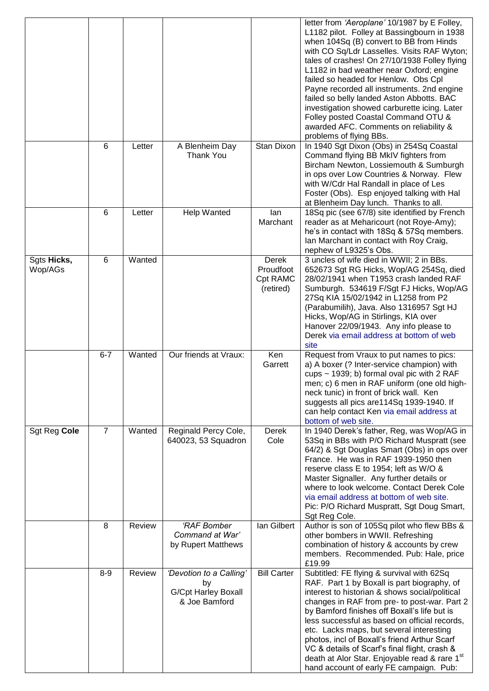|                        |                |        |                                                                              |                                             | letter from 'Aeroplane' 10/1987 by E Folley,<br>L1182 pilot. Folley at Bassingbourn in 1938<br>when 104Sq (B) convert to BB from Hinds<br>with CO Sq/Ldr Lasselles. Visits RAF Wyton;<br>tales of crashes! On 27/10/1938 Folley flying<br>L1182 in bad weather near Oxford; engine<br>failed so headed for Henlow. Obs Cpl<br>Payne recorded all instruments. 2nd engine<br>failed so belly landed Aston Abbotts. BAC<br>investigation showed carburette icing. Later<br>Folley posted Coastal Command OTU &<br>awarded AFC. Comments on reliability &<br>problems of flying BBs. |
|------------------------|----------------|--------|------------------------------------------------------------------------------|---------------------------------------------|-----------------------------------------------------------------------------------------------------------------------------------------------------------------------------------------------------------------------------------------------------------------------------------------------------------------------------------------------------------------------------------------------------------------------------------------------------------------------------------------------------------------------------------------------------------------------------------|
|                        | 6              | Letter | A Blenheim Day<br><b>Thank You</b>                                           | Stan Dixon                                  | In 1940 Sgt Dixon (Obs) in 254Sq Coastal<br>Command flying BB MkIV fighters from<br>Bircham Newton, Lossiemouth & Sumburgh<br>in ops over Low Countries & Norway. Flew<br>with W/Cdr Hal Randall in place of Les<br>Foster (Obs). Esp enjoyed talking with Hal<br>at Blenheim Day lunch. Thanks to all.                                                                                                                                                                                                                                                                           |
|                        | 6              | Letter | Help Wanted                                                                  | lan<br>Marchant                             | 18Sq pic (see 67/8) site identified by French<br>reader as at Meharicourt (not Roye-Amy);<br>he's in contact with 18Sq & 57Sq members.<br>Ian Marchant in contact with Roy Craig,<br>nephew of L9325's Obs.                                                                                                                                                                                                                                                                                                                                                                       |
| Sgts Hicks,<br>Wop/AGs | $6\phantom{1}$ | Wanted |                                                                              | Derek<br>Proudfoot<br>Cpt RAMC<br>(retired) | 3 uncles of wife died in WWII; 2 in BBs.<br>652673 Sgt RG Hicks, Wop/AG 254Sq, died<br>28/02/1941 when T1953 crash landed RAF<br>Sumburgh. 534619 F/Sgt FJ Hicks, Wop/AG<br>27Sq KIA 15/02/1942 in L1258 from P2<br>(Parabumilih), Java. Also 1316957 Sgt HJ<br>Hicks, Wop/AG in Stirlings, KIA over<br>Hanover 22/09/1943. Any info please to<br>Derek via email address at bottom of web<br>site                                                                                                                                                                                |
|                        | $6 - 7$        | Wanted | Our friends at Vraux:                                                        | Ken<br>Garrett                              | Request from Vraux to put names to pics:<br>a) A boxer (? Inter-service champion) with<br>cups $\sim$ 1939; b) formal oval pic with 2 RAF<br>men; c) 6 men in RAF uniform (one old high-<br>neck tunic) in front of brick wall. Ken<br>suggests all pics are 114Sq 1939-1940. If<br>can help contact Ken via email address at<br>bottom of web site.                                                                                                                                                                                                                              |
| Sgt Reg Cole           | $\overline{7}$ | Wanted | Reginald Percy Cole,<br>640023, 53 Squadron                                  | <b>Derek</b><br>Cole                        | In 1940 Derek's father, Reg, was Wop/AG in<br>53Sq in BBs with P/O Richard Muspratt (see<br>64/2) & Sgt Douglas Smart (Obs) in ops over<br>France. He was in RAF 1939-1950 then<br>reserve class E to 1954; left as W/O &<br>Master Signaller. Any further details or<br>where to look welcome. Contact Derek Cole<br>via email address at bottom of web site.<br>Pic: P/O Richard Muspratt, Sgt Doug Smart,<br>Sgt Reg Cole.                                                                                                                                                     |
|                        | 8              | Review | 'RAF Bomber<br>Command at War'<br>by Rupert Matthews                         | lan Gilbert                                 | Author is son of 105Sq pilot who flew BBs &<br>other bombers in WWII. Refreshing<br>combination of history & accounts by crew<br>members. Recommended. Pub: Hale, price<br>£19.99                                                                                                                                                                                                                                                                                                                                                                                                 |
|                        | $8-9$          | Review | 'Devotion to a Calling'<br>by<br><b>G/Cpt Harley Boxall</b><br>& Joe Bamford | <b>Bill Carter</b>                          | Subtitled: FE flying & survival with 62Sq<br>RAF. Part 1 by Boxall is part biography, of<br>interest to historian & shows social/political<br>changes in RAF from pre- to post-war. Part 2<br>by Bamford finishes off Boxall's life but is<br>less successful as based on official records,<br>etc. Lacks maps, but several interesting<br>photos, incl of Boxall's friend Arthur Scarf<br>VC & details of Scarf's final flight, crash &<br>death at Alor Star. Enjoyable read & rare 1st<br>hand account of early FE campaign. Pub:                                              |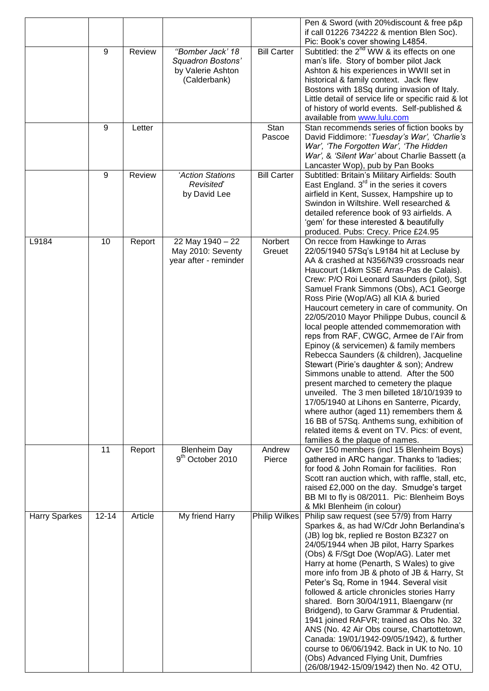|                      |           |         |                                                                            |                      | Pen & Sword (with 20% discount & free p&p<br>if call 01226 734222 & mention Blen Soc).<br>Pic: Book's cover showing L4854.                                                                                                                                                                                                                                                                                                                                                                                                                                                                                                                                                                                                                                                                                                                                                                                                                                                                |
|----------------------|-----------|---------|----------------------------------------------------------------------------|----------------------|-------------------------------------------------------------------------------------------------------------------------------------------------------------------------------------------------------------------------------------------------------------------------------------------------------------------------------------------------------------------------------------------------------------------------------------------------------------------------------------------------------------------------------------------------------------------------------------------------------------------------------------------------------------------------------------------------------------------------------------------------------------------------------------------------------------------------------------------------------------------------------------------------------------------------------------------------------------------------------------------|
|                      | 9         | Review  | "Bomber Jack' 18<br>Squadron Bostons'<br>by Valerie Ashton<br>(Calderbank) | <b>Bill Carter</b>   | Subtitled: the 2 <sup>nd</sup> WW & its effects on one<br>man's life. Story of bomber pilot Jack<br>Ashton & his experiences in WWII set in<br>historical & family context. Jack flew<br>Bostons with 18Sq during invasion of Italy.<br>Little detail of service life or specific raid & lot<br>of history of world events. Self-published &<br>available from www.lulu.com                                                                                                                                                                                                                                                                                                                                                                                                                                                                                                                                                                                                               |
|                      | 9         | Letter  |                                                                            | Stan<br>Pascoe       | Stan recommends series of fiction books by<br>David Fiddimore: 'Tuesday's War', 'Charlie's<br>War', 'The Forgotten War', 'The Hidden<br>War', & 'Silent War' about Charlie Bassett (a<br>Lancaster Wop), pub by Pan Books                                                                                                                                                                                                                                                                                                                                                                                                                                                                                                                                                                                                                                                                                                                                                                 |
|                      | 9         | Review  | 'Action Stations<br>Revisited<br>by David Lee                              | <b>Bill Carter</b>   | Subtitled: Britain's Military Airfields: South<br>East England. 3 <sup>rd</sup> in the series it covers<br>airfield in Kent, Sussex, Hampshire up to<br>Swindon in Wiltshire. Well researched &<br>detailed reference book of 93 airfields. A<br>'gem' for these interested & beautifully<br>produced. Pubs: Crecy. Price £24.95                                                                                                                                                                                                                                                                                                                                                                                                                                                                                                                                                                                                                                                          |
| L9184                | 10        | Report  | 22 May 1940 - 22<br>May 2010: Seventy<br>year after - reminder             | Norbert<br>Greuet    | On recce from Hawkinge to Arras<br>22/05/1940 57Sq's L9184 hit at Lecluse by<br>AA & crashed at N356/N39 crossroads near<br>Haucourt (14km SSE Arras-Pas de Calais).<br>Crew: P/O Roi Leonard Saunders (pilot), Sgt<br>Samuel Frank Simmons (Obs), AC1 George<br>Ross Pirie (Wop/AG) all KIA & buried<br>Haucourt cemetery in care of community. On<br>22/05/2010 Mayor Philippe Dubus, council &<br>local people attended commemoration with<br>reps from RAF, CWGC, Armee de l'Air from<br>Epinoy (& servicemen) & family members<br>Rebecca Saunders (& children), Jacqueline<br>Stewart (Pirie's daughter & son); Andrew<br>Simmons unable to attend. After the 500<br>present marched to cemetery the plaque<br>unveiled. The 3 men billeted 18/10/1939 to<br>17/05/1940 at Lihons en Santerre, Picardy,<br>where author (aged 11) remembers them &<br>16 BB of 57Sq. Anthems sung, exhibition of<br>related items & event on TV. Pics: of event,<br>families & the plaque of names. |
|                      | 11        | Report  | <b>Blenheim Day</b><br>9 <sup>th</sup> October 2010                        | Andrew<br>Pierce     | Over 150 members (incl 15 Blenheim Boys)<br>gathered in ARC hangar. Thanks to 'ladies;<br>for food & John Romain for facilities. Ron<br>Scott ran auction which, with raffle, stall, etc,<br>raised £2,000 on the day. Smudge's target<br>BB MI to fly is 08/2011. Pic: Blenheim Boys<br>& MkI Blenheim (in colour)                                                                                                                                                                                                                                                                                                                                                                                                                                                                                                                                                                                                                                                                       |
| <b>Harry Sparkes</b> | $12 - 14$ | Article | My friend Harry                                                            | <b>Philip Wilkes</b> | Philip saw request (see 57/9) from Harry<br>Sparkes &, as had W/Cdr John Berlandina's<br>(JB) log bk, replied re Boston BZ327 on<br>24/05/1944 when JB pilot, Harry Sparkes<br>(Obs) & F/Sgt Doe (Wop/AG). Later met<br>Harry at home (Penarth, S Wales) to give<br>more info from JB & photo of JB & Harry, St<br>Peter's Sq, Rome in 1944. Several visit<br>followed & article chronicles stories Harry<br>shared. Born 30/04/1911, Blaengarw (nr<br>Bridgend), to Garw Grammar & Prudential.<br>1941 joined RAFVR; trained as Obs No. 32<br>ANS (No. 42 Air Obs course, Chartottetown,<br>Canada: 19/01/1942-09/05/1942), & further<br>course to 06/06/1942. Back in UK to No. 10<br>(Obs) Advanced Flying Unit, Dumfries<br>(26/08/1942-15/09/1942) then No. 42 OTU,                                                                                                                                                                                                                  |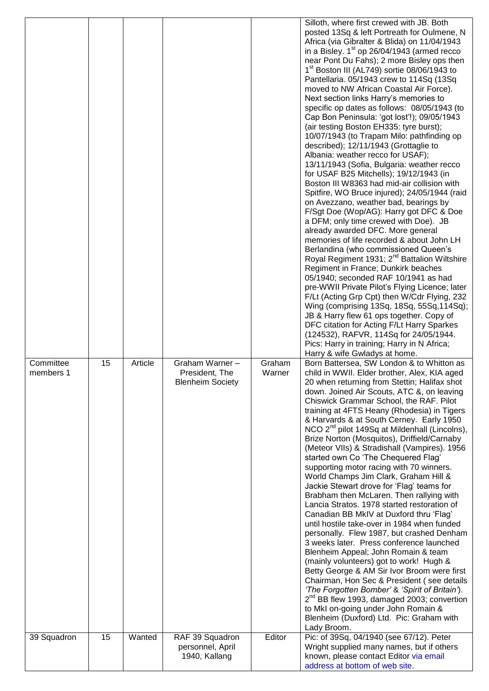| Committee<br>members 1 | 15 | Article | Graham Warner -<br>President, The<br><b>Blenheim Society</b> | Graham<br>Warner | Silloth, where first crewed with JB. Both<br>posted 13Sq & left Portreath for Oulmene, N<br>Africa (via Gibralter & Blida) on 11/04/1943<br>in a Bisley. 1 <sup>st</sup> op 26/04/1943 (armed recco<br>near Pont Du Fahs); 2 more Bisley ops then<br>1 <sup>st</sup> Boston III (AL749) sortie 08/06/1943 to<br>Pantellaria. 05/1943 crew to 114Sq (13Sq<br>moved to NW African Coastal Air Force).<br>Next section links Harry's memories to<br>specific op dates as follows: 08/05/1943 (to<br>Cap Bon Peninsula: 'got lost'!); 09/05/1943<br>(air testing Boston EH335: tyre burst);<br>10/07/1943 (to Trapam Milo: pathfinding op<br>described); 12/11/1943 (Grottaglie to<br>Albania: weather recco for USAF);<br>13/11/1943 (Sofia, Bulgaria: weather recco<br>for USAF B25 Mitchells); 19/12/1943 (in<br>Boston III W8363 had mid-air collision with<br>Spitfire, WO Bruce injured); 24/05/1944 (raid<br>on Avezzano, weather bad, bearings by<br>F/Sgt Doe (Wop/AG): Harry got DFC & Doe<br>a DFM; only time crewed with Doe). JB<br>already awarded DFC. More general<br>memories of life recorded & about John LH<br>Berlandina (who commissioned Queen's<br>Royal Regiment 1931; 2 <sup>nd</sup> Battalion Wiltshire<br>Regiment in France; Dunkirk beaches<br>05/1940; seconded RAF 10/1941 as had<br>pre-WWII Private Pilot's Flying Licence; later<br>F/Lt (Acting Grp Cpt) then W/Cdr Flying, 232<br>Wing (comprising 13Sq, 18Sq, 55Sq, 114Sq);<br>JB & Harry flew 61 ops together. Copy of<br>DFC citation for Acting F/Lt Harry Sparkes<br>(124532), RAFVR, 114Sq for 24/05/1944.<br>Pics: Harry in training; Harry in N Africa;<br>Harry & wife Gwladys at home.<br>Born Battersea, SW London & to Whitton as<br>child in WWII. Elder brother, Alex, KIA aged<br>20 when returning from Stettin; Halifax shot<br>down. Joined Air Scouts, ATC &, on leaving<br>Chiswick Grammar School, the RAF. Pilot<br>training at 4FTS Heany (Rhodesia) in Tigers<br>& Harvards & at South Cerney. Early 1950<br>NCO 2 <sup>nd</sup> pilot 149Sq at Mildenhall (Lincolns),<br>Brize Norton (Mosquitos), Driffield/Carnaby<br>(Meteor VIIs) & Stradishall (Vampires). 1956<br>started own Co 'The Chequered Flag'<br>supporting motor racing with 70 winners.<br>World Champs Jim Clark, Graham Hill &<br>Jackie Stewart drove for 'Flag' teams for<br>Brabham then McLaren. Then rallying with<br>Lancia Stratos. 1978 started restoration of<br>Canadian BB MkIV at Duxford thru 'Flag'<br>until hostile take-over in 1984 when funded<br>personally. Flew 1987, but crashed Denham<br>3 weeks later. Press conference launched<br>Blenheim Appeal; John Romain & team<br>(mainly volunteers) got to work! Hugh &<br>Betty George & AM Sir Ivor Broom were first<br>Chairman, Hon Sec & President (see details<br>'The Forgotten Bomber' & 'Spirit of Britain').<br>2 <sup>nd</sup> BB flew 1993, damaged 2003; convertion<br>to MkI on-going under John Romain & |
|------------------------|----|---------|--------------------------------------------------------------|------------------|--------------------------------------------------------------------------------------------------------------------------------------------------------------------------------------------------------------------------------------------------------------------------------------------------------------------------------------------------------------------------------------------------------------------------------------------------------------------------------------------------------------------------------------------------------------------------------------------------------------------------------------------------------------------------------------------------------------------------------------------------------------------------------------------------------------------------------------------------------------------------------------------------------------------------------------------------------------------------------------------------------------------------------------------------------------------------------------------------------------------------------------------------------------------------------------------------------------------------------------------------------------------------------------------------------------------------------------------------------------------------------------------------------------------------------------------------------------------------------------------------------------------------------------------------------------------------------------------------------------------------------------------------------------------------------------------------------------------------------------------------------------------------------------------------------------------------------------------------------------------------------------------------------------------------------------------------------------------------------------------------------------------------------------------------------------------------------------------------------------------------------------------------------------------------------------------------------------------------------------------------------------------------------------------------------------------------------------------------------------------------------------------------------------------------------------------------------------------------------------------------------------------------------------------------------------------------------------------------------------------------------------------------------------------------------------------------------------------------------------------------------------------------------------------------------------------------------------------------------------------------------------------------------------------------------------------------------------------------|
|                        |    |         |                                                              |                  | Blenheim (Duxford) Ltd. Pic: Graham with                                                                                                                                                                                                                                                                                                                                                                                                                                                                                                                                                                                                                                                                                                                                                                                                                                                                                                                                                                                                                                                                                                                                                                                                                                                                                                                                                                                                                                                                                                                                                                                                                                                                                                                                                                                                                                                                                                                                                                                                                                                                                                                                                                                                                                                                                                                                                                                                                                                                                                                                                                                                                                                                                                                                                                                                                                                                                                                                 |
| 39 Squadron            | 15 | Wanted  | RAF 39 Squadron<br>personnel, April                          | Editor           | Lady Broom.<br>Pic: of 39Sq, 04/1940 (see 67/12). Peter<br>Wright supplied many names, but if others                                                                                                                                                                                                                                                                                                                                                                                                                                                                                                                                                                                                                                                                                                                                                                                                                                                                                                                                                                                                                                                                                                                                                                                                                                                                                                                                                                                                                                                                                                                                                                                                                                                                                                                                                                                                                                                                                                                                                                                                                                                                                                                                                                                                                                                                                                                                                                                                                                                                                                                                                                                                                                                                                                                                                                                                                                                                     |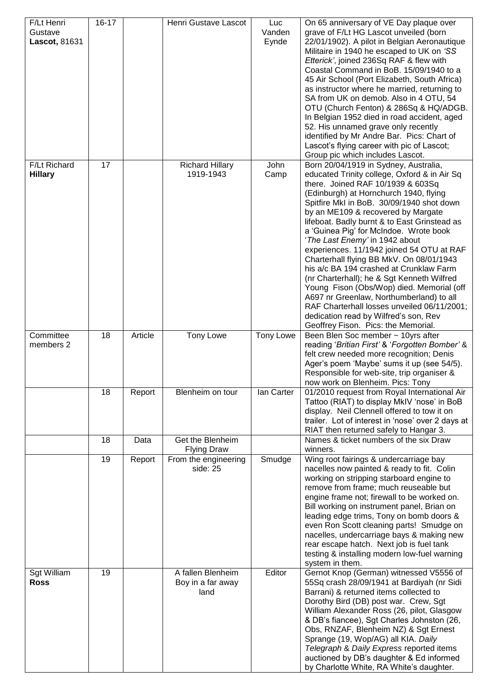| F/Lt Henri<br>Gustave<br>Lascot, 81631 | $16 - 17$ |                | Henri Gustave Lascot                                                       | Luc<br>Vanden<br>Eynde | On 65 anniversary of VE Day plaque over<br>grave of F/Lt HG Lascot unveiled (born<br>22/01/1902). A pilot in Belgian Aeronautique<br>Militaire in 1940 he escaped to UK on 'SS<br>Etterick', joined 236Sq RAF & flew with<br>Coastal Command in BoB. 15/09/1940 to a<br>45 Air School (Port Elizabeth, South Africa)<br>as instructor where he married, returning to<br>SA from UK on demob. Also in 4 OTU, 54<br>OTU (Church Fenton) & 286Sq & HQ/ADGB.<br>In Belgian 1952 died in road accident, aged<br>52. His unnamed grave only recently<br>identified by Mr Andre Bar. Pics: Chart of<br>Lascot's flying career with pic of Lascot;<br>Group pic which includes Lascot.                                                                                                                |
|----------------------------------------|-----------|----------------|----------------------------------------------------------------------------|------------------------|-----------------------------------------------------------------------------------------------------------------------------------------------------------------------------------------------------------------------------------------------------------------------------------------------------------------------------------------------------------------------------------------------------------------------------------------------------------------------------------------------------------------------------------------------------------------------------------------------------------------------------------------------------------------------------------------------------------------------------------------------------------------------------------------------|
| F/Lt Richard<br><b>Hillary</b>         | 17        |                | <b>Richard Hillary</b><br>1919-1943                                        | John<br>Camp           | Born 20/04/1919 in Sydney, Australia,<br>educated Trinity college, Oxford & in Air Sq<br>there. Joined RAF 10/1939 & 603Sq<br>(Edinburgh) at Hornchurch 1940, flying<br>Spitfire MkI in BoB. 30/09/1940 shot down<br>by an ME109 & recovered by Margate<br>lifeboat. Badly burnt & to East Grinstead as<br>a 'Guinea Pig' for McIndoe. Wrote book<br>'The Last Enemy' in 1942 about<br>experiences. 11/1942 joined 54 OTU at RAF<br>Charterhall flying BB MkV. On 08/01/1943<br>his a/c BA 194 crashed at Crunklaw Farm<br>(nr Charterhall); he & Sgt Kenneth Wilfred<br>Young Fison (Obs/Wop) died. Memorial (off<br>A697 nr Greenlaw, Northumberland) to all<br>RAF Charterhall losses unveiled 06/11/2001;<br>dedication read by Wilfred's son, Rev<br>Geoffrey Fison. Pics: the Memorial. |
| Committee<br>members 2                 | 18        | Article        | <b>Tony Lowe</b>                                                           | <b>Tony Lowe</b>       | Been Blen Soc member ~ 10yrs after<br>reading 'Britian First' & 'Forgotten Bomber' &<br>felt crew needed more recognition; Denis<br>Ager's poem 'Maybe' sums it up (see 54/5).<br>Responsible for web-site, trip organiser &<br>now work on Blenheim. Pics: Tony                                                                                                                                                                                                                                                                                                                                                                                                                                                                                                                              |
|                                        | 18        | Report         | Blenheim on tour                                                           | lan Carter             | 01/2010 request from Royal International Air<br>Tattoo (RIAT) to display MkIV 'nose' in BoB<br>display. Neil Clennell offered to tow it on<br>trailer. Lot of interest in 'nose' over 2 days at<br>RIAT then returned safely to Hangar 3.                                                                                                                                                                                                                                                                                                                                                                                                                                                                                                                                                     |
|                                        | 18<br>19  | Data<br>Report | Get the Blenheim<br><b>Flying Draw</b><br>From the engineering<br>side: 25 | Smudge                 | Names & ticket numbers of the six Draw<br>winners.<br>Wing root fairings & undercarriage bay<br>nacelles now painted & ready to fit. Colin<br>working on stripping starboard engine to<br>remove from frame; much reuseable but<br>engine frame not; firewall to be worked on.<br>Bill working on instrument panel, Brian on<br>leading edge trims, Tony on bomb doors &<br>even Ron Scott cleaning parts! Smudge on<br>nacelles, undercarriage bays & making new<br>rear escape hatch. Next job is fuel tank<br>testing & installing modern low-fuel warning<br>system in them.                                                                                                                                                                                                              |
| Sgt William<br><b>Ross</b>             | 19        |                | A fallen Blenheim<br>Boy in a far away<br>land                             | Editor                 | Gernot Knop (German) witnessed V5556 of<br>55Sq crash 28/09/1941 at Bardiyah (nr Sidi<br>Barrani) & returned items collected to<br>Dorothy Bird (DB) post war. Crew, Sgt<br>William Alexander Ross (26, pilot, Glasgow<br>& DB's fiancee), Sgt Charles Johnston (26,<br>Obs, RNZAF, Blenheim NZ) & Sgt Ernest<br>Sprange (19, Wop/AG) all KIA. Daily<br>Telegraph & Daily Express reported items<br>auctioned by DB's daughter & Ed informed<br>by Charlotte White, RA White's daughter.                                                                                                                                                                                                                                                                                                      |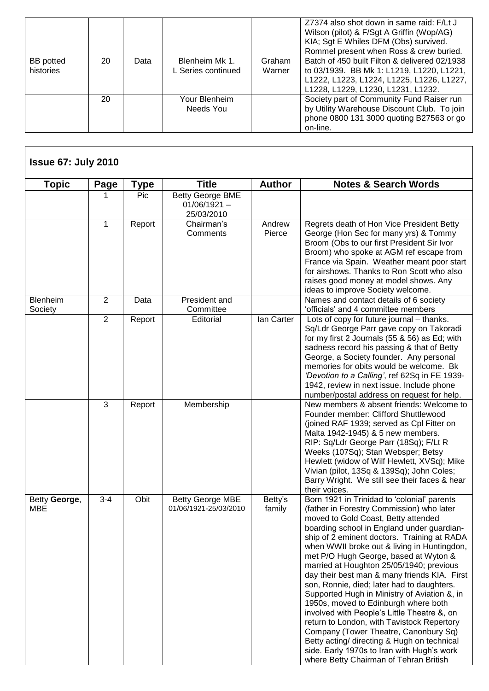|                               |    |      |                                      |                  | Z7374 also shot down in same raid: F/Lt J<br>Wilson (pilot) & F/Sgt A Griffin (Wop/AG)<br>KIA; Sgt E Whiles DFM (Obs) survived.<br>Rommel present when Ross & crew buried.    |
|-------------------------------|----|------|--------------------------------------|------------------|-------------------------------------------------------------------------------------------------------------------------------------------------------------------------------|
| <b>BB</b> potted<br>histories | 20 | Data | Blenheim Mk 1.<br>L Series continued | Graham<br>Warner | Batch of 450 built Filton & delivered 02/1938<br>to 03/1939. BB Mk 1: L1219, L1220, L1221,<br>L1222, L1223, L1224, L1225, L1226, L1227,<br>L1228, L1229, L1230, L1231, L1232. |
|                               | 20 |      | Your Blenheim<br>Needs You           |                  | Society part of Community Fund Raiser run<br>by Utility Warehouse Discount Club. To join<br>phone 0800 131 3000 quoting B27563 or go<br>on-line.                              |

| <b>Topic</b>               | Page           | <b>Type</b> | <b>Title</b>                                            | <b>Author</b>     | <b>Notes &amp; Search Words</b>                                                                                                                                                                                                                                                                                                                                                                                                                                                                                                                                                                                                                                                                                                                                                                                                     |
|----------------------------|----------------|-------------|---------------------------------------------------------|-------------------|-------------------------------------------------------------------------------------------------------------------------------------------------------------------------------------------------------------------------------------------------------------------------------------------------------------------------------------------------------------------------------------------------------------------------------------------------------------------------------------------------------------------------------------------------------------------------------------------------------------------------------------------------------------------------------------------------------------------------------------------------------------------------------------------------------------------------------------|
|                            |                | Pic         | <b>Betty George BME</b><br>$01/06/1921 -$<br>25/03/2010 |                   |                                                                                                                                                                                                                                                                                                                                                                                                                                                                                                                                                                                                                                                                                                                                                                                                                                     |
|                            | $\mathbf{1}$   | Report      | Chairman's<br>Comments                                  | Andrew<br>Pierce  | Regrets death of Hon Vice President Betty<br>George (Hon Sec for many yrs) & Tommy<br>Broom (Obs to our first President Sir Ivor<br>Broom) who spoke at AGM ref escape from<br>France via Spain. Weather meant poor start<br>for airshows. Thanks to Ron Scott who also<br>raises good money at model shows. Any<br>ideas to improve Society welcome.                                                                                                                                                                                                                                                                                                                                                                                                                                                                               |
| <b>Blenheim</b><br>Society | 2              | Data        | President and<br>Committee                              |                   | Names and contact details of 6 society<br>'officials' and 4 committee members                                                                                                                                                                                                                                                                                                                                                                                                                                                                                                                                                                                                                                                                                                                                                       |
|                            | $\overline{2}$ | Report      | Editorial                                               | lan Carter        | Lots of copy for future journal - thanks.<br>Sq/Ldr George Parr gave copy on Takoradi<br>for my first 2 Journals (55 & 56) as Ed; with<br>sadness record his passing & that of Betty<br>George, a Society founder. Any personal<br>memories for obits would be welcome. Bk<br>'Devotion to a Calling', ref 62Sq in FE 1939-<br>1942, review in next issue. Include phone<br>number/postal address on request for help.                                                                                                                                                                                                                                                                                                                                                                                                              |
|                            | 3              | Report      | Membership                                              |                   | New members & absent friends: Welcome to<br>Founder member: Clifford Shuttlewood<br>(joined RAF 1939; served as Cpl Fitter on<br>Malta 1942-1945) & 5 new members.<br>RIP: Sq/Ldr George Parr (18Sq); F/Lt R<br>Weeks (107Sq); Stan Websper; Betsy<br>Hewlett (widow of Wilf Hewlett, XVSq); Mike<br>Vivian (pilot, 13Sq & 139Sq); John Coles;<br>Barry Wright. We still see their faces & hear<br>their voices.                                                                                                                                                                                                                                                                                                                                                                                                                    |
| Betty George,<br>MBE       | $3 - 4$        | Obit        | <b>Betty George MBE</b><br>01/06/1921-25/03/2010        | Betty's<br>family | Born 1921 in Trinidad to 'colonial' parents<br>(father in Forestry Commission) who later<br>moved to Gold Coast, Betty attended<br>boarding school in England under guardian-<br>ship of 2 eminent doctors. Training at RADA<br>when WWII broke out & living in Huntingdon,<br>met P/O Hugh George, based at Wyton &<br>married at Houghton 25/05/1940; previous<br>day their best man & many friends KIA. First<br>son, Ronnie, died; later had to daughters.<br>Supported Hugh in Ministry of Aviation &, in<br>1950s, moved to Edinburgh where both<br>involved with People's Little Theatre &, on<br>return to London, with Tavistock Repertory<br>Company (Tower Theatre, Canonbury Sq)<br>Betty acting/ directing & Hugh on technical<br>side. Early 1970s to Iran with Hugh's work<br>where Betty Chairman of Tehran British |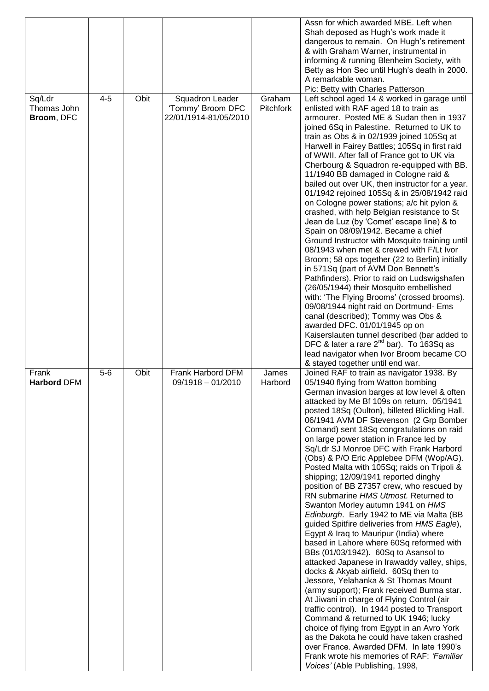|                                     |         |      |                                                               |                     | Assn for which awarded MBE. Left when<br>Shah deposed as Hugh's work made it<br>dangerous to remain. On Hugh's retirement<br>& with Graham Warner, instrumental in<br>informing & running Blenheim Society, with<br>Betty as Hon Sec until Hugh's death in 2000.<br>A remarkable woman.<br>Pic: Betty with Charles Patterson                                                                                                                                                                                                                                                                                                                                                                                                                                                                                                                                                                                                                                                                                                                                                                                                                                                                                                                                                                                                                                                                                                                    |
|-------------------------------------|---------|------|---------------------------------------------------------------|---------------------|-------------------------------------------------------------------------------------------------------------------------------------------------------------------------------------------------------------------------------------------------------------------------------------------------------------------------------------------------------------------------------------------------------------------------------------------------------------------------------------------------------------------------------------------------------------------------------------------------------------------------------------------------------------------------------------------------------------------------------------------------------------------------------------------------------------------------------------------------------------------------------------------------------------------------------------------------------------------------------------------------------------------------------------------------------------------------------------------------------------------------------------------------------------------------------------------------------------------------------------------------------------------------------------------------------------------------------------------------------------------------------------------------------------------------------------------------|
| Sq/Ldr<br>Thomas John<br>Broom, DFC | $4 - 5$ | Obit | Squadron Leader<br>'Tommy' Broom DFC<br>22/01/1914-81/05/2010 | Graham<br>Pitchfork | Left school aged 14 & worked in garage until<br>enlisted with RAF aged 18 to train as<br>armourer. Posted ME & Sudan then in 1937<br>joined 6Sq in Palestine. Returned to UK to<br>train as Obs & in 02/1939 joined 105Sq at<br>Harwell in Fairey Battles; 105Sq in first raid<br>of WWII. After fall of France got to UK via<br>Cherbourg & Squadron re-equipped with BB.<br>11/1940 BB damaged in Cologne raid &<br>bailed out over UK, then instructor for a year.<br>01/1942 rejoined 105Sq & in 25/08/1942 raid<br>on Cologne power stations; a/c hit pylon &<br>crashed, with help Belgian resistance to St<br>Jean de Luz (by 'Comet' escape line) & to<br>Spain on 08/09/1942. Became a chief<br>Ground Instructor with Mosquito training until<br>08/1943 when met & crewed with F/Lt Ivor<br>Broom; 58 ops together (22 to Berlin) initially<br>in 571Sq (part of AVM Don Bennett's<br>Pathfinders). Prior to raid on Ludswigshafen<br>(26/05/1944) their Mosquito embellished<br>with: 'The Flying Brooms' (crossed brooms).<br>09/08/1944 night raid on Dortmund- Ems<br>canal (described); Tommy was Obs &<br>awarded DFC. 01/01/1945 op on<br>Kaiserslauten tunnel described (bar added to<br>DFC & later a rare $2^{nd}$ bar). To 163Sq as<br>lead navigator when Ivor Broom became CO<br>& stayed together until end war.                                                                                                       |
| Frank<br><b>Harbord DFM</b>         | $5-6$   | Obit | Frank Harbord DFM<br>$09/1918 - 01/2010$                      | James<br>Harbord    | Joined RAF to train as navigator 1938. By<br>05/1940 flying from Watton bombing<br>German invasion barges at low level & often<br>attacked by Me Bf 109s on return. 05/1941<br>posted 18Sq (Oulton), billeted Blickling Hall.<br>06/1941 AVM DF Stevenson (2 Grp Bomber<br>Comand) sent 18Sq congratulations on raid<br>on large power station in France led by<br>Sq/Ldr SJ Monroe DFC with Frank Harbord<br>(Obs) & P/O Eric Applebee DFM (Wop/AG).<br>Posted Malta with 105Sq; raids on Tripoli &<br>shipping; 12/09/1941 reported dinghy<br>position of BB Z7357 crew, who rescued by<br>RN submarine HMS Utmost. Returned to<br>Swanton Morley autumn 1941 on HMS<br>Edinburgh. Early 1942 to ME via Malta (BB<br>guided Spitfire deliveries from HMS Eagle),<br>Egypt & Iraq to Mauripur (India) where<br>based in Lahore where 60Sq reformed with<br>BBs (01/03/1942). 60Sq to Asansol to<br>attacked Japanese in Irawaddy valley, ships,<br>docks & Akyab airfield. 60Sq then to<br>Jessore, Yelahanka & St Thomas Mount<br>(army support); Frank received Burma star.<br>At Jiwani in charge of Flying Control (air<br>traffic control). In 1944 posted to Transport<br>Command & returned to UK 1946; lucky<br>choice of flying from Egypt in an Avro York<br>as the Dakota he could have taken crashed<br>over France. Awarded DFM. In late 1990's<br>Frank wrote his memories of RAF: 'Familiar'<br>Voices' (Able Publishing, 1998, |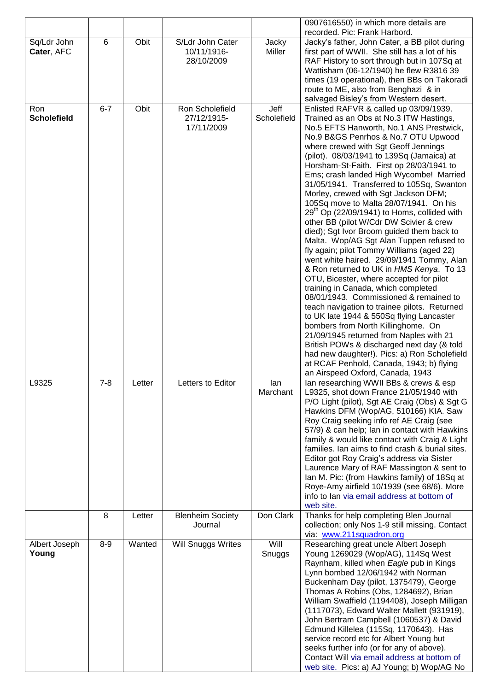|                           |                 |        |                                 |                 | 0907616550) in which more details are                                                           |
|---------------------------|-----------------|--------|---------------------------------|-----------------|-------------------------------------------------------------------------------------------------|
|                           |                 |        |                                 |                 | recorded. Pic: Frank Harbord.                                                                   |
| Sq/Ldr John<br>Cater, AFC | $6\phantom{1}6$ | Obit   | S/Ldr John Cater<br>10/11/1916- | Jacky<br>Miller | Jacky's father, John Cater, a BB pilot during<br>first part of WWII. She still has a lot of his |
|                           |                 |        | 28/10/2009                      |                 | RAF History to sort through but in 107Sq at                                                     |
|                           |                 |        |                                 |                 | Wattisham (06-12/1940) he flew R3816 39                                                         |
|                           |                 |        |                                 |                 | times (19 operational), then BBs on Takoradi                                                    |
|                           |                 |        |                                 |                 | route to ME, also from Benghazi & in                                                            |
|                           |                 |        |                                 |                 | salvaged Bisley's from Western desert.                                                          |
| Ron                       | $6 - 7$         | Obit   | Ron Scholefield                 | Jeff            | Enlisted RAFVR & called up 03/09/1939.                                                          |
| <b>Scholefield</b>        |                 |        | 27/12/1915-                     | Scholefield     | Trained as an Obs at No.3 ITW Hastings,                                                         |
|                           |                 |        | 17/11/2009                      |                 | No.5 EFTS Hanworth, No.1 ANS Prestwick,                                                         |
|                           |                 |        |                                 |                 | No.9 B&GS Penrhos & No.7 OTU Upwood                                                             |
|                           |                 |        |                                 |                 | where crewed with Sgt Geoff Jennings                                                            |
|                           |                 |        |                                 |                 | (pilot). 08/03/1941 to 139Sq (Jamaica) at                                                       |
|                           |                 |        |                                 |                 | Horsham-St-Faith. First op 28/03/1941 to                                                        |
|                           |                 |        |                                 |                 | Ems; crash landed High Wycombe! Married<br>31/05/1941. Transferred to 105Sq, Swanton            |
|                           |                 |        |                                 |                 | Morley, crewed with Sgt Jackson DFM;                                                            |
|                           |                 |        |                                 |                 | 105Sq move to Malta 28/07/1941. On his                                                          |
|                           |                 |        |                                 |                 | $29th$ Op (22/09/1941) to Homs, collided with                                                   |
|                           |                 |        |                                 |                 | other BB (pilot W/Cdr DW Scivier & crew                                                         |
|                           |                 |        |                                 |                 | died); Sgt Ivor Broom guided them back to                                                       |
|                           |                 |        |                                 |                 | Malta. Wop/AG Sgt Alan Tuppen refused to                                                        |
|                           |                 |        |                                 |                 | fly again; pilot Tommy Williams (aged 22)                                                       |
|                           |                 |        |                                 |                 | went white haired. 29/09/1941 Tommy, Alan                                                       |
|                           |                 |        |                                 |                 | & Ron returned to UK in HMS Kenya. To 13                                                        |
|                           |                 |        |                                 |                 | OTU, Bicester, where accepted for pilot                                                         |
|                           |                 |        |                                 |                 | training in Canada, which completed                                                             |
|                           |                 |        |                                 |                 | 08/01/1943. Commissioned & remained to<br>teach navigation to trainee pilots. Returned          |
|                           |                 |        |                                 |                 | to UK late 1944 & 550Sq flying Lancaster                                                        |
|                           |                 |        |                                 |                 | bombers from North Killinghome. On                                                              |
|                           |                 |        |                                 |                 | 21/09/1945 returned from Naples with 21                                                         |
|                           |                 |        |                                 |                 | British POWs & discharged next day (& told                                                      |
|                           |                 |        |                                 |                 | had new daughter!). Pics: a) Ron Scholefield                                                    |
|                           |                 |        |                                 |                 | at RCAF Penhold, Canada, 1943; b) flying                                                        |
|                           |                 |        |                                 |                 | an Airspeed Oxford, Canada, 1943                                                                |
| L9325                     | $7 - 8$         | Letter | Letters to Editor               | lan             | lan researching WWII BBs & crews & esp                                                          |
|                           |                 |        |                                 | Marchant        | L9325, shot down France 21/05/1940 with                                                         |
|                           |                 |        |                                 |                 | P/O Light (pilot), Sgt AE Craig (Obs) & Sgt G<br>Hawkins DFM (Wop/AG, 510166) KIA. Saw          |
|                           |                 |        |                                 |                 | Roy Craig seeking info ref AE Craig (see                                                        |
|                           |                 |        |                                 |                 | 57/9) & can help; Ian in contact with Hawkins                                                   |
|                           |                 |        |                                 |                 | family & would like contact with Craig & Light                                                  |
|                           |                 |        |                                 |                 | families. Ian aims to find crash & burial sites.                                                |
|                           |                 |        |                                 |                 | Editor got Roy Craig's address via Sister                                                       |
|                           |                 |        |                                 |                 | Laurence Mary of RAF Massington & sent to                                                       |
|                           |                 |        |                                 |                 | Ian M. Pic: (from Hawkins family) of 18Sq at                                                    |
|                           |                 |        |                                 |                 | Roye-Amy airfield 10/1939 (see 68/6). More<br>info to lan via email address at bottom of        |
|                           |                 |        |                                 |                 | web site.                                                                                       |
|                           | 8               | Letter | <b>Blenheim Society</b>         | Don Clark       | Thanks for help completing Blen Journal                                                         |
|                           |                 |        | Journal                         |                 | collection; only Nos 1-9 still missing. Contact                                                 |
|                           |                 |        |                                 |                 | via: www.211squadron.org                                                                        |
| Albert Joseph             | $8-9$           | Wanted | Will Snuggs Writes              | Will            | Researching great uncle Albert Joseph                                                           |
| Young                     |                 |        |                                 | Snuggs          | Young 1269029 (Wop/AG), 114Sq West                                                              |
|                           |                 |        |                                 |                 | Raynham, killed when Eagle pub in Kings                                                         |
|                           |                 |        |                                 |                 | Lynn bombed 12/06/1942 with Norman                                                              |
|                           |                 |        |                                 |                 | Buckenham Day (pilot, 1375479), George                                                          |
|                           |                 |        |                                 |                 | Thomas A Robins (Obs, 1284692), Brian                                                           |
|                           |                 |        |                                 |                 | William Swaffield (1194408), Joseph Milligan                                                    |
|                           |                 |        |                                 |                 | (1117073), Edward Walter Mallett (931919),<br>John Bertram Campbell (1060537) & David           |
|                           |                 |        |                                 |                 | Edmund Killelea (115Sq, 1170643). Has                                                           |
|                           |                 |        |                                 |                 | service record etc for Albert Young but                                                         |
|                           |                 |        |                                 |                 | seeks further info (or for any of above).                                                       |
|                           |                 |        |                                 |                 | Contact Will via email address at bottom of                                                     |
|                           |                 |        |                                 |                 | web site. Pics: a) AJ Young; b) Wop/AG No                                                       |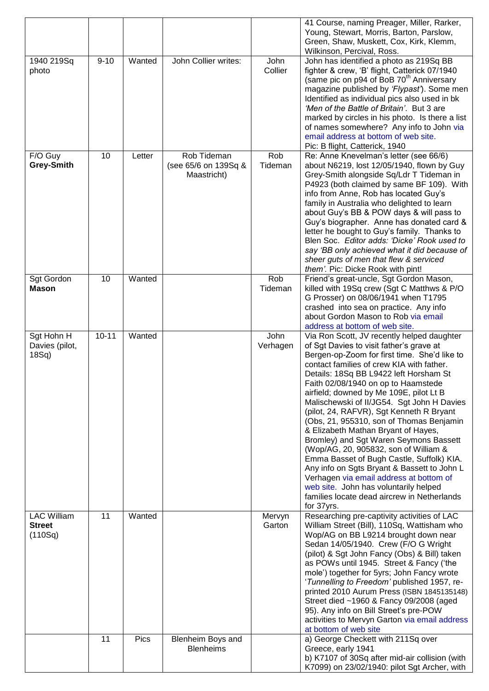|                            |           |        |                                     |                 | 41 Course, naming Preager, Miller, Rarker,<br>Young, Stewart, Morris, Barton, Parslow,      |
|----------------------------|-----------|--------|-------------------------------------|-----------------|---------------------------------------------------------------------------------------------|
|                            |           |        |                                     |                 | Green, Shaw, Muskett, Cox, Kirk, Klemm,                                                     |
|                            |           |        |                                     |                 | Wilkinson, Percival, Ross.                                                                  |
| 1940 219Sq<br>photo        | $9 - 10$  | Wanted | John Collier writes:                | John<br>Collier | John has identified a photo as 219Sq BB<br>fighter & crew, 'B' flight, Catterick 07/1940    |
|                            |           |        |                                     |                 | (same pic on p94 of BoB 70 <sup>th</sup> Anniversary                                        |
|                            |           |        |                                     |                 | magazine published by 'Flypast'). Some men                                                  |
|                            |           |        |                                     |                 | Identified as individual pics also used in bk<br>'Men of the Battle of Britain'. But 3 are  |
|                            |           |        |                                     |                 | marked by circles in his photo. Is there a list                                             |
|                            |           |        |                                     |                 | of names somewhere? Any info to John via                                                    |
|                            |           |        |                                     |                 | email address at bottom of web site.<br>Pic: B flight, Catterick, 1940                      |
| F/O Guy                    | 10        | Letter | Rob Tideman                         | Rob             | Re: Anne Knevelman's letter (see 66/6)                                                      |
| <b>Grey-Smith</b>          |           |        | (see 65/6 on 139Sq &<br>Maastricht) | Tideman         | about N6219, lost 12/05/1940, flown by Guy<br>Grey-Smith alongside Sq/Ldr T Tideman in      |
|                            |           |        |                                     |                 | P4923 (both claimed by same BF 109). With                                                   |
|                            |           |        |                                     |                 | info from Anne, Rob has located Guy's                                                       |
|                            |           |        |                                     |                 | family in Australia who delighted to learn<br>about Guy's BB & POW days & will pass to      |
|                            |           |        |                                     |                 | Guy's biographer. Anne has donated card &                                                   |
|                            |           |        |                                     |                 | letter he bought to Guy's family. Thanks to                                                 |
|                            |           |        |                                     |                 | Blen Soc. Editor adds: 'Dicke' Rook used to<br>say 'BB only achieved what it did because of |
|                            |           |        |                                     |                 | sheer guts of men that flew & serviced                                                      |
|                            |           |        |                                     |                 | them'. Pic: Dicke Rook with pint!                                                           |
| Sgt Gordon<br><b>Mason</b> | 10        | Wanted |                                     | Rob<br>Tideman  | Friend's great-uncle, Sgt Gordon Mason,<br>killed with 19Sq crew (Sgt C Matthws & P/O       |
|                            |           |        |                                     |                 | G Prosser) on 08/06/1941 when T1795                                                         |
|                            |           |        |                                     |                 | crashed into sea on practice. Any info                                                      |
|                            |           |        |                                     |                 | about Gordon Mason to Rob via email<br>address at bottom of web site.                       |
| Sgt Hohn H                 | $10 - 11$ | Wanted |                                     | John            | Via Ron Scott, JV recently helped daughter                                                  |
| Davies (pilot,             |           |        |                                     | Verhagen        | of Sgt Davies to visit father's grave at                                                    |
| 18Sq                       |           |        |                                     |                 | Bergen-op-Zoom for first time. She'd like to<br>contact families of crew KIA with father.   |
|                            |           |        |                                     |                 | Details: 18Sq BB L9422 left Horsham St                                                      |
|                            |           |        |                                     |                 | Faith 02/08/1940 on op to Haamstede                                                         |
|                            |           |        |                                     |                 | airfield; downed by Me 109E, pilot Lt B<br>Malischewski of II/JG54. Sgt John H Davies       |
|                            |           |        |                                     |                 | (pilot, 24, RAFVR), Sgt Kenneth R Bryant                                                    |
|                            |           |        |                                     |                 | (Obs, 21, 955310, son of Thomas Benjamin                                                    |
|                            |           |        |                                     |                 | & Elizabeth Mathan Bryant of Hayes,<br>Bromley) and Sgt Waren Seymons Bassett               |
|                            |           |        |                                     |                 | (Wop/AG, 20, 905832, son of William &                                                       |
|                            |           |        |                                     |                 | Emma Basset of Bugh Castle, Suffolk) KIA.                                                   |
|                            |           |        |                                     |                 | Any info on Sgts Bryant & Bassett to John L<br>Verhagen via email address at bottom of      |
|                            |           |        |                                     |                 | web site. John has voluntarily helped                                                       |
|                            |           |        |                                     |                 | families locate dead aircrew in Netherlands<br>for 37yrs.                                   |
| <b>LAC William</b>         | 11        | Wanted |                                     | Mervyn          | Researching pre-captivity activities of LAC                                                 |
| <b>Street</b>              |           |        |                                     | Garton          | William Street (Bill), 110Sq, Wattisham who                                                 |
| (110Sq)                    |           |        |                                     |                 | Wop/AG on BB L9214 brought down near<br>Sedan 14/05/1940. Crew (F/O G Wright                |
|                            |           |        |                                     |                 | (pilot) & Sgt John Fancy (Obs) & Bill) taken                                                |
|                            |           |        |                                     |                 | as POWs until 1945. Street & Fancy ('the                                                    |
|                            |           |        |                                     |                 | mole') together for 5yrs; John Fancy wrote<br>'Tunnelling to Freedom' published 1957, re-   |
|                            |           |        |                                     |                 | printed 2010 Aurum Press (ISBN 1845135148)                                                  |
|                            |           |        |                                     |                 | Street died ~1960 & Fancy 09/2008 (aged                                                     |
|                            |           |        |                                     |                 | 95). Any info on Bill Street's pre-POW<br>activities to Mervyn Garton via email address     |
|                            |           |        |                                     |                 | at bottom of web site                                                                       |
|                            | 11        | Pics   | Blenheim Boys and                   |                 | a) George Checkett with 211Sq over                                                          |
|                            |           |        | <b>Blenheims</b>                    |                 | Greece, early 1941<br>b) K7107 of 30Sq after mid-air collision (with                        |
|                            |           |        |                                     |                 | K7099) on 23/02/1940: pilot Sgt Archer, with                                                |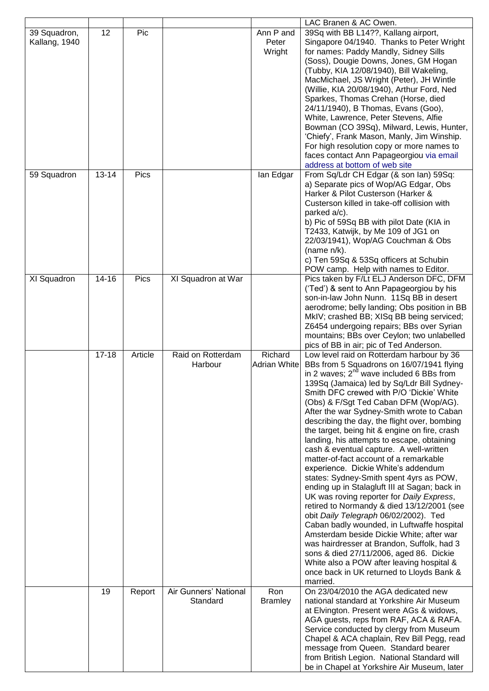|                               |           |         |                                   |                                | LAC Branen & AC Owen.                                                                                                                                                                                                                                                                                                                                                                                                                                                                                                                                                                                                                                                                                                                                                                                                                                                                                                                                                                                                                                                                                                       |
|-------------------------------|-----------|---------|-----------------------------------|--------------------------------|-----------------------------------------------------------------------------------------------------------------------------------------------------------------------------------------------------------------------------------------------------------------------------------------------------------------------------------------------------------------------------------------------------------------------------------------------------------------------------------------------------------------------------------------------------------------------------------------------------------------------------------------------------------------------------------------------------------------------------------------------------------------------------------------------------------------------------------------------------------------------------------------------------------------------------------------------------------------------------------------------------------------------------------------------------------------------------------------------------------------------------|
| 39 Squadron,<br>Kallang, 1940 | 12        | Pic     |                                   | Ann P and<br>Peter<br>Wright   | 39Sq with BB L14??, Kallang airport,<br>Singapore 04/1940. Thanks to Peter Wright<br>for names: Paddy Mandly, Sidney Sills<br>(Soss), Dougie Downs, Jones, GM Hogan<br>(Tubby, KIA 12/08/1940), Bill Wakeling,<br>MacMichael, JS Wright (Peter), JH Wintle<br>(Willie, KIA 20/08/1940), Arthur Ford, Ned<br>Sparkes, Thomas Crehan (Horse, died<br>24/11/1940), B Thomas, Evans (Goo),<br>White, Lawrence, Peter Stevens, Alfie                                                                                                                                                                                                                                                                                                                                                                                                                                                                                                                                                                                                                                                                                             |
|                               |           |         |                                   |                                | Bowman (CO 39Sq), Milward, Lewis, Hunter,<br>'Chiefy', Frank Mason, Manly, Jim Winship.<br>For high resolution copy or more names to<br>faces contact Ann Papageorgiou via email<br>address at bottom of web site                                                                                                                                                                                                                                                                                                                                                                                                                                                                                                                                                                                                                                                                                                                                                                                                                                                                                                           |
| 59 Squadron                   | $13 - 14$ | Pics    |                                   | lan Edgar                      | From Sq/Ldr CH Edgar (& son lan) 59Sq:<br>a) Separate pics of Wop/AG Edgar, Obs<br>Harker & Pilot Custerson (Harker &<br>Custerson killed in take-off collision with<br>parked a/c).<br>b) Pic of 59Sq BB with pilot Date (KIA in<br>T2433, Katwijk, by Me 109 of JG1 on<br>22/03/1941), Wop/AG Couchman & Obs<br>(name $n/k$ ).<br>c) Ten 59Sq & 53Sq officers at Schubin<br>POW camp. Help with names to Editor.                                                                                                                                                                                                                                                                                                                                                                                                                                                                                                                                                                                                                                                                                                          |
| XI Squadron                   | $14 - 16$ | Pics    | XI Squadron at War                |                                | Pics taken by F/Lt ELJ Anderson DFC, DFM<br>('Ted') & sent to Ann Papageorgiou by his<br>son-in-law John Nunn. 11Sq BB in desert<br>aerodrome; belly landing; Obs position in BB<br>MkIV; crashed BB; XISq BB being serviced;<br>Z6454 undergoing repairs; BBs over Syrian<br>mountains; BBs over Ceylon; two unlabelled<br>pics of BB in air; pic of Ted Anderson.                                                                                                                                                                                                                                                                                                                                                                                                                                                                                                                                                                                                                                                                                                                                                         |
|                               | $17 - 18$ | Article | Raid on Rotterdam<br>Harbour      | Richard<br><b>Adrian White</b> | Low level raid on Rotterdam harbour by 36<br>BBs from 5 Squadrons on 16/07/1941 flying<br>in 2 waves; $2^{nd}$ wave included 6 BBs from<br>139Sq (Jamaica) led by Sq/Ldr Bill Sydney-<br>Smith DFC crewed with P/O 'Dickie' White<br>(Obs) & F/Sgt Ted Caban DFM (Wop/AG).<br>After the war Sydney-Smith wrote to Caban<br>describing the day, the flight over, bombing<br>the target, being hit & engine on fire, crash<br>landing, his attempts to escape, obtaining<br>cash & eventual capture. A well-written<br>matter-of-fact account of a remarkable<br>experience. Dickie White's addendum<br>states: Sydney-Smith spent 4yrs as POW,<br>ending up in Stalagluft III at Sagan; back in<br>UK was roving reporter for Daily Express,<br>retired to Normandy & died 13/12/2001 (see<br>obit Daily Telegraph 06/02/2002). Ted<br>Caban badly wounded, in Luftwaffe hospital<br>Amsterdam beside Dickie White; after war<br>was hairdresser at Brandon, Suffolk, had 3<br>sons & died 27/11/2006, aged 86. Dickie<br>White also a POW after leaving hospital &<br>once back in UK returned to Lloyds Bank &<br>married. |
|                               | 19        | Report  | Air Gunners' National<br>Standard | Ron<br><b>Bramley</b>          | On 23/04/2010 the AGA dedicated new<br>national standard at Yorkshire Air Museum<br>at Elvington. Present were AGs & widows,<br>AGA guests, reps from RAF, ACA & RAFA.<br>Service conducted by clergy from Museum<br>Chapel & ACA chaplain, Rev Bill Pegg, read<br>message from Queen. Standard bearer<br>from British Legion. National Standard will<br>be in Chapel at Yorkshire Air Museum, later                                                                                                                                                                                                                                                                                                                                                                                                                                                                                                                                                                                                                                                                                                                        |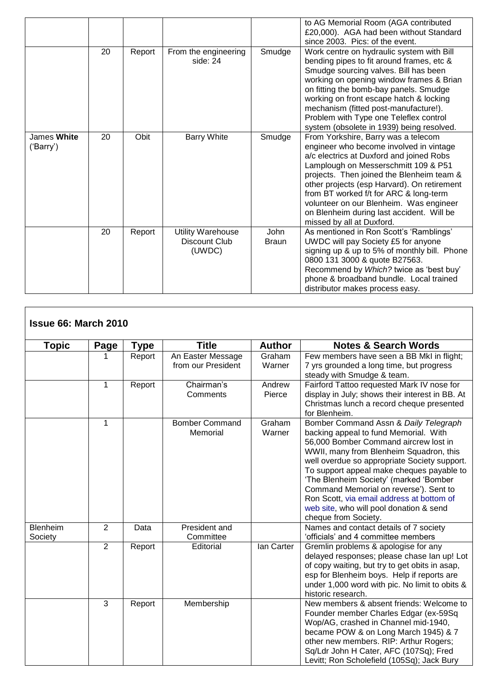|                          |    |        |                                                     |                             | to AG Memorial Room (AGA contributed<br>£20,000). AGA had been without Standard<br>since 2003. Pics: of the event.                                                                                                                                                                                                                                                                                                            |
|--------------------------|----|--------|-----------------------------------------------------|-----------------------------|-------------------------------------------------------------------------------------------------------------------------------------------------------------------------------------------------------------------------------------------------------------------------------------------------------------------------------------------------------------------------------------------------------------------------------|
|                          | 20 | Report | From the engineering<br>side: 24                    | Smudge                      | Work centre on hydraulic system with Bill<br>bending pipes to fit around frames, etc &<br>Smudge sourcing valves. Bill has been<br>working on opening window frames & Brian<br>on fitting the bomb-bay panels. Smudge<br>working on front escape hatch & locking<br>mechanism (fitted post-manufacture!).<br>Problem with Type one Teleflex control<br>system (obsolete in 1939) being resolved.                              |
| James White<br>('Barry') | 20 | Obit   | <b>Barry White</b>                                  | Smudge                      | From Yorkshire, Barry was a telecom<br>engineer who become involved in vintage<br>a/c electrics at Duxford and joined Robs<br>Lamplough on Messerschmitt 109 & P51<br>projects. Then joined the Blenheim team &<br>other projects (esp Harvard). On retirement<br>from BT worked f/t for ARC & long-term<br>volunteer on our Blenheim. Was engineer<br>on Blenheim during last accident. Will be<br>missed by all at Duxford. |
|                          | 20 | Report | <b>Utility Warehouse</b><br>Discount Club<br>(UWDC) | <b>John</b><br><b>Braun</b> | As mentioned in Ron Scott's 'Ramblings'<br>UWDC will pay Society £5 for anyone<br>signing up & up to 5% of monthly bill. Phone<br>0800 131 3000 & quote B27563.<br>Recommend by Which? twice as 'best buy'<br>phone & broadband bundle. Local trained<br>distributor makes process easy.                                                                                                                                      |

٦

 $\overline{\phantom{a}}$ 

| <b>Issue 66: March 2010</b> |                |        |                                         |                  |                                                                                                                                                                                                                                                                                                                                                                                                                                                                     |
|-----------------------------|----------------|--------|-----------------------------------------|------------------|---------------------------------------------------------------------------------------------------------------------------------------------------------------------------------------------------------------------------------------------------------------------------------------------------------------------------------------------------------------------------------------------------------------------------------------------------------------------|
| Topic                       | Page           | Type   | <b>Title</b>                            | <b>Author</b>    | <b>Notes &amp; Search Words</b>                                                                                                                                                                                                                                                                                                                                                                                                                                     |
|                             | 1              | Report | An Easter Message<br>from our President | Graham<br>Warner | Few members have seen a BB MkI in flight;<br>7 yrs grounded a long time, but progress<br>steady with Smudge & team.                                                                                                                                                                                                                                                                                                                                                 |
|                             | $\mathbf{1}$   | Report | Chairman's<br>Comments                  | Andrew<br>Pierce | Fairford Tattoo requested Mark IV nose for<br>display in July; shows their interest in BB. At<br>Christmas lunch a record cheque presented<br>for Blenheim.                                                                                                                                                                                                                                                                                                         |
|                             | $\mathbf{1}$   |        | <b>Bomber Command</b><br>Memorial       | Graham<br>Warner | Bomber Command Assn & Daily Telegraph<br>backing appeal to fund Memorial. With<br>56,000 Bomber Command aircrew lost in<br>WWII, many from Blenheim Squadron, this<br>well overdue so appropriate Society support.<br>To support appeal make cheques payable to<br>'The Blenheim Society' (marked 'Bomber<br>Command Memorial on reverse'). Sent to<br>Ron Scott, via email address at bottom of<br>web site, who will pool donation & send<br>cheque from Society. |
| <b>Blenheim</b><br>Society  | $\overline{2}$ | Data   | President and<br>Committee              |                  | Names and contact details of 7 society<br>'officials' and 4 committee members                                                                                                                                                                                                                                                                                                                                                                                       |
|                             | $\overline{2}$ | Report | Editorial                               | lan Carter       | Gremlin problems & apologise for any<br>delayed responses; please chase Ian up! Lot<br>of copy waiting, but try to get obits in asap,<br>esp for Blenheim boys. Help if reports are<br>under 1,000 word with pic. No limit to obits &<br>historic research.                                                                                                                                                                                                         |
|                             | 3              | Report | Membership                              |                  | New members & absent friends: Welcome to<br>Founder member Charles Edgar (ex-59Sq<br>Wop/AG, crashed in Channel mid-1940,<br>became POW & on Long March 1945) & 7<br>other new members. RIP: Arthur Rogers;<br>Sq/Ldr John H Cater, AFC (107Sq); Fred<br>Levitt; Ron Scholefield (105Sq); Jack Bury                                                                                                                                                                 |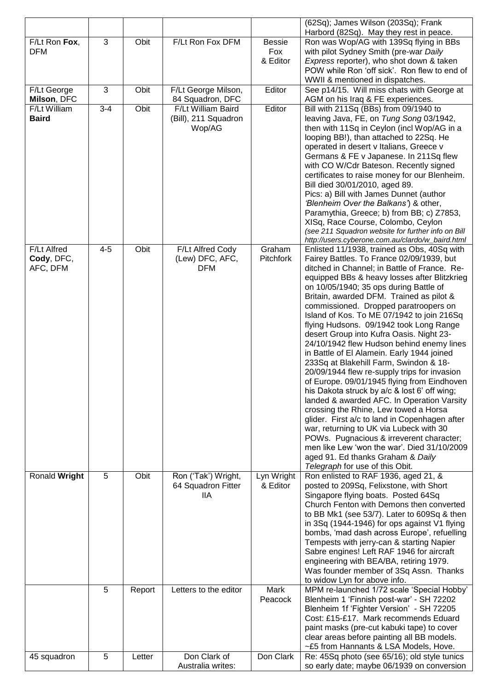|               |         |        |                       |                  | (62Sq); James Wilson (203Sq); Frank                                                             |
|---------------|---------|--------|-----------------------|------------------|-------------------------------------------------------------------------------------------------|
| F/Lt Ron Fox, | 3       | Obit   | F/Lt Ron Fox DFM      | <b>Bessie</b>    | Harbord (82Sq). May they rest in peace.<br>Ron was Wop/AG with 139Sq flying in BBs              |
| <b>DFM</b>    |         |        |                       | Fox              | with pilot Sydney Smith (pre-war Daily                                                          |
|               |         |        |                       | & Editor         | Express reporter), who shot down & taken                                                        |
|               |         |        |                       |                  | POW while Ron 'off sick'. Ron flew to end of                                                    |
| F/Lt George   | 3       | Obit   | F/Lt George Milson,   | Editor           | WWII & mentioned in dispatches.<br>See p14/15. Will miss chats with George at                   |
| Milson, DFC   |         |        | 84 Squadron, DFC      |                  | AGM on his Iraq & FE experiences.                                                               |
| F/Lt William  | $3 - 4$ | Obit   | F/Lt William Baird    | Editor           | Bill with 211Sq (BBs) from 09/1940 to                                                           |
| <b>Baird</b>  |         |        | (Bill), 211 Squadron  |                  | leaving Java, FE, on Tung Song 03/1942,                                                         |
|               |         |        | Wop/AG                |                  | then with 11Sq in Ceylon (incl Wop/AG in a                                                      |
|               |         |        |                       |                  | looping BB!), than attached to 22Sq. He<br>operated in desert v Italians, Greece v              |
|               |         |        |                       |                  | Germans & FE v Japanese. In 211Sq flew                                                          |
|               |         |        |                       |                  | with CO W/Cdr Bateson. Recently signed                                                          |
|               |         |        |                       |                  | certificates to raise money for our Blenheim.                                                   |
|               |         |        |                       |                  | Bill died 30/01/2010, aged 89.                                                                  |
|               |         |        |                       |                  | Pics: a) Bill with James Dunnet (author<br>'Blenheim Over the Balkans') & other,                |
|               |         |        |                       |                  | Paramythia, Greece; b) from BB; c) Z7853,                                                       |
|               |         |        |                       |                  | XISq, Race Course, Colombo, Ceylon                                                              |
|               |         |        |                       |                  | (see 211 Squadron website for further info on Bill                                              |
| F/Lt Alfred   | $4 - 5$ | Obit   | F/Lt Alfred Cody      | Graham           | http://users.cyberone.com.au/clardo/w_baird.html<br>Enlisted 11/1938, trained as Obs, 40Sq with |
| Cody, DFC,    |         |        | (Lew) DFC, AFC,       | <b>Pitchfork</b> | Fairey Battles. To France 02/09/1939, but                                                       |
| AFC, DFM      |         |        | <b>DFM</b>            |                  | ditched in Channel; in Battle of France. Re-                                                    |
|               |         |        |                       |                  | equipped BBs & heavy losses after Blitzkrieg<br>on 10/05/1940; 35 ops during Battle of          |
|               |         |        |                       |                  | Britain, awarded DFM. Trained as pilot &                                                        |
|               |         |        |                       |                  | commissioned. Dropped paratroopers on                                                           |
|               |         |        |                       |                  | Island of Kos. To ME 07/1942 to join 216Sq                                                      |
|               |         |        |                       |                  | flying Hudsons. 09/1942 took Long Range<br>desert Group into Kufra Oasis. Night 23-             |
|               |         |        |                       |                  | 24/10/1942 flew Hudson behind enemy lines                                                       |
|               |         |        |                       |                  | in Battle of El Alamein. Early 1944 joined                                                      |
|               |         |        |                       |                  | 233Sq at Blakehill Farm, Swindon & 18-                                                          |
|               |         |        |                       |                  | 20/09/1944 flew re-supply trips for invasion<br>of Europe. 09/01/1945 flying from Eindhoven     |
|               |         |        |                       |                  | his Dakota struck by a/c & lost 6' off wing;                                                    |
|               |         |        |                       |                  | landed & awarded AFC. In Operation Varsity                                                      |
|               |         |        |                       |                  | crossing the Rhine, Lew towed a Horsa                                                           |
|               |         |        |                       |                  | glider. First a/c to land in Copenhagen after<br>war, returning to UK via Lubeck with 30        |
|               |         |        |                       |                  | POWs. Pugnacious & irreverent character;                                                        |
|               |         |        |                       |                  | men like Lew 'won the war'. Died 31/10/2009                                                     |
|               |         |        |                       |                  | aged 91. Ed thanks Graham & Daily                                                               |
| Ronald Wright | 5       | Obit   | Ron ('Tak') Wright,   | Lyn Wright       | Telegraph for use of this Obit.<br>Ron enlisted to RAF 1936, aged 21, &                         |
|               |         |        | 64 Squadron Fitter    | & Editor         | posted to 209Sq, Felixstone, with Short                                                         |
|               |         |        | 11A                   |                  | Singapore flying boats. Posted 64Sq                                                             |
|               |         |        |                       |                  | Church Fenton with Demons then converted                                                        |
|               |         |        |                       |                  | to BB Mk1 (see 53/7). Later to 609Sq & then<br>in 3Sq (1944-1946) for ops against V1 flying     |
|               |         |        |                       |                  | bombs, 'mad dash across Europe', refuelling                                                     |
|               |         |        |                       |                  | Tempests with jerry-can & starting Napier                                                       |
|               |         |        |                       |                  | Sabre engines! Left RAF 1946 for aircraft                                                       |
|               |         |        |                       |                  | engineering with BEA/BA, retiring 1979.<br>Was founder member of 3Sq Assn. Thanks               |
|               |         |        |                       |                  | to widow Lyn for above info.                                                                    |
|               | 5       | Report | Letters to the editor | Mark             | MPM re-launched 1/72 scale 'Special Hobby'                                                      |
|               |         |        |                       | Peacock          | Blenheim 1 'Finnish post-war' - SH 72202                                                        |
|               |         |        |                       |                  | Blenheim 1f 'Fighter Version' - SH 72205<br>Cost: £15-£17. Mark recommends Eduard               |
|               |         |        |                       |                  | paint masks (pre-cut kabuki tape) to cover                                                      |
|               |         |        |                       |                  | clear areas before painting all BB models.                                                      |
|               |         |        |                       |                  | ~£5 from Hannants & LSA Models, Hove.                                                           |
| 45 squadron   | 5       | Letter | Don Clark of          | Don Clark        | Re: 45Sq photo (see 65/16); old style tunics                                                    |
|               |         |        | Australia writes:     |                  | so early date; maybe 06/1939 on conversion                                                      |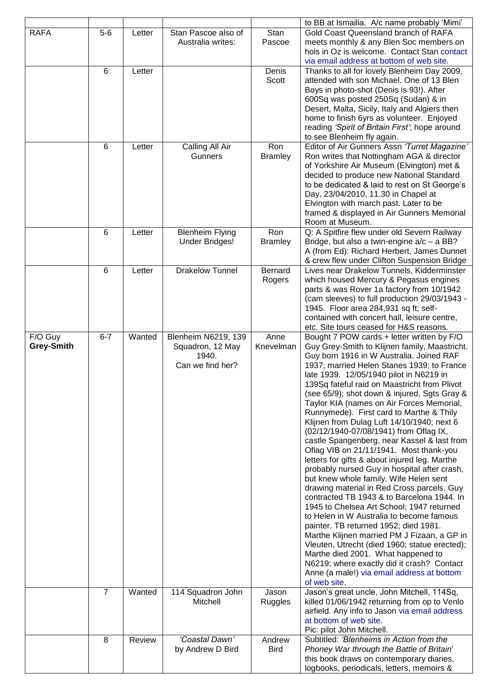|                       |                |        |                                                                      |                          | to BB at Ismailia. A/c name probably 'Mimi'                                                                                                                                                                                                                                                                                                                                                                                                                                                                                                                                                                                                                                                                                                                                                                                                                                                                                                                                                                                                                                                                                                                                                                                            |
|-----------------------|----------------|--------|----------------------------------------------------------------------|--------------------------|----------------------------------------------------------------------------------------------------------------------------------------------------------------------------------------------------------------------------------------------------------------------------------------------------------------------------------------------------------------------------------------------------------------------------------------------------------------------------------------------------------------------------------------------------------------------------------------------------------------------------------------------------------------------------------------------------------------------------------------------------------------------------------------------------------------------------------------------------------------------------------------------------------------------------------------------------------------------------------------------------------------------------------------------------------------------------------------------------------------------------------------------------------------------------------------------------------------------------------------|
| <b>RAFA</b>           | $5-6$          | Letter | Stan Pascoe also of<br>Australia writes:                             | Stan<br>Pascoe           | Gold Coast Queensland branch of RAFA<br>meets monthly & any Blen Soc members on<br>hols in Oz is welcome. Contact Stan contact<br>via email address at bottom of web site.                                                                                                                                                                                                                                                                                                                                                                                                                                                                                                                                                                                                                                                                                                                                                                                                                                                                                                                                                                                                                                                             |
|                       | 6              | Letter |                                                                      | Denis<br>Scott           | Thanks to all for lovely Blenheim Day 2009,<br>attended with son Michael. One of 13 Blen<br>Boys in photo-shot (Denis is 93!). After<br>600Sq was posted 250Sq (Sudan) & in<br>Desert, Malta, Sicily, Italy and Algiers then<br>home to finish 6yrs as volunteer. Enjoyed<br>reading 'Spirit of Britain First'; hope around<br>to see Blenheim fly again.                                                                                                                                                                                                                                                                                                                                                                                                                                                                                                                                                                                                                                                                                                                                                                                                                                                                              |
|                       | 6              | Letter | Calling All Air<br>Gunners                                           | Ron<br><b>Bramley</b>    | Editor of Air Gunners Assn 'Turret Magazine'<br>Ron writes that Nottingham AGA & director<br>of Yorkshire Air Museum (Elvington) met &<br>decided to produce new National Standard<br>to be dedicated & laid to rest on St George's<br>Day, 23/04/2010, 11.30 in Chapel at<br>Elvington with march past. Later to be<br>framed & displayed in Air Gunners Memorial<br>Room at Museum.                                                                                                                                                                                                                                                                                                                                                                                                                                                                                                                                                                                                                                                                                                                                                                                                                                                  |
|                       | 6              | Letter | <b>Blenheim Flying</b><br><b>Under Bridges!</b>                      | Ron<br><b>Bramley</b>    | Q: A Spitfire flew under old Severn Railway<br>Bridge, but also a twin-engine $a/c - a BB$ ?<br>A (from Ed): Richard Herbert, James Dunnet<br>& crew flew under Clifton Suspension Bridge                                                                                                                                                                                                                                                                                                                                                                                                                                                                                                                                                                                                                                                                                                                                                                                                                                                                                                                                                                                                                                              |
|                       | $6\phantom{1}$ | Letter | <b>Drakelow Tunnel</b>                                               | <b>Bernard</b><br>Rogers | Lives near Drakelow Tunnels, Kidderminster<br>which housed Mercury & Pegasus engines<br>parts & was Rover 1a factory from 10/1942<br>(cam sleeves) to full production 29/03/1943 -<br>1945. Floor area 284,931 sq ft; self-<br>contained with concert hall, leisure centre,<br>etc. Site tours ceased for H&S reasons.                                                                                                                                                                                                                                                                                                                                                                                                                                                                                                                                                                                                                                                                                                                                                                                                                                                                                                                 |
| F/O Guy<br>Grey-Smith | $6 - 7$        | Wanted | Blenheim N6219, 139<br>Squadron, 12 May<br>1940.<br>Can we find her? | Anne<br>Knevelman        | Bought 7 POW cards + letter written by F/O<br>Guy Grey-Smith to Klijnen family, Maastricht.<br>Guy born 1916 in W Australia. Joined RAF<br>1937; married Helen Stanes 1939; to France<br>late 1939. 12/05/1940 pilot in N6219 in<br>139Sq fateful raid on Maastricht from Plivot<br>(see 65/9); shot down & injured, Sgts Gray &<br>Taylor KIA (names on Air Forces Memorial,<br>Runnymede). First card to Marthe & Thily<br>Klijnen from Dulag Luft 14/10/1940; next 6<br>(02/12/1940-07/08/1941) from Oflag IX,<br>castle Spangenberg, near Kassel & last from<br>Oflag VIB on 21/11/1941. Most thank-you<br>letters for gifts & about injured leg. Marthe<br>probably nursed Guy in hospital after crash,<br>but knew whole family. Wife Helen sent<br>drawing material in Red Cross parcels. Guy<br>contracted TB 1943 & to Barcelona 1944. In<br>1945 to Chelsea Art School; 1947 returned<br>to Helen in W Australia to become famous<br>painter. TB returned 1952; died 1981.<br>Marthe Klijnen married PM J Fizaan, a GP in<br>Vleuten, Utrecht (died 1960; statue erected);<br>Marthe died 2001. What happened to<br>N6219; where exactly did it crash? Contact<br>Anne (a male!) via email address at bottom<br>of web site. |
|                       | $\overline{7}$ | Wanted | 114 Squadron John<br>Mitchell                                        | Jason<br><b>Ruggles</b>  | Jason's great uncle, John Mitchell, 114Sq,<br>killed 01/06/1942 returning from op to Venlo<br>airfield. Any info to Jason via email address<br>at bottom of web site.<br>Pic: pilot John Mitchell.                                                                                                                                                                                                                                                                                                                                                                                                                                                                                                                                                                                                                                                                                                                                                                                                                                                                                                                                                                                                                                     |
|                       | 8              | Review | 'Coastal Dawn'<br>by Andrew D Bird                                   | Andrew<br><b>Bird</b>    | Subtitled: 'Blenheims in Action from the<br>Phoney War through the Battle of Britain'<br>this book draws on contemporary diaries,<br>logbooks, periodicals, letters, memoirs &                                                                                                                                                                                                                                                                                                                                                                                                                                                                                                                                                                                                                                                                                                                                                                                                                                                                                                                                                                                                                                                         |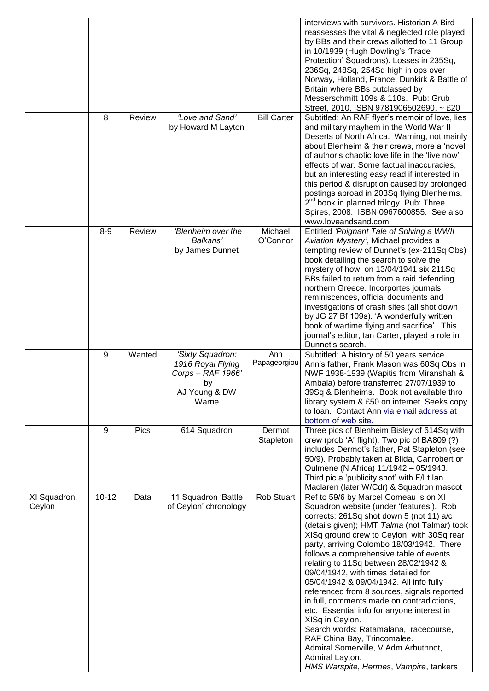|                        |           |               |                                                                                            |                     | interviews with survivors. Historian A Bird<br>reassesses the vital & neglected role played<br>by BBs and their crews allotted to 11 Group<br>in 10/1939 (Hugh Dowling's 'Trade<br>Protection' Squadrons). Losses in 235Sq,<br>236Sq, 248Sq, 254Sq high in ops over<br>Norway, Holland, France, Dunkirk & Battle of<br>Britain where BBs outclassed by<br>Messerschmitt 109s & 110s. Pub: Grub<br>Street, 2010, ISBN 9781906502690. ~ £20                                                                                                                                                                                                                                                                                                                                                |
|------------------------|-----------|---------------|--------------------------------------------------------------------------------------------|---------------------|------------------------------------------------------------------------------------------------------------------------------------------------------------------------------------------------------------------------------------------------------------------------------------------------------------------------------------------------------------------------------------------------------------------------------------------------------------------------------------------------------------------------------------------------------------------------------------------------------------------------------------------------------------------------------------------------------------------------------------------------------------------------------------------|
|                        | 8         | Review        | 'Love and Sand'<br>by Howard M Layton                                                      | <b>Bill Carter</b>  | Subtitled: An RAF flyer's memoir of love, lies<br>and military mayhem in the World War II<br>Deserts of North Africa. Warning, not mainly<br>about Blenheim & their crews, more a 'novel'<br>of author's chaotic love life in the 'live now'<br>effects of war. Some factual inaccuracies,<br>but an interesting easy read if interested in<br>this period & disruption caused by prolonged<br>postings abroad in 203Sq flying Blenheims.<br>2 <sup>nd</sup> book in planned trilogy. Pub: Three<br>Spires, 2008. ISBN 0967600855. See also<br>www.loveandsand.com                                                                                                                                                                                                                       |
|                        | $8 - 9$   | <b>Review</b> | 'Blenheim over the<br>Balkans'<br>by James Dunnet                                          | Michael<br>O'Connor | Entitled 'Poignant Tale of Solving a WWII<br>Aviation Mystery', Michael provides a<br>tempting review of Dunnet's (ex-211Sq Obs)<br>book detailing the search to solve the<br>mystery of how, on 13/04/1941 six 211Sq<br>BBs failed to return from a raid defending<br>northern Greece. Incorportes journals,<br>reminiscences, official documents and<br>investigations of crash sites (all shot down<br>by JG 27 Bf 109s). 'A wonderfully written<br>book of wartime flying and sacrifice'. This<br>journal's editor, Ian Carter, played a role in<br>Dunnet's search.                                                                                                                                                                                                                 |
|                        | 9         | Wanted        | 'Sixty Squadron:<br>1916 Royal Flying<br>Corps - RAF 1966'<br>by<br>AJ Young & DW<br>Warne | Ann<br>Papageorgiou | Subtitled: A history of 50 years service.<br>Ann's father, Frank Mason was 60Sq Obs in<br>NWF 1938-1939 (Wapitis from Miranshah &<br>Ambala) before transferred 27/07/1939 to<br>39Sq & Blenheims. Book not available thro<br>library system & £50 on internet. Seeks copy<br>to Ioan. Contact Ann via email address at<br>bottom of web site.                                                                                                                                                                                                                                                                                                                                                                                                                                           |
|                        | 9         | Pics          | 614 Squadron                                                                               | Dermot<br>Stapleton | Three pics of Blenheim Bisley of 614Sq with<br>crew (prob 'A' flight). Two pic of BA809 (?)<br>includes Dermot's father, Pat Stapleton (see<br>50/9). Probably taken at Blida, Canrobert or<br>Oulmene (N Africa) 11/1942 - 05/1943.<br>Third pic a 'publicity shot' with F/Lt lan<br>Maclaren (later W/Cdr) & Squadron mascot                                                                                                                                                                                                                                                                                                                                                                                                                                                           |
| XI Squadron,<br>Ceylon | $10 - 12$ | Data          | 11 Squadron 'Battle<br>of Ceylon' chronology                                               | <b>Rob Stuart</b>   | Ref to 59/6 by Marcel Comeau is on XI<br>Squadron website (under 'features'). Rob<br>corrects: 261Sq shot down 5 (not 11) a/c<br>(details given); HMT Talma (not Talmar) took<br>XISq ground crew to Ceylon, with 30Sq rear<br>party, arriving Colombo 18/03/1942. There<br>follows a comprehensive table of events<br>relating to 11Sq between 28/02/1942 &<br>09/04/1942, with times detailed for<br>05/04/1942 & 09/04/1942. All info fully<br>referenced from 8 sources, signals reported<br>in full, comments made on contradictions,<br>etc. Essential info for anyone interest in<br>XISq in Ceylon.<br>Search words: Ratamalana, racecourse,<br>RAF China Bay, Trincomalee.<br>Admiral Somerville, V Adm Arbuthnot,<br>Admiral Layton.<br>HMS Warspite, Hermes, Vampire, tankers |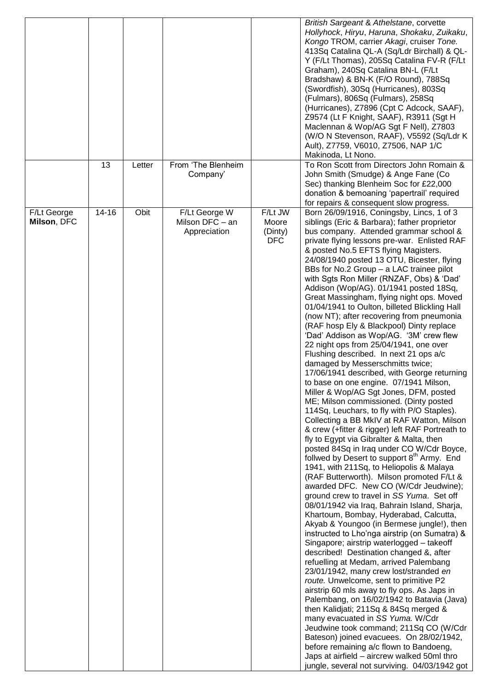|             |           |        |                    |            | British Sargeant & Athelstane, corvette                                             |
|-------------|-----------|--------|--------------------|------------|-------------------------------------------------------------------------------------|
|             |           |        |                    |            | Hollyhock, Hiryu, Haruna, Shokaku, Zuikaku,                                         |
|             |           |        |                    |            | Kongo TROM, carrier Akagi, cruiser Tone.                                            |
|             |           |        |                    |            | 413Sq Catalina QL-A (Sq/Ldr Birchall) & QL-                                         |
|             |           |        |                    |            | Y (F/Lt Thomas), 205Sq Catalina FV-R (F/Lt                                          |
|             |           |        |                    |            | Graham), 240Sq Catalina BN-L (F/Lt                                                  |
|             |           |        |                    |            | Bradshaw) & BN-K (F/O Round), 788Sq                                                 |
|             |           |        |                    |            | (Swordfish), 30Sq (Hurricanes), 803Sq                                               |
|             |           |        |                    |            | (Fulmars), 806Sq (Fulmars), 258Sq                                                   |
|             |           |        |                    |            | (Hurricanes), Z7896 (Cpt C Adcock, SAAF),                                           |
|             |           |        |                    |            | Z9574 (Lt F Knight, SAAF), R3911 (Sgt H                                             |
|             |           |        |                    |            | Maclennan & Wop/AG Sgt F Nell), Z7803                                               |
|             |           |        |                    |            | (W/O N Stevenson, RAAF), V5592 (Sq/Ldr K                                            |
|             |           |        |                    |            | Ault), Z7759, V6010, Z7506, NAP 1/C                                                 |
|             |           |        |                    |            | Makinoda, Lt Nono.                                                                  |
|             | 13        | Letter | From 'The Blenheim |            | To Ron Scott from Directors John Romain &                                           |
|             |           |        | Company'           |            | John Smith (Smudge) & Ange Fane (Co                                                 |
|             |           |        |                    |            | Sec) thanking Blenheim Soc for £22,000                                              |
|             |           |        |                    |            | donation & bemoaning 'papertrail' required                                          |
|             |           |        |                    |            | for repairs & consequent slow progress.                                             |
| F/Lt George | $14 - 16$ | Obit   | F/Lt George W      | F/Lt JW    | Born 26/09/1916, Coningsby, Lincs, 1 of 3                                           |
| Milson, DFC |           |        | Milson DFC - an    | Moore      | siblings (Eric & Barbara); father proprietor                                        |
|             |           |        | Appreciation       | (Dinty)    | bus company. Attended grammar school &                                              |
|             |           |        |                    | <b>DFC</b> | private flying lessons pre-war. Enlisted RAF                                        |
|             |           |        |                    |            | & posted No.5 EFTS flying Magisters.                                                |
|             |           |        |                    |            | 24/08/1940 posted 13 OTU, Bicester, flying                                          |
|             |           |        |                    |            | BBs for No.2 Group - a LAC trainee pilot                                            |
|             |           |        |                    |            | with Sgts Ron Miller (RNZAF, Obs) & 'Dad'<br>Addison (Wop/AG). 01/1941 posted 18Sq, |
|             |           |        |                    |            | Great Massingham, flying night ops. Moved                                           |
|             |           |        |                    |            | 01/04/1941 to Oulton, billeted Blickling Hall                                       |
|             |           |        |                    |            | (now NT); after recovering from pneumonia                                           |
|             |           |        |                    |            | (RAF hosp Ely & Blackpool) Dinty replace                                            |
|             |           |        |                    |            | 'Dad' Addison as Wop/AG. '3M' crew flew                                             |
|             |           |        |                    |            | 22 night ops from 25/04/1941, one over                                              |
|             |           |        |                    |            | Flushing described. In next 21 ops a/c                                              |
|             |           |        |                    |            | damaged by Messerschmitts twice;                                                    |
|             |           |        |                    |            | 17/06/1941 described, with George returning                                         |
|             |           |        |                    |            | to base on one engine. 07/1941 Milson,                                              |
|             |           |        |                    |            | Miller & Wop/AG Sgt Jones, DFM, posted                                              |
|             |           |        |                    |            | ME; Milson commissioned. (Dinty posted                                              |
|             |           |        |                    |            | 114Sq, Leuchars, to fly with P/O Staples).                                          |
|             |           |        |                    |            | Collecting a BB MkIV at RAF Watton, Milson                                          |
|             |           |        |                    |            | & crew (+fitter & rigger) left RAF Portreath to                                     |
|             |           |        |                    |            | fly to Egypt via Gibralter & Malta, then                                            |
|             |           |        |                    |            | posted 84Sq in Iraq under CO W/Cdr Boyce,                                           |
|             |           |        |                    |            | follwed by Desert to support 8 <sup>th</sup> Army. End                              |
|             |           |        |                    |            | 1941, with 211Sq, to Heliopolis & Malaya                                            |
|             |           |        |                    |            | (RAF Butterworth). Milson promoted F/Lt &                                           |
|             |           |        |                    |            | awarded DFC. New CO (W/Cdr Jeudwine);                                               |
|             |           |        |                    |            | ground crew to travel in SS Yuma. Set off                                           |
|             |           |        |                    |            | 08/01/1942 via Iraq, Bahrain Island, Sharja,                                        |
|             |           |        |                    |            | Khartoum, Bombay, Hyderabad, Calcutta,                                              |
|             |           |        |                    |            | Akyab & Youngoo (in Bermese jungle!), then                                          |
|             |           |        |                    |            | instructed to Lho'nga airstrip (on Sumatra) &                                       |
|             |           |        |                    |            | Singapore; airstrip waterlogged - takeoff                                           |
|             |           |        |                    |            | described! Destination changed &, after                                             |
|             |           |        |                    |            | refuelling at Medam, arrived Palembang                                              |
|             |           |        |                    |            | 23/01/1942, many crew lost/stranded en                                              |
|             |           |        |                    |            | route. Unwelcome, sent to primitive P2                                              |
|             |           |        |                    |            | airstrip 60 mls away to fly ops. As Japs in                                         |
|             |           |        |                    |            | Palembang, on 16/02/1942 to Batavia (Java)                                          |
|             |           |        |                    |            | then Kalidjati; 211Sq & 84Sq merged &                                               |
|             |           |        |                    |            | many evacuated in SS Yuma. W/Cdr                                                    |
|             |           |        |                    |            | Jeudwine took command; 211Sq CO (W/Cdr                                              |
|             |           |        |                    |            | Bateson) joined evacuees. On 28/02/1942,                                            |
|             |           |        |                    |            | before remaining a/c flown to Bandoeng,                                             |
|             |           |        |                    |            | Japs at airfield - aircrew walked 50ml thro                                         |
|             |           |        |                    |            | jungle, several not surviving. 04/03/1942 got                                       |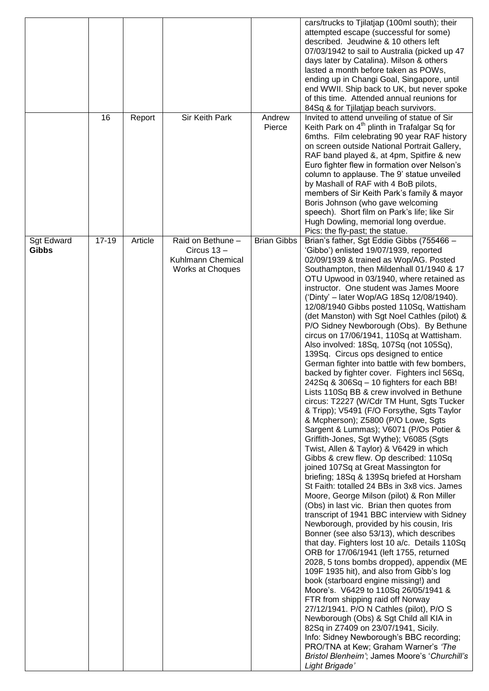|                            | 16        | Report  | Sir Keith Park                                                            | Andrew<br>Pierce   | cars/trucks to Tjilatjap (100ml south); their<br>attempted escape (successful for some)<br>described. Jeudwine & 10 others left<br>07/03/1942 to sail to Australia (picked up 47<br>days later by Catalina). Milson & others<br>lasted a month before taken as POWs,<br>ending up in Changi Goal, Singapore, until<br>end WWII. Ship back to UK, but never spoke<br>of this time. Attended annual reunions for<br>84Sq & for Tjilatjap beach survivors.<br>Invited to attend unveiling of statue of Sir<br>Keith Park on 4 <sup>th</sup> plinth in Trafalgar Sq for<br>6mths. Film celebrating 90 year RAF history<br>on screen outside National Portrait Gallery,<br>RAF band played &, at 4pm, Spitfire & new<br>Euro fighter flew in formation over Nelson's<br>column to applause. The 9' statue unveiled<br>by Mashall of RAF with 4 BoB pilots,<br>members of Sir Keith Park's family & mayor<br>Boris Johnson (who gave welcoming                                                                                                                                                                                                                                                                                                                                                                                                                                                                                                                                                                                                                                                                                                                                                                                                                                                                                                                                                                                                                                                                                                                            |
|----------------------------|-----------|---------|---------------------------------------------------------------------------|--------------------|---------------------------------------------------------------------------------------------------------------------------------------------------------------------------------------------------------------------------------------------------------------------------------------------------------------------------------------------------------------------------------------------------------------------------------------------------------------------------------------------------------------------------------------------------------------------------------------------------------------------------------------------------------------------------------------------------------------------------------------------------------------------------------------------------------------------------------------------------------------------------------------------------------------------------------------------------------------------------------------------------------------------------------------------------------------------------------------------------------------------------------------------------------------------------------------------------------------------------------------------------------------------------------------------------------------------------------------------------------------------------------------------------------------------------------------------------------------------------------------------------------------------------------------------------------------------------------------------------------------------------------------------------------------------------------------------------------------------------------------------------------------------------------------------------------------------------------------------------------------------------------------------------------------------------------------------------------------------------------------------------------------------------------------------------------------------|
|                            |           |         |                                                                           |                    | speech). Short film on Park's life; like Sir<br>Hugh Dowling, memorial long overdue.<br>Pics: the fly-past; the statue.                                                                                                                                                                                                                                                                                                                                                                                                                                                                                                                                                                                                                                                                                                                                                                                                                                                                                                                                                                                                                                                                                                                                                                                                                                                                                                                                                                                                                                                                                                                                                                                                                                                                                                                                                                                                                                                                                                                                             |
| Sgt Edward<br><b>Gibbs</b> | $17 - 19$ | Article | Raid on Bethune -<br>Circus 13 -<br>Kuhlmann Chemical<br>Works at Choques | <b>Brian Gibbs</b> | Brian's father, Sgt Eddie Gibbs (755466 -<br>'Gibbo') enlisted 19/07/1939, reported<br>02/09/1939 & trained as Wop/AG. Posted<br>Southampton, then Mildenhall 01/1940 & 17<br>OTU Upwood in 03/1940, where retained as<br>instructor. One student was James Moore<br>('Dinty' - later Wop/AG 18Sq 12/08/1940).<br>12/08/1940 Gibbs posted 110Sq, Wattisham<br>(det Manston) with Sgt Noel Cathles (pilot) &<br>P/O Sidney Newborough (Obs). By Bethune<br>circus on 17/06/1941, 110Sq at Wattisham.<br>Also involved: 18Sq, 107Sq (not 105Sq),<br>139Sq. Circus ops designed to entice<br>German fighter into battle with few bombers,<br>backed by fighter cover. Fighters incl 56Sq,<br>242Sq & 306Sq - 10 fighters for each BB!<br>Lists 110Sq BB & crew involved in Bethune<br>circus: T2227 (W/Cdr TM Hunt, Sgts Tucker<br>& Tripp); V5491 (F/O Forsythe, Sgts Taylor<br>& Mcpherson); Z5800 (P/O Lowe, Sgts<br>Sargent & Lummas); V6071 (P/Os Potier &<br>Griffith-Jones, Sgt Wythe); V6085 (Sgts<br>Twist, Allen & Taylor) & V6429 in which<br>Gibbs & crew flew. Op described: 110Sq<br>joined 107Sq at Great Massington for<br>briefing; 18Sq & 139Sq briefed at Horsham<br>St Faith: totalled 24 BBs in 3x8 vics. James<br>Moore, George Milson (pilot) & Ron Miller<br>(Obs) in last vic. Brian then quotes from<br>transcript of 1941 BBC interview with Sidney<br>Newborough, provided by his cousin, Iris<br>Bonner (see also 53/13), which describes<br>that day. Fighters lost 10 a/c. Details 110Sq<br>ORB for 17/06/1941 (left 1755, returned<br>2028, 5 tons bombs dropped), appendix (ME<br>109F 1935 hit), and also from Gibb's log<br>book (starboard engine missing!) and<br>Moore's. V6429 to 110Sq 26/05/1941 &<br>FTR from shipping raid off Norway<br>27/12/1941. P/O N Cathles (pilot), P/O S<br>Newborough (Obs) & Sgt Child all KIA in<br>82Sq in Z7409 on 23/07/1941, Sicily.<br>Info: Sidney Newborough's BBC recording;<br>PRO/TNA at Kew; Graham Warner's 'The<br>Bristol Blenheim'; James Moore's 'Churchill's<br>Light Brigade' |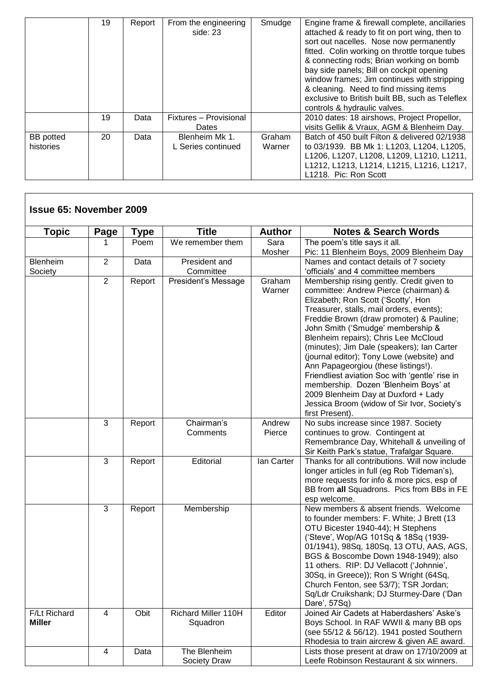|                               | 19 | Report | From the engineering<br>side: 23     | Smudge           | Engine frame & firewall complete, ancillaries<br>attached & ready to fit on port wing, then to<br>sort out nacelles. Nose now permanently<br>fitted. Colin working on throttle torque tubes<br>& connecting rods; Brian working on bomb<br>bay side panels; Bill on cockpit opening<br>window frames; Jim continues with stripping<br>& cleaning. Need to find missing items<br>exclusive to British built BB, such as Teleflex<br>controls & hydraulic valves. |
|-------------------------------|----|--------|--------------------------------------|------------------|-----------------------------------------------------------------------------------------------------------------------------------------------------------------------------------------------------------------------------------------------------------------------------------------------------------------------------------------------------------------------------------------------------------------------------------------------------------------|
|                               | 19 | Data   | Fixtures - Provisional<br>Dates      |                  | 2010 dates: 18 airshows, Project Propellor,<br>visits Gellik & Vraux, AGM & Blenheim Day.                                                                                                                                                                                                                                                                                                                                                                       |
| <b>BB</b> potted<br>histories | 20 | Data   | Blenheim Mk 1.<br>L Series continued | Graham<br>Warner | Batch of 450 built Filton & delivered 02/1938<br>to 03/1939. BB Mk 1: L1203, L1204, L1205,<br>L1206, L1207, L1208, L1209, L1210, L1211,<br>L1212, L1213, L1214, L1215, L1216, L1217,<br>L1218. Pic: Ron Scott                                                                                                                                                                                                                                                   |

| <b>Issue 65: November 2009</b> |                |             |                                 |                  |                                                                                                                                                                                                                                                                                                                                                                                                                                                                                                                                                                                                                                     |
|--------------------------------|----------------|-------------|---------------------------------|------------------|-------------------------------------------------------------------------------------------------------------------------------------------------------------------------------------------------------------------------------------------------------------------------------------------------------------------------------------------------------------------------------------------------------------------------------------------------------------------------------------------------------------------------------------------------------------------------------------------------------------------------------------|
| <b>Topic</b>                   | Page           | <b>Type</b> | <b>Title</b>                    | <b>Author</b>    | <b>Notes &amp; Search Words</b>                                                                                                                                                                                                                                                                                                                                                                                                                                                                                                                                                                                                     |
|                                |                | Poem        | We remember them                | Sara<br>Mosher   | The poem's title says it all.<br>Pic: 11 Blenheim Boys, 2009 Blenheim Day                                                                                                                                                                                                                                                                                                                                                                                                                                                                                                                                                           |
| Blenheim<br>Society            | $\overline{2}$ | Data        | President and<br>Committee      |                  | Names and contact details of 7 society<br>'officials' and 4 committee members                                                                                                                                                                                                                                                                                                                                                                                                                                                                                                                                                       |
|                                | $\overline{2}$ | Report      | President's Message             | Graham<br>Warner | Membership rising gently. Credit given to<br>committee: Andrew Pierce (chairman) &<br>Elizabeth; Ron Scott ('Scotty', Hon<br>Treasurer, stalls, mail orders, events);<br>Freddie Brown (draw promoter) & Pauline;<br>John Smith ('Smudge' membership &<br>Blenheim repairs); Chris Lee McCloud<br>(minutes); Jim Dale (speakers); Ian Carter<br>(journal editor); Tony Lowe (website) and<br>Ann Papageorgiou (these listings!).<br>Friendliest aviation Soc with 'gentle' rise in<br>membership. Dozen 'Blenheim Boys' at<br>2009 Blenheim Day at Duxford + Lady<br>Jessica Broom (widow of Sir Ivor, Society's<br>first Present). |
|                                | 3              | Report      | Chairman's<br>Comments          | Andrew<br>Pierce | No subs increase since 1987. Society<br>continues to grow. Contingent at<br>Remembrance Day, Whitehall & unveiling of<br>Sir Keith Park's statue, Trafalgar Square.                                                                                                                                                                                                                                                                                                                                                                                                                                                                 |
|                                | 3              | Report      | Editorial                       | lan Carter       | Thanks for all contributions. Will now include<br>longer articles in full (eg Rob Tideman's),<br>more requests for info & more pics, esp of<br>BB from all Squadrons. Pics from BBs in FE<br>esp welcome.                                                                                                                                                                                                                                                                                                                                                                                                                           |
|                                | 3              | Report      | Membership                      |                  | New members & absent friends. Welcome<br>to founder members: F. White; J Brett (13<br>OTU Bicester 1940-44); H Stephens<br>('Steve', Wop/AG 101Sq & 18Sq (1939-<br>01/1941), 98Sq, 180Sq, 13 OTU, AAS, AGS,<br>BGS & Boscombe Down 1948-1949); also<br>11 others. RIP: DJ Vellacott ('Johnnie',<br>30Sq, in Greece)); Ron S Wright (64Sq,<br>Church Fenton, see 53/7); TSR Jordan;<br>Sq/Ldr Cruikshank; DJ Sturmey-Dare ('Dan<br>Dare', 57Sq)                                                                                                                                                                                      |
| F/Lt Richard<br><b>Miller</b>  | 4              | Obit        | Richard Miller 110H<br>Squadron | Editor           | Joined Air Cadets at Haberdashers' Aske's<br>Boys School. In RAF WWII & many BB ops<br>(see 55/12 & 56/12). 1941 posted Southern<br>Rhodesia to train aircrew & given AE award.                                                                                                                                                                                                                                                                                                                                                                                                                                                     |
|                                | 4              | Data        | The Blenheim<br>Society Draw    |                  | Lists those present at draw on 17/10/2009 at<br>Leefe Robinson Restaurant & six winners.                                                                                                                                                                                                                                                                                                                                                                                                                                                                                                                                            |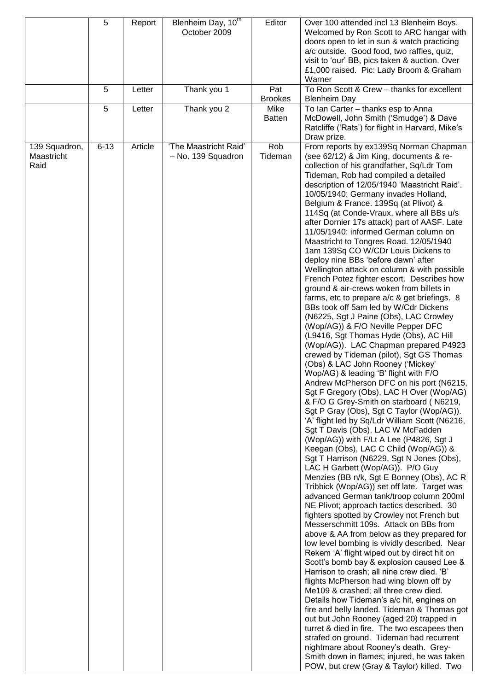|                                     | 5<br>5<br>5 | Report<br>Letter<br>Letter | Blenheim Day, 10th<br>October 2009<br>Thank you 1<br>Thank you 2 | Editor<br>Pat<br><b>Brookes</b><br>Mike<br><b>Batten</b> | Over 100 attended incl 13 Blenheim Boys.<br>Welcomed by Ron Scott to ARC hangar with<br>doors open to let in sun & watch practicing<br>a/c outside. Good food, two raffles, quiz,<br>visit to 'our' BB, pics taken & auction. Over<br>£1,000 raised. Pic: Lady Broom & Graham<br>Warner<br>To Ron Scott & Crew - thanks for excellent<br><b>Blenheim Day</b><br>To Ian Carter - thanks esp to Anna<br>McDowell, John Smith ('Smudge') & Dave                                                                                                                                                                                                                                                                                                                                                                                                                                                                                                                                                                                                                                                                                                                                                                                                                                                                                                                                                                                                                                                                                                                                                                                                                                                                                                                                                                                                                                                                                                                                                                                                                                                                                                                                                                                                                                                                                                                                                                                                                                                                                     |
|-------------------------------------|-------------|----------------------------|------------------------------------------------------------------|----------------------------------------------------------|----------------------------------------------------------------------------------------------------------------------------------------------------------------------------------------------------------------------------------------------------------------------------------------------------------------------------------------------------------------------------------------------------------------------------------------------------------------------------------------------------------------------------------------------------------------------------------------------------------------------------------------------------------------------------------------------------------------------------------------------------------------------------------------------------------------------------------------------------------------------------------------------------------------------------------------------------------------------------------------------------------------------------------------------------------------------------------------------------------------------------------------------------------------------------------------------------------------------------------------------------------------------------------------------------------------------------------------------------------------------------------------------------------------------------------------------------------------------------------------------------------------------------------------------------------------------------------------------------------------------------------------------------------------------------------------------------------------------------------------------------------------------------------------------------------------------------------------------------------------------------------------------------------------------------------------------------------------------------------------------------------------------------------------------------------------------------------------------------------------------------------------------------------------------------------------------------------------------------------------------------------------------------------------------------------------------------------------------------------------------------------------------------------------------------------------------------------------------------------------------------------------------------------|
|                                     |             |                            |                                                                  |                                                          | Ratcliffe ('Rats') for flight in Harvard, Mike's<br>Draw prize.                                                                                                                                                                                                                                                                                                                                                                                                                                                                                                                                                                                                                                                                                                                                                                                                                                                                                                                                                                                                                                                                                                                                                                                                                                                                                                                                                                                                                                                                                                                                                                                                                                                                                                                                                                                                                                                                                                                                                                                                                                                                                                                                                                                                                                                                                                                                                                                                                                                                  |
| 139 Squadron,<br>Maastricht<br>Raid | $6 - 13$    | Article                    | 'The Maastricht Raid'<br>- No. 139 Squadron                      | Rob<br>Tideman                                           | From reports by ex139Sq Norman Chapman<br>(see 62/12) & Jim King, documents & re-<br>collection of his grandfather, Sq/Ldr Tom<br>Tideman, Rob had compiled a detailed<br>description of 12/05/1940 'Maastricht Raid'.<br>10/05/1940: Germany invades Holland,<br>Belgium & France. 139Sq (at Plivot) &<br>114Sq (at Conde-Vraux, where all BBs u/s<br>after Dornier 17s attack) part of AASF. Late<br>11/05/1940: informed German column on<br>Maastricht to Tongres Road. 12/05/1940<br>1am 139Sq CO W/CDr Louis Dickens to<br>deploy nine BBs 'before dawn' after<br>Wellington attack on column & with possible<br>French Potez fighter escort. Describes how<br>ground & air-crews woken from billets in<br>farms, etc to prepare a/c & get briefings. 8<br>BBs took off 5am led by W/Cdr Dickens<br>(N6225, Sgt J Paine (Obs), LAC Crowley<br>(Wop/AG)) & F/O Neville Pepper DFC<br>(L9416, Sgt Thomas Hyde (Obs), AC Hill<br>(Wop/AG)). LAC Chapman prepared P4923<br>crewed by Tideman (pilot), Sgt GS Thomas<br>(Obs) & LAC John Rooney ('Mickey'<br>Wop/AG) & leading 'B' flight with F/O<br>Andrew McPherson DFC on his port (N6215,<br>Sgt F Gregory (Obs), LAC H Over (Wop/AG)<br>& F/O G Grey-Smith on starboard (N6219,<br>Sgt P Gray (Obs), Sgt C Taylor (Wop/AG)).<br>'A' flight led by Sq/Ldr William Scott (N6216,<br>Sgt T Davis (Obs), LAC W McFadden<br>(Wop/AG)) with F/Lt A Lee (P4826, Sgt J<br>Keegan (Obs), LAC C Child (Wop/AG)) &<br>Sgt T Harrison (N6229, Sgt N Jones (Obs),<br>LAC H Garbett (Wop/AG)). P/O Guy<br>Menzies (BB n/k, Sgt E Bonney (Obs), AC R<br>Tribbick (Wop/AG)) set off late. Target was<br>advanced German tank/troop column 200ml<br>NE Plivot; approach tactics described. 30<br>fighters spotted by Crowley not French but<br>Messerschmitt 109s. Attack on BBs from<br>above & AA from below as they prepared for<br>low level bombing is vividly described. Near<br>Rekem 'A' flight wiped out by direct hit on<br>Scott's bomb bay & explosion caused Lee &<br>Harrison to crash; all nine crew died. 'B'<br>flights McPherson had wing blown off by<br>Me109 & crashed; all three crew died.<br>Details how Tideman's a/c hit, engines on<br>fire and belly landed. Tideman & Thomas got<br>out but John Rooney (aged 20) trapped in<br>turret & died in fire. The two escapees then<br>strafed on ground. Tideman had recurrent<br>nightmare about Rooney's death. Grey-<br>Smith down in flames; injured, he was taken<br>POW, but crew (Gray & Taylor) killed. Two |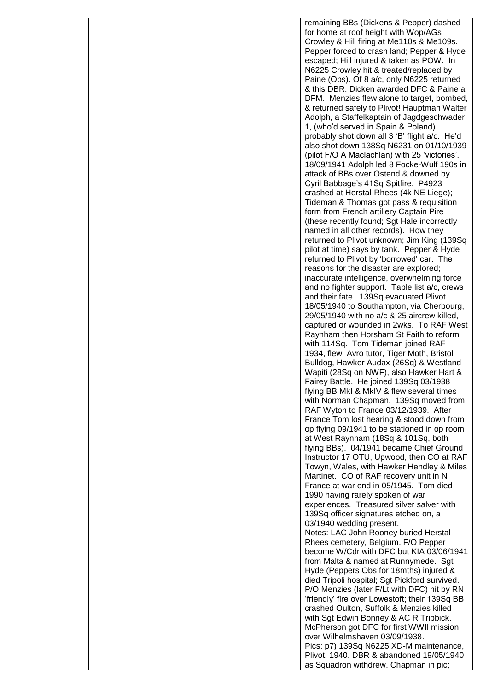|  |  | remaining BBs (Dickens & Pepper) dashed                                                      |
|--|--|----------------------------------------------------------------------------------------------|
|  |  | for home at roof height with Wop/AGs                                                         |
|  |  | Crowley & Hill firing at Me110s & Me109s.                                                    |
|  |  | Pepper forced to crash land; Pepper & Hyde                                                   |
|  |  | escaped; Hill injured & taken as POW. In<br>N6225 Crowley hit & treated/replaced by          |
|  |  | Paine (Obs). Of 8 a/c, only N6225 returned                                                   |
|  |  | & this DBR. Dicken awarded DFC & Paine a                                                     |
|  |  | DFM. Menzies flew alone to target, bombed,                                                   |
|  |  | & returned safely to Plivot! Hauptman Walter                                                 |
|  |  | Adolph, a Staffelkaptain of Jagdgeschwader                                                   |
|  |  | 1, (who'd served in Spain & Poland)                                                          |
|  |  | probably shot down all 3 'B' flight a/c. He'd                                                |
|  |  | also shot down 138Sq N6231 on 01/10/1939<br>(pilot F/O A Maclachlan) with 25 'victories'.    |
|  |  | 18/09/1941 Adolph led 8 Focke-Wulf 190s in                                                   |
|  |  | attack of BBs over Ostend & downed by                                                        |
|  |  | Cyril Babbage's 41Sq Spitfire. P4923                                                         |
|  |  | crashed at Herstal-Rhees (4k NE Liege);                                                      |
|  |  | Tideman & Thomas got pass & requisition                                                      |
|  |  | form from French artillery Captain Pire                                                      |
|  |  | (these recently found; Sgt Hale incorrectly                                                  |
|  |  | named in all other records). How they                                                        |
|  |  | returned to Plivot unknown; Jim King (139Sq<br>pilot at time) says by tank. Pepper & Hyde    |
|  |  | returned to Plivot by 'borrowed' car. The                                                    |
|  |  | reasons for the disaster are explored;                                                       |
|  |  | inaccurate intelligence, overwhelming force                                                  |
|  |  | and no fighter support. Table list a/c, crews                                                |
|  |  | and their fate. 139Sq evacuated Plivot                                                       |
|  |  | 18/05/1940 to Southampton, via Cherbourg,                                                    |
|  |  | 29/05/1940 with no a/c & 25 aircrew killed,                                                  |
|  |  | captured or wounded in 2wks. To RAF West<br>Raynham then Horsham St Faith to reform          |
|  |  | with 114Sq. Tom Tideman joined RAF                                                           |
|  |  | 1934, flew Avro tutor, Tiger Moth, Bristol                                                   |
|  |  | Bulldog, Hawker Audax (26Sq) & Westland                                                      |
|  |  | Wapiti (28Sq on NWF), also Hawker Hart &                                                     |
|  |  | Fairey Battle. He joined 139Sq 03/1938                                                       |
|  |  | flying BB MkI & MkIV & flew several times                                                    |
|  |  | with Norman Chapman. 139Sq moved from                                                        |
|  |  | RAF Wyton to France 03/12/1939. After<br>France Tom lost hearing & stood down from           |
|  |  | op flying 09/1941 to be stationed in op room                                                 |
|  |  | at West Raynham (18Sq & 101Sq, both                                                          |
|  |  | flying BBs). 04/1941 became Chief Ground                                                     |
|  |  | Instructor 17 OTU, Upwood, then CO at RAF                                                    |
|  |  | Towyn, Wales, with Hawker Hendley & Miles                                                    |
|  |  | Martinet. CO of RAF recovery unit in N                                                       |
|  |  | France at war end in 05/1945. Tom died                                                       |
|  |  | 1990 having rarely spoken of war<br>experiences. Treasured silver salver with                |
|  |  | 139Sq officer signatures etched on, a                                                        |
|  |  | 03/1940 wedding present.                                                                     |
|  |  | Notes: LAC John Rooney buried Herstal-                                                       |
|  |  | Rhees cemetery, Belgium. F/O Pepper                                                          |
|  |  | become W/Cdr with DFC but KIA 03/06/1941                                                     |
|  |  | from Malta & named at Runnymede. Sgt                                                         |
|  |  | Hyde (Peppers Obs for 18mths) injured &                                                      |
|  |  | died Tripoli hospital; Sgt Pickford survived.<br>P/O Menzies (later F/Lt with DFC) hit by RN |
|  |  | 'friendly' fire over Lowestoft; their 139Sq BB                                               |
|  |  | crashed Oulton, Suffolk & Menzies killed                                                     |
|  |  | with Sgt Edwin Bonney & AC R Tribbick.                                                       |
|  |  | McPherson got DFC for first WWII mission                                                     |
|  |  | over Wilhelmshaven 03/09/1938.                                                               |
|  |  | Pics: p7) 139Sq N6225 XD-M maintenance,                                                      |
|  |  | Plivot, 1940. DBR & abandoned 19/05/1940                                                     |
|  |  | as Squadron withdrew. Chapman in pic;                                                        |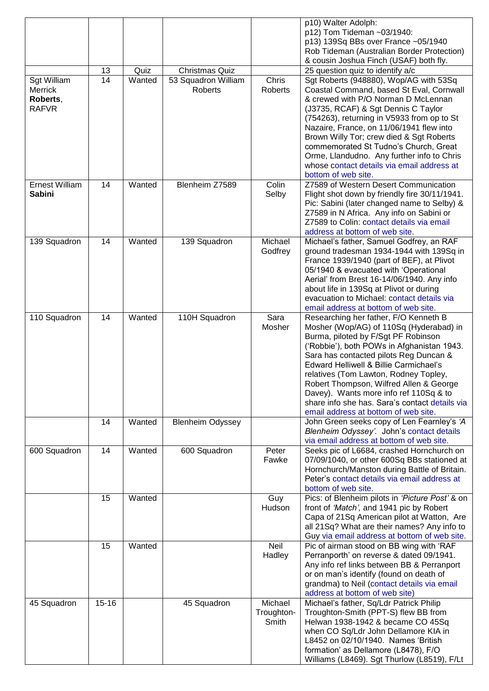|                       |           |        |                         |                    | p10) Walter Adolph:                                                                  |
|-----------------------|-----------|--------|-------------------------|--------------------|--------------------------------------------------------------------------------------|
|                       |           |        |                         |                    | p12) Tom Tideman ~03/1940:                                                           |
|                       |           |        |                         |                    | p13) 139Sq BBs over France ~05/1940                                                  |
|                       |           |        |                         |                    | Rob Tideman (Australian Border Protection)                                           |
|                       |           |        |                         |                    | & cousin Joshua Finch (USAF) both fly.                                               |
|                       | 13        | Quiz   | <b>Christmas Quiz</b>   |                    | 25 question quiz to identify a/c                                                     |
| Sgt William           | 14        | Wanted | 53 Squadron William     | Chris              | Sgt Roberts (948880), Wop/AG with 53Sq                                               |
| Merrick<br>Roberts,   |           |        | Roberts                 | Roberts            | Coastal Command, based St Eval, Cornwall<br>& crewed with P/O Norman D McLennan      |
| <b>RAFVR</b>          |           |        |                         |                    | (J3735, RCAF) & Sgt Dennis C Taylor                                                  |
|                       |           |        |                         |                    | (754263), returning in V5933 from op to St                                           |
|                       |           |        |                         |                    | Nazaire, France, on 11/06/1941 flew into                                             |
|                       |           |        |                         |                    | Brown Willy Tor; crew died & Sgt Roberts                                             |
|                       |           |        |                         |                    | commemorated St Tudno's Church, Great                                                |
|                       |           |        |                         |                    | Orme, Llandudno. Any further info to Chris                                           |
|                       |           |        |                         |                    | whose contact details via email address at                                           |
|                       |           |        |                         |                    | bottom of web site.                                                                  |
| <b>Ernest William</b> | 14        | Wanted | Blenheim Z7589          | Colin              | Z7589 of Western Desert Communication                                                |
| <b>Sabini</b>         |           |        |                         | Selby              | Flight shot down by friendly fire 30/11/1941.                                        |
|                       |           |        |                         |                    | Pic: Sabini (later changed name to Selby) &                                          |
|                       |           |        |                         |                    | Z7589 in N Africa. Any info on Sabini or                                             |
|                       |           |        |                         |                    | Z7589 to Colin: contact details via email                                            |
|                       |           |        |                         |                    | address at bottom of web site.                                                       |
| 139 Squadron          | 14        | Wanted | 139 Squadron            | Michael<br>Godfrey | Michael's father, Samuel Godfrey, an RAF<br>ground tradesman 1934-1944 with 139Sq in |
|                       |           |        |                         |                    | France 1939/1940 (part of BEF), at Plivot                                            |
|                       |           |        |                         |                    | 05/1940 & evacuated with 'Operational                                                |
|                       |           |        |                         |                    | Aerial' from Brest 16-14/06/1940. Any info                                           |
|                       |           |        |                         |                    | about life in 139Sq at Plivot or during                                              |
|                       |           |        |                         |                    | evacuation to Michael: contact details via                                           |
|                       |           |        |                         |                    | email address at bottom of web site.                                                 |
| 110 Squadron          | 14        | Wanted | 110H Squadron           | Sara               | Researching her father, F/O Kenneth B                                                |
|                       |           |        |                         | Mosher             | Mosher (Wop/AG) of 110Sq (Hyderabad) in                                              |
|                       |           |        |                         |                    | Burma, piloted by F/Sgt PF Robinson                                                  |
|                       |           |        |                         |                    | ('Robbie'), both POWs in Afghanistan 1943.                                           |
|                       |           |        |                         |                    | Sara has contacted pilots Reg Duncan &                                               |
|                       |           |        |                         |                    | Edward Helliwell & Billie Carmichael's                                               |
|                       |           |        |                         |                    | relatives (Tom Lawton, Rodney Topley,<br>Robert Thompson, Wilfred Allen & George     |
|                       |           |        |                         |                    | Davey). Wants more info ref 110Sq & to                                               |
|                       |           |        |                         |                    | share info she has. Sara's contact details via                                       |
|                       |           |        |                         |                    | email address at bottom of web site.                                                 |
|                       | 14        | Wanted | <b>Blenheim Odyssey</b> |                    | John Green seeks copy of Len Fearnley's 'A                                           |
|                       |           |        |                         |                    | Blenheim Odyssey'. John's contact details                                            |
|                       |           |        |                         |                    | via email address at bottom of web site.                                             |
| 600 Squadron          | 14        | Wanted | 600 Squadron            | Peter              | Seeks pic of L6684, crashed Hornchurch on                                            |
|                       |           |        |                         | Fawke              | 07/09/1040, or other 600Sq BBs stationed at                                          |
|                       |           |        |                         |                    | Hornchurch/Manston during Battle of Britain.                                         |
|                       |           |        |                         |                    | Peter's contact details via email address at                                         |
|                       |           |        |                         |                    | bottom of web site.<br>Pics: of Blenheim pilots in 'Picture Post' & on               |
|                       | 15        | Wanted |                         | Guy<br>Hudson      | front of 'Match', and 1941 pic by Robert                                             |
|                       |           |        |                         |                    | Capa of 21Sq American pilot at Watton, Are                                           |
|                       |           |        |                         |                    | all 21Sq? What are their names? Any info to                                          |
|                       |           |        |                         |                    | Guy via email address at bottom of web site.                                         |
|                       | 15        | Wanted |                         | Neil               | Pic of airman stood on BB wing with 'RAF                                             |
|                       |           |        |                         | Hadley             | Perranporth' on reverse & dated 09/1941.                                             |
|                       |           |        |                         |                    | Any info ref links between BB & Perranport                                           |
|                       |           |        |                         |                    | or on man's identify (found on death of                                              |
|                       |           |        |                         |                    | grandma) to Neil (contact details via email                                          |
|                       |           |        |                         |                    | address at bottom of web site)                                                       |
| 45 Squadron           | $15 - 16$ |        | 45 Squadron             | Michael            | Michael's father, Sq/Ldr Patrick Philip                                              |
|                       |           |        |                         | Troughton-         | Troughton-Smith (PPT-S) flew BB from                                                 |
|                       |           |        |                         | Smith              | Helwan 1938-1942 & became CO 45Sq                                                    |
|                       |           |        |                         |                    | when CO Sq/Ldr John Dellamore KIA in                                                 |
|                       |           |        |                         |                    | L8452 on 02/10/1940. Names 'British<br>formation' as Dellamore (L8478), F/O          |
|                       |           |        |                         |                    | Williams (L8469). Sgt Thurlow (L8519), F/Lt                                          |
|                       |           |        |                         |                    |                                                                                      |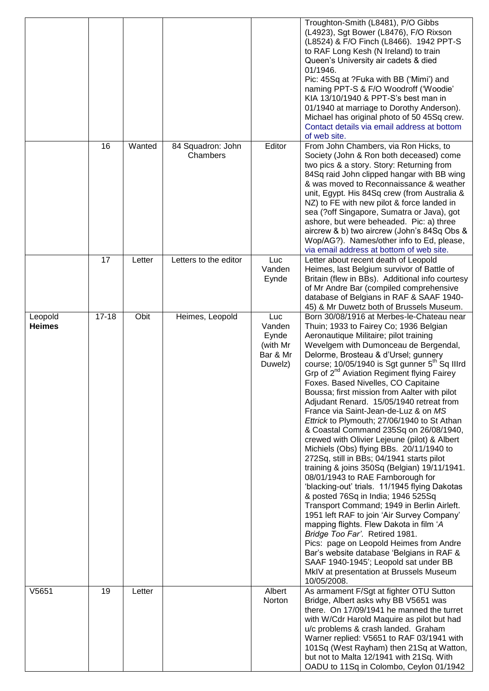|                          |           |        |                               |                                                           | Troughton-Smith (L8481), P/O Gibbs<br>(L4923), Sgt Bower (L8476), F/O Rixson<br>(L8524) & F/O Finch (L8466). 1942 PPT-S<br>to RAF Long Kesh (N Ireland) to train<br>Queen's University air cadets & died<br>01/1946.<br>Pic: 45Sq at ?Fuka with BB ('Mimi') and<br>naming PPT-S & F/O Woodroff ('Woodie'<br>KIA 13/10/1940 & PPT-S's best man in<br>01/1940 at marriage to Dorothy Anderson).<br>Michael has original photo of 50 45Sq crew.<br>Contact details via email address at bottom<br>of web site.                                                                                                                                                                                                                                                                                                                                                                                                                                                                                                                                                                                                                                                                                                                                                                                        |
|--------------------------|-----------|--------|-------------------------------|-----------------------------------------------------------|----------------------------------------------------------------------------------------------------------------------------------------------------------------------------------------------------------------------------------------------------------------------------------------------------------------------------------------------------------------------------------------------------------------------------------------------------------------------------------------------------------------------------------------------------------------------------------------------------------------------------------------------------------------------------------------------------------------------------------------------------------------------------------------------------------------------------------------------------------------------------------------------------------------------------------------------------------------------------------------------------------------------------------------------------------------------------------------------------------------------------------------------------------------------------------------------------------------------------------------------------------------------------------------------------|
|                          | 16        | Wanted | 84 Squadron: John<br>Chambers | Editor                                                    | From John Chambers, via Ron Hicks, to<br>Society (John & Ron both deceased) come<br>two pics & a story. Story: Returning from<br>84Sq raid John clipped hangar with BB wing<br>& was moved to Reconnaissance & weather<br>unit, Egypt. His 84Sq crew (from Australia &<br>NZ) to FE with new pilot & force landed in<br>sea (?off Singapore, Sumatra or Java), got<br>ashore, but were beheaded. Pic: a) three<br>aircrew & b) two aircrew (John's 84Sq Obs &<br>Wop/AG?). Names/other info to Ed, please,<br>via email address at bottom of web site.                                                                                                                                                                                                                                                                                                                                                                                                                                                                                                                                                                                                                                                                                                                                             |
|                          | 17        | Letter | Letters to the editor         | Luc<br>Vanden<br>Eynde                                    | Letter about recent death of Leopold<br>Heimes, last Belgium survivor of Battle of<br>Britain (flew in BBs). Additional info courtesy<br>of Mr Andre Bar (compiled comprehensive<br>database of Belgians in RAF & SAAF 1940-<br>45) & Mr Duwetz both of Brussels Museum.                                                                                                                                                                                                                                                                                                                                                                                                                                                                                                                                                                                                                                                                                                                                                                                                                                                                                                                                                                                                                           |
| Leopold<br><b>Heimes</b> | $17 - 18$ | Obit   | Heimes, Leopold               | Luc<br>Vanden<br>Eynde<br>(with Mr<br>Bar & Mr<br>Duwelz) | Born 30/08/1916 at Merbes-le-Chateau near<br>Thuin; 1933 to Fairey Co; 1936 Belgian<br>Aeronautique Militaire; pilot training<br>Wevelgem with Dumonceau de Bergendal,<br>Delorme, Brosteau & d'Ursel; gunnery<br>course; 10/05/1940 is Sgt gunner 5 <sup>th</sup> Sq Illrd<br>Grp of 2 <sup>nd</sup> Aviation Regiment flying Fairey<br>Foxes. Based Nivelles, CO Capitaine<br>Boussa; first mission from Aalter with pilot<br>Adjudant Renard. 15/05/1940 retreat from<br>France via Saint-Jean-de-Luz & on MS<br>Ettrick to Plymouth; 27/06/1940 to St Athan<br>& Coastal Command 235Sq on 26/08/1940,<br>crewed with Olivier Lejeune (pilot) & Albert<br>Michiels (Obs) flying BBs. 20/11/1940 to<br>272Sq, still in BBs; 04/1941 starts pilot<br>training & joins 350Sq (Belgian) 19/11/1941.<br>08/01/1943 to RAE Farnborough for<br>'blacking-out' trials. 11/1945 flying Dakotas<br>& posted 76Sq in India; 1946 525Sq<br>Transport Command; 1949 in Berlin Airleft.<br>1951 left RAF to join 'Air Survey Company'<br>mapping flights. Flew Dakota in film 'A<br>Bridge Too Far'. Retired 1981.<br>Pics: page on Leopold Heimes from Andre<br>Bar's website database 'Belgians in RAF &<br>SAAF 1940-1945'; Leopold sat under BB<br>MkIV at presentation at Brussels Museum<br>10/05/2008. |
| V5651                    | 19        | Letter |                               | Albert<br>Norton                                          | As armament F/Sgt at fighter OTU Sutton<br>Bridge, Albert asks why BB V5651 was<br>there. On 17/09/1941 he manned the turret<br>with W/Cdr Harold Maquire as pilot but had<br>u/c problems & crash landed. Graham<br>Warner replied: V5651 to RAF 03/1941 with<br>101Sq (West Rayham) then 21Sq at Watton,<br>but not to Malta 12/1941 with 21Sq. With<br>OADU to 11Sq in Colombo, Ceylon 01/1942                                                                                                                                                                                                                                                                                                                                                                                                                                                                                                                                                                                                                                                                                                                                                                                                                                                                                                  |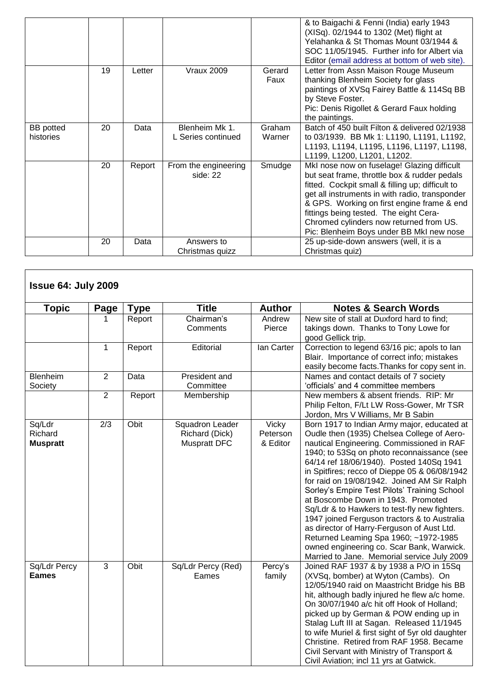|                               |    |        |                                      |                  | & to Baigachi & Fenni (India) early 1943<br>(XISq). 02/1944 to 1302 (Met) flight at<br>Yelahanka & St Thomas Mount 03/1944 &<br>SOC 11/05/1945. Further info for Albert via<br>Editor (email address at bottom of web site).                                                                                                                                                     |
|-------------------------------|----|--------|--------------------------------------|------------------|----------------------------------------------------------------------------------------------------------------------------------------------------------------------------------------------------------------------------------------------------------------------------------------------------------------------------------------------------------------------------------|
|                               | 19 | Letter | <b>Vraux 2009</b>                    | Gerard<br>Faux   | Letter from Assn Maison Rouge Museum<br>thanking Blenheim Society for glass<br>paintings of XVSq Fairey Battle & 114Sq BB<br>by Steve Foster.<br>Pic: Denis Rigollet & Gerard Faux holding<br>the paintings.                                                                                                                                                                     |
| <b>BB</b> potted<br>histories | 20 | Data   | Blenheim Mk 1.<br>L Series continued | Graham<br>Warner | Batch of 450 built Filton & delivered 02/1938<br>to 03/1939. BB Mk 1: L1190, L1191, L1192,<br>L1193, L1194, L1195, L1196, L1197, L1198,<br>L1199, L1200, L1201, L1202.                                                                                                                                                                                                           |
|                               | 20 | Report | From the engineering<br>side: 22     | Smudge           | MkI nose now on fuselage! Glazing difficult<br>but seat frame, throttle box & rudder pedals<br>fitted. Cockpit small & filling up; difficult to<br>get all instruments in with radio, transponder<br>& GPS. Working on first engine frame & end<br>fittings being tested. The eight Cera-<br>Chromed cylinders now returned from US.<br>Pic: Blenheim Boys under BB MkI new nose |
|                               | 20 | Data   | Answers to<br>Christmas quizz        |                  | 25 up-side-down answers (well, it is a<br>Christmas quiz)                                                                                                                                                                                                                                                                                                                        |

| <b>Issue 64: July 2009</b>           |                |             |                                                          |                               |                                                                                                                                                                                                                                                                                                                                                                                                                                                                                                                                                                                                                                                                                                            |
|--------------------------------------|----------------|-------------|----------------------------------------------------------|-------------------------------|------------------------------------------------------------------------------------------------------------------------------------------------------------------------------------------------------------------------------------------------------------------------------------------------------------------------------------------------------------------------------------------------------------------------------------------------------------------------------------------------------------------------------------------------------------------------------------------------------------------------------------------------------------------------------------------------------------|
| <b>Topic</b>                         | Page           | <b>Type</b> | <b>Title</b>                                             | <b>Author</b>                 | <b>Notes &amp; Search Words</b>                                                                                                                                                                                                                                                                                                                                                                                                                                                                                                                                                                                                                                                                            |
|                                      | 1              | Report      | Chairman's<br>Comments                                   | Andrew<br>Pierce              | New site of stall at Duxford hard to find;<br>takings down. Thanks to Tony Lowe for<br>good Gellick trip.                                                                                                                                                                                                                                                                                                                                                                                                                                                                                                                                                                                                  |
|                                      | $\mathbf{1}$   | Report      | Editorial                                                | lan Carter                    | Correction to legend 63/16 pic; apols to lan<br>Blair. Importance of correct info; mistakes<br>easily become facts. Thanks for copy sent in.                                                                                                                                                                                                                                                                                                                                                                                                                                                                                                                                                               |
| Blenheim<br>Society                  | $\overline{2}$ | Data        | President and<br>Committee                               |                               | Names and contact details of 7 society<br>'officials' and 4 committee members                                                                                                                                                                                                                                                                                                                                                                                                                                                                                                                                                                                                                              |
|                                      | $\overline{2}$ | Report      | Membership                                               |                               | New members & absent friends. RIP: Mr<br>Philip Felton, F/Lt LW Ross-Gower, Mr TSR<br>Jordon, Mrs V Williams, Mr B Sabin                                                                                                                                                                                                                                                                                                                                                                                                                                                                                                                                                                                   |
| Sq/Ldr<br>Richard<br><b>Muspratt</b> | 2/3            | Obit        | Squadron Leader<br>Richard (Dick)<br><b>Muspratt DFC</b> | Vicky<br>Peterson<br>& Editor | Born 1917 to Indian Army major, educated at<br>Oudle then (1935) Chelsea College of Aero-<br>nautical Engineering. Commissioned in RAF<br>1940; to 53Sq on photo reconnaissance (see<br>64/14 ref 18/06/1940). Posted 140Sq 1941<br>in Spitfires; recco of Dieppe 05 & 06/08/1942<br>for raid on 19/08/1942. Joined AM Sir Ralph<br>Sorley's Empire Test Pilots' Training School<br>at Boscombe Down in 1943. Promoted<br>Sq/Ldr & to Hawkers to test-fly new fighters.<br>1947 joined Ferguson tractors & to Australia<br>as director of Harry-Ferguson of Aust Ltd.<br>Returned Leaming Spa 1960; ~1972-1985<br>owned engineering co. Scar Bank, Warwick.<br>Married to Jane. Memorial service July 2009 |
| Sq/Ldr Percy<br><b>Eames</b>         | 3              | Obit        | Sq/Ldr Percy (Red)<br>Eames                              | Percy's<br>family             | Joined RAF 1937 & by 1938 a P/O in 15Sq<br>(XVSq, bomber) at Wyton (Cambs). On<br>12/05/1940 raid on Maastricht Bridge his BB<br>hit, although badly injured he flew a/c home.<br>On 30/07/1940 a/c hit off Hook of Holland;<br>picked up by German & POW ending up in<br>Stalag Luft III at Sagan. Released 11/1945<br>to wife Muriel & first sight of 5yr old daughter<br>Christine. Retired from RAF 1958. Became<br>Civil Servant with Ministry of Transport &<br>Civil Aviation; incl 11 yrs at Gatwick.                                                                                                                                                                                              |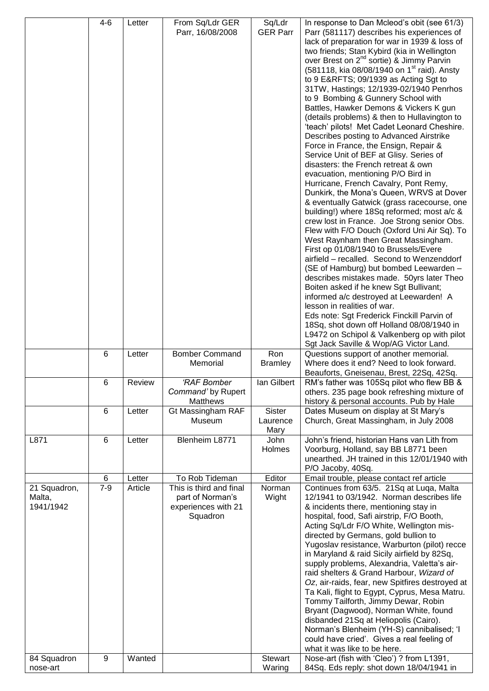|                                     | $4 - 6$         | Letter  | From Sq/Ldr GER<br>Parr, 16/08/2008                                            | Sq/Ldr<br><b>GER Parr</b>         | In response to Dan Mcleod's obit (see 61/3)<br>Parr (581117) describes his experiences of<br>lack of preparation for war in 1939 & loss of                                                                                                                                              |
|-------------------------------------|-----------------|---------|--------------------------------------------------------------------------------|-----------------------------------|-----------------------------------------------------------------------------------------------------------------------------------------------------------------------------------------------------------------------------------------------------------------------------------------|
|                                     |                 |         |                                                                                |                                   | two friends; Stan Kybird (kia in Wellington<br>over Brest on 2 <sup>nd</sup> sortie) & Jimmy Parvin<br>(581118, kia 08/08/1940 on 1 <sup>st</sup> raid). Ansty<br>to 9 E&RFTS 09/1939 as Acting Sgt to<br>31TW, Hastings; 12/1939-02/1940 Penrhos<br>to 9 Bombing & Gunnery School with |
|                                     |                 |         |                                                                                |                                   | Battles, Hawker Demons & Vickers K gun<br>(details problems) & then to Hullavington to<br>'teach' pilots! Met Cadet Leonard Cheshire.<br>Describes posting to Advanced Airstrike                                                                                                        |
|                                     |                 |         |                                                                                |                                   | Force in France, the Ensign, Repair &<br>Service Unit of BEF at Glisy. Series of<br>disasters: the French retreat & own<br>evacuation, mentioning P/O Bird in                                                                                                                           |
|                                     |                 |         |                                                                                |                                   | Hurricane, French Cavalry, Pont Remy,<br>Dunkirk, the Mona's Queen, WRVS at Dover<br>& eventually Gatwick (grass racecourse, one<br>building!) where 18Sq reformed; most a/c &                                                                                                          |
|                                     |                 |         |                                                                                |                                   | crew lost in France. Joe Strong senior Obs.<br>Flew with F/O Douch (Oxford Uni Air Sq). To<br>West Raynham then Great Massingham.<br>First op 01/08/1940 to Brussels/Evere<br>airfield - recalled. Second to Wenzenddorf                                                                |
|                                     |                 |         |                                                                                |                                   | (SE of Hamburg) but bombed Leewarden -<br>describes mistakes made. 50yrs later Theo<br>Boiten asked if he knew Sgt Bullivant;<br>informed a/c destroyed at Leewarden! A                                                                                                                 |
|                                     |                 |         |                                                                                |                                   | lesson in realities of war.<br>Eds note: Sgt Frederick Finckill Parvin of<br>18Sq, shot down off Holland 08/08/1940 in<br>L9472 on Schipol & Valkenberg op with pilot<br>Sgt Jack Saville & Wop/AG Victor Land.                                                                         |
|                                     | 6               | Letter  | <b>Bomber Command</b>                                                          | Ron<br><b>Bramley</b>             | Questions support of another memorial.<br>Where does it end? Need to look forward.                                                                                                                                                                                                      |
|                                     |                 |         | Memorial                                                                       |                                   | Beauforts, Gneisenau, Brest, 22Sq, 42Sq.                                                                                                                                                                                                                                                |
|                                     | 6               | Review  | <b>'RAF Bomber</b><br>Command' by Rupert<br>Matthews                           | lan Gilbert                       | RM's father was 105Sq pilot who flew BB &<br>others. 235 page book refreshing mixture of<br>history & personal accounts. Pub by Hale                                                                                                                                                    |
|                                     | $6\phantom{1}6$ | Letter  | Gt Massingham RAF<br>Museum                                                    | <b>Sister</b><br>Laurence<br>Mary | Dates Museum on display at St Mary's<br>Church, Great Massingham, in July 2008                                                                                                                                                                                                          |
| L871                                | 6               | Letter  | Blenheim L8771                                                                 | John<br>Holmes                    | John's friend, historian Hans van Lith from<br>Voorburg, Holland, say BB L8771 been<br>unearthed. JH trained in this 12/01/1940 with<br>P/O Jacoby, 40Sq.                                                                                                                               |
|                                     | 6               | Letter  | To Rob Tideman                                                                 | Editor                            | Email trouble, please contact ref article                                                                                                                                                                                                                                               |
| 21 Squadron,<br>Malta,<br>1941/1942 | $7 - 9$         | Article | This is third and final<br>part of Norman's<br>experiences with 21<br>Squadron | Norman<br>Wight                   | Continues from 63/5. 21Sq at Luqa, Malta<br>12/1941 to 03/1942. Norman describes life<br>& incidents there, mentioning stay in<br>hospital, food, Safi airstrip, F/O Booth,                                                                                                             |
|                                     |                 |         |                                                                                |                                   | Acting Sq/Ldr F/O White, Wellington mis-<br>directed by Germans, gold bullion to<br>Yugoslav resistance, Warburton (pilot) recce<br>in Maryland & raid Sicily airfield by 82Sq,                                                                                                         |
|                                     |                 |         |                                                                                |                                   | supply problems, Alexandria, Valetta's air-<br>raid shelters & Grand Harbour, Wizard of<br>Oz, air-raids, fear, new Spitfires destroyed at<br>Ta Kali, flight to Egypt, Cyprus, Mesa Matru.<br>Tommy Tailforth, Jimmy Dewar, Robin                                                      |
| 84 Squadron                         | 9               | Wanted  |                                                                                | <b>Stewart</b>                    | Bryant (Dagwood), Norman White, found<br>disbanded 21Sq at Heliopolis (Cairo).<br>Norman's Blenheim (YH-S) cannibalised; 'I<br>could have cried'. Gives a real feeling of<br>what it was like to be here.<br>Nose-art (fish with 'Cleo') ? from L1391,                                  |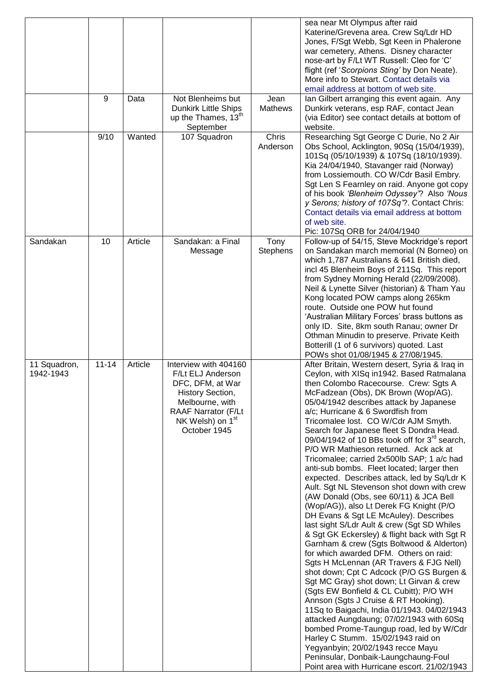|                           | 9         | Data    | Not Blenheims but                                                                                                                                                                   | Jean              | sea near Mt Olympus after raid<br>Katerine/Grevena area. Crew Sq/Ldr HD<br>Jones, F/Sgt Webb, Sgt Keen in Phalerone<br>war cemetery, Athens. Disney character<br>nose-art by F/Lt WT Russell: Cleo for 'C'<br>flight (ref 'Scorpions Sting' by Don Neate).<br>More info to Stewart, Contact details via<br>email address at bottom of web site.                                                                                                                                                                                                                                                                                                                                                                                                                                                                                                                                                                                                                                                                                                                                                                                                                                                                                                                                                                                                                                                                                                                                                  |
|---------------------------|-----------|---------|-------------------------------------------------------------------------------------------------------------------------------------------------------------------------------------|-------------------|--------------------------------------------------------------------------------------------------------------------------------------------------------------------------------------------------------------------------------------------------------------------------------------------------------------------------------------------------------------------------------------------------------------------------------------------------------------------------------------------------------------------------------------------------------------------------------------------------------------------------------------------------------------------------------------------------------------------------------------------------------------------------------------------------------------------------------------------------------------------------------------------------------------------------------------------------------------------------------------------------------------------------------------------------------------------------------------------------------------------------------------------------------------------------------------------------------------------------------------------------------------------------------------------------------------------------------------------------------------------------------------------------------------------------------------------------------------------------------------------------|
|                           |           |         | <b>Dunkirk Little Ships</b><br>up the Thames, 13 <sup>th</sup><br>September                                                                                                         | Mathews           | Ian Gilbert arranging this event again. Any<br>Dunkirk veterans, esp RAF, contact Jean<br>(via Editor) see contact details at bottom of<br>website.                                                                                                                                                                                                                                                                                                                                                                                                                                                                                                                                                                                                                                                                                                                                                                                                                                                                                                                                                                                                                                                                                                                                                                                                                                                                                                                                              |
|                           | 9/10      | Wanted  | 107 Squadron                                                                                                                                                                        | Chris<br>Anderson | Researching Sgt George C Durie, No 2 Air<br>Obs School, Acklington, 90Sq (15/04/1939),<br>101Sq (05/10/1939) & 107Sq (18/10/1939).<br>Kia 24/04/1940, Stavanger raid (Norway)<br>from Lossiemouth. CO W/Cdr Basil Embry.<br>Sgt Len S Fearnley on raid. Anyone got copy<br>of his book 'Blenheim Odyssey'? Also 'Nous<br>y Serons; history of 107Sq"?. Contact Chris:<br>Contact details via email address at bottom<br>of web site.<br>Pic: 107Sq ORB for 24/04/1940                                                                                                                                                                                                                                                                                                                                                                                                                                                                                                                                                                                                                                                                                                                                                                                                                                                                                                                                                                                                                            |
| Sandakan                  | 10        | Article | Sandakan: a Final<br>Message                                                                                                                                                        | Tony<br>Stephens  | Follow-up of 54/15, Steve Mockridge's report<br>on Sandakan march memorial (N Borneo) on<br>which 1,787 Australians & 641 British died,<br>incl 45 Blenheim Boys of 211Sq. This report<br>from Sydney Morning Herald (22/09/2008).<br>Neil & Lynette Silver (historian) & Tham Yau<br>Kong located POW camps along 265km<br>route. Outside one POW hut found<br>'Australian Military Forces' brass buttons as<br>only ID. Site, 8km south Ranau; owner Dr<br>Othman Minudin to preserve. Private Keith<br>Botterill (1 of 6 survivors) quoted. Last<br>POWs shot 01/08/1945 & 27/08/1945.                                                                                                                                                                                                                                                                                                                                                                                                                                                                                                                                                                                                                                                                                                                                                                                                                                                                                                        |
| 11 Squadron,<br>1942-1943 | $11 - 14$ | Article | Interview with 404160<br>F/Lt ELJ Anderson<br>DFC, DFM, at War<br>History Section,<br>Melbourne, with<br><b>RAAF Narrator (F/Lt</b><br>NK Welsh) on 1 <sup>st</sup><br>October 1945 |                   | After Britain, Western desert, Syria & Iraq in<br>Ceylon, with XISq in1942. Based Ratmalana<br>then Colombo Racecourse. Crew: Sgts A<br>McFadzean (Obs), DK Brown (Wop/AG).<br>05/04/1942 describes attack by Japanese<br>a/c; Hurricane & 6 Swordfish from<br>Tricomalee lost. CO W/Cdr AJM Smyth.<br>Search for Japanese fleet S Dondra Head.<br>09/04/1942 of 10 BBs took off for 3 <sup>rd</sup> search,<br>P/O WR Mathieson returned. Ack ack at<br>Tricomalee; carried 2x500lb SAP; 1 a/c had<br>anti-sub bombs. Fleet located; larger then<br>expected. Describes attack, led by Sq/Ldr K<br>Ault. Sgt NL Stevenson shot down with crew<br>(AW Donald (Obs, see 60/11) & JCA Bell<br>(Wop/AG)), also Lt Derek FG Knight (P/O<br>DH Evans & Sgt LE McAuley). Describes<br>last sight S/Ldr Ault & crew (Sgt SD Whiles<br>& Sgt GK Eckersley) & flight back with Sgt R<br>Garnham & crew (Sgts Boltwood & Alderton)<br>for which awarded DFM. Others on raid:<br>Sgts H McLennan (AR Travers & FJG Nell)<br>shot down; Cpt C Adcock (P/O GS Burgen &<br>Sgt MC Gray) shot down; Lt Girvan & crew<br>(Sgts EW Bonfield & CL Cubitt); P/O WH<br>Annson (Sgts J Cruise & RT Hooking).<br>11Sq to Baigachi, India 01/1943. 04/02/1943<br>attacked Aungdaung; 07/02/1943 with 60Sq<br>bombed Prome-Taungup road, led by W/Cdr<br>Harley C Stumm. 15/02/1943 raid on<br>Yegyanbyin; 20/02/1943 recce Mayu<br>Peninsular, Donbaik-Laungchaung-Foul<br>Point area with Hurricane escort. 21/02/1943 |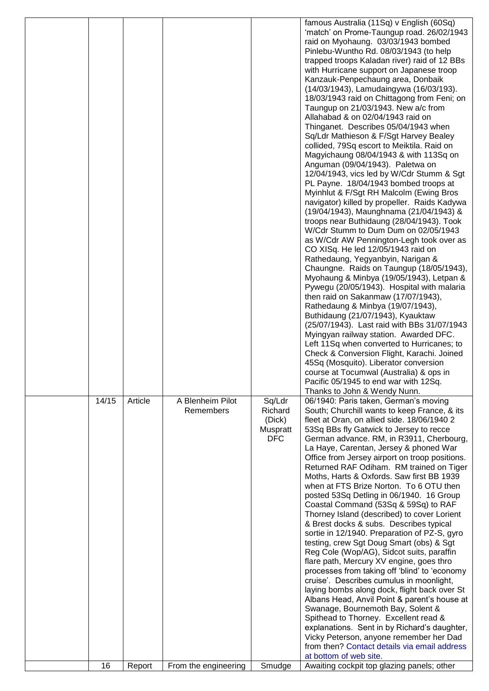|       |         |                               |                                                       | famous Australia (11Sq) v English (60Sq)<br>'match' on Prome-Taungup road. 26/02/1943<br>raid on Myohaung. 03/03/1943 bombed<br>Pinlebu-Wuntho Rd. 08/03/1943 (to help<br>trapped troops Kaladan river) raid of 12 BBs<br>with Hurricane support on Japanese troop<br>Kanzauk-Penpechaung area, Donbaik<br>(14/03/1943), Lamudaingywa (16/03/193).<br>18/03/1943 raid on Chittagong from Feni; on<br>Taungup on 21/03/1943. New a/c from<br>Allahabad & on 02/04/1943 raid on<br>Thinganet. Describes 05/04/1943 when<br>Sq/Ldr Mathieson & F/Sgt Harvey Bealey<br>collided, 79Sq escort to Meiktila. Raid on<br>Magyichaung 08/04/1943 & with 113Sq on<br>Anguman (09/04/1943). Paletwa on<br>12/04/1943, vics led by W/Cdr Stumm & Sgt<br>PL Payne. 18/04/1943 bombed troops at<br>Myinhlut & F/Sgt RH Malcolm (Ewing Bros<br>navigator) killed by propeller. Raids Kadywa<br>(19/04/1943), Maunghnama (21/04/1943) &<br>troops near Buthidaung (28/04/1943). Took<br>W/Cdr Stumm to Dum Dum on 02/05/1943<br>as W/Cdr AW Pennington-Legh took over as<br>CO XISq. He led 12/05/1943 raid on<br>Rathedaung, Yegyanbyin, Narigan &<br>Chaungne. Raids on Taungup (18/05/1943),<br>Myohaung & Minbya (19/05/1943), Letpan &<br>Pywegu (20/05/1943). Hospital with malaria<br>then raid on Sakanmaw (17/07/1943),<br>Rathedaung & Minbya (19/07/1943),<br>Buthidaung (21/07/1943), Kyauktaw<br>(25/07/1943). Last raid with BBs 31/07/1943<br>Myingyan railway station. Awarded DFC.<br>Left 11Sq when converted to Hurricanes; to<br>Check & Conversion Flight, Karachi. Joined<br>45Sq (Mosquito). Liberator conversion<br>course at Tocumwal (Australia) & ops in |
|-------|---------|-------------------------------|-------------------------------------------------------|---------------------------------------------------------------------------------------------------------------------------------------------------------------------------------------------------------------------------------------------------------------------------------------------------------------------------------------------------------------------------------------------------------------------------------------------------------------------------------------------------------------------------------------------------------------------------------------------------------------------------------------------------------------------------------------------------------------------------------------------------------------------------------------------------------------------------------------------------------------------------------------------------------------------------------------------------------------------------------------------------------------------------------------------------------------------------------------------------------------------------------------------------------------------------------------------------------------------------------------------------------------------------------------------------------------------------------------------------------------------------------------------------------------------------------------------------------------------------------------------------------------------------------------------------------------------------------------------------------------------------------------------------------------------|
| 14/15 | Article | A Blenheim Pilot<br>Remembers | Sq/Ldr<br>Richard<br>(Dick)<br>Muspratt<br><b>DFC</b> | Thanks to John & Wendy Nunn.<br>06/1940: Paris taken, German's moving<br>South; Churchill wants to keep France, & its<br>fleet at Oran, on allied side. 18/06/1940 2<br>53Sq BBs fly Gatwick to Jersey to recce<br>German advance. RM, in R3911, Cherbourg,<br>La Haye, Carentan, Jersey & phoned War<br>Office from Jersey airport on troop positions.<br>Returned RAF Odiham. RM trained on Tiger<br>Moths, Harts & Oxfords. Saw first BB 1939<br>when at FTS Brize Norton. To 6 OTU then<br>posted 53Sq Detling in 06/1940. 16 Group<br>Coastal Command (53Sq & 59Sq) to RAF<br>Thorney Island (described) to cover Lorient<br>& Brest docks & subs. Describes typical<br>sortie in 12/1940. Preparation of PZ-S, gyro<br>testing, crew Sgt Doug Smart (obs) & Sgt<br>Reg Cole (Wop/AG), Sidcot suits, paraffin<br>flare path, Mercury XV engine, goes thro<br>processes from taking off 'blind' to 'economy<br>cruise'. Describes cumulus in moonlight,<br>laying bombs along dock, flight back over St<br>Albans Head, Anvil Point & parent's house at<br>Swanage, Bournemoth Bay, Solent &<br>Spithead to Thorney. Excellent read &<br>explanations. Sent in by Richard's daughter,<br>Vicky Peterson, anyone remember her Dad<br>from then? Contact details via email address<br>at bottom of web site.                                                                                                                                                                                                                                                                                                                                                      |
| 16    | Report  | From the engineering          | Smudge                                                | Awaiting cockpit top glazing panels; other                                                                                                                                                                                                                                                                                                                                                                                                                                                                                                                                                                                                                                                                                                                                                                                                                                                                                                                                                                                                                                                                                                                                                                                                                                                                                                                                                                                                                                                                                                                                                                                                                          |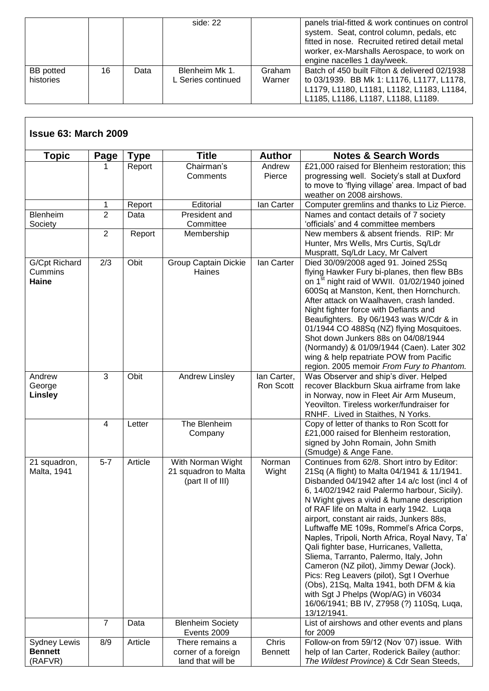|                  |    |      | side: 22           |        | panels trial-fitted & work continues on control<br>system. Seat, control column, pedals, etc<br>fitted in nose. Recruited retired detail metal<br>worker, ex-Marshalls Aerospace, to work on<br>engine nacelles 1 day/week. |
|------------------|----|------|--------------------|--------|-----------------------------------------------------------------------------------------------------------------------------------------------------------------------------------------------------------------------------|
| <b>BB</b> potted | 16 | Data | Blenheim Mk 1.     | Graham | Batch of 450 built Filton & delivered 02/1938                                                                                                                                                                               |
| histories        |    |      | L Series continued | Warner | to 03/1939. BB Mk 1: L1176, L1177, L1178,                                                                                                                                                                                   |
|                  |    |      |                    |        | L1179, L1180, L1181, L1182, L1183, L1184,                                                                                                                                                                                   |
|                  |    |      |                    |        | L1185, L1186, L1187, L1188, L1189.                                                                                                                                                                                          |

| <b>Topic</b>                                     | Page           | <b>Type</b> | <b>Title</b>                                                  | <b>Author</b>            | <b>Notes &amp; Search Words</b>                                                                                                                                                                                                                                                                                                                                                                                                                                                                                                                                                                                                                                                                                                                               |
|--------------------------------------------------|----------------|-------------|---------------------------------------------------------------|--------------------------|---------------------------------------------------------------------------------------------------------------------------------------------------------------------------------------------------------------------------------------------------------------------------------------------------------------------------------------------------------------------------------------------------------------------------------------------------------------------------------------------------------------------------------------------------------------------------------------------------------------------------------------------------------------------------------------------------------------------------------------------------------------|
|                                                  |                | Report      | Chairman's<br>Comments                                        | Andrew<br>Pierce         | £21,000 raised for Blenheim restoration; this<br>progressing well. Society's stall at Duxford<br>to move to 'flying village' area. Impact of bad<br>weather on 2008 airshows.                                                                                                                                                                                                                                                                                                                                                                                                                                                                                                                                                                                 |
|                                                  | 1              | Report      | Editorial                                                     | lan Carter               | Computer gremlins and thanks to Liz Pierce.                                                                                                                                                                                                                                                                                                                                                                                                                                                                                                                                                                                                                                                                                                                   |
| Blenheim<br>Society                              | $\overline{2}$ | Data        | President and<br>Committee                                    |                          | Names and contact details of 7 society<br>'officials' and 4 committee members                                                                                                                                                                                                                                                                                                                                                                                                                                                                                                                                                                                                                                                                                 |
|                                                  | $\overline{2}$ | Report      | Membership                                                    |                          | New members & absent friends. RIP: Mr<br>Hunter, Mrs Wells, Mrs Curtis, Sq/Ldr<br>Muspratt, Sq/Ldr Lacy, Mr Calvert                                                                                                                                                                                                                                                                                                                                                                                                                                                                                                                                                                                                                                           |
| G/Cpt Richard<br>Cummins<br>Haine                | 2/3            | Obit        | <b>Group Captain Dickie</b><br>Haines                         | lan Carter               | Died 30/09/2008 aged 91. Joined 25Sq<br>flying Hawker Fury bi-planes, then flew BBs<br>on 1 <sup>st</sup> night raid of WWII. 01/02/1940 joined<br>600Sq at Manston, Kent, then Hornchurch.<br>After attack on Waalhaven, crash landed.<br>Night fighter force with Defiants and<br>Beaufighters. By 06/1943 was W/Cdr & in<br>01/1944 CO 488Sq (NZ) flying Mosquitoes.<br>Shot down Junkers 88s on 04/08/1944<br>(Normandy) & 01/09/1944 (Caen). Later 302<br>wing & help repatriate POW from Pacific<br>region. 2005 memoir From Fury to Phantom.                                                                                                                                                                                                           |
| Andrew<br>George<br><b>Linsley</b>               | $\overline{3}$ | Obit        | Andrew Linsley                                                | lan Carter,<br>Ron Scott | Was Observer and ship's diver. Helped<br>recover Blackburn Skua airframe from lake<br>in Norway, now in Fleet Air Arm Museum,<br>Yeovilton. Tireless worker/fundraiser for<br>RNHF. Lived in Staithes, N Yorks.                                                                                                                                                                                                                                                                                                                                                                                                                                                                                                                                               |
|                                                  | $\overline{4}$ | Letter      | The Blenheim<br>Company                                       |                          | Copy of letter of thanks to Ron Scott for<br>£21,000 raised for Blenheim restoration,<br>signed by John Romain, John Smith<br>(Smudge) & Ange Fane.                                                                                                                                                                                                                                                                                                                                                                                                                                                                                                                                                                                                           |
| 21 squadron,<br>Malta, 1941                      | $5-7$          | Article     | With Norman Wight<br>21 squadron to Malta<br>(part II of III) | Norman<br>Wight          | Continues from 62/8. Short intro by Editor:<br>21Sq (A flight) to Malta 04/1941 & 11/1941.<br>Disbanded 04/1942 after 14 a/c lost (incl 4 of<br>6, 14/02/1942 raid Palermo harbour, Sicily).<br>N Wight gives a vivid & humane description<br>of RAF life on Malta in early 1942. Luqa<br>airport, constant air raids, Junkers 88s,<br>Luftwaffe ME 109s, Rommel's Africa Corps,<br>Naples, Tripoli, North Africa, Royal Navy, Ta'<br>Qali fighter base, Hurricanes, Valletta,<br>Sliema, Tarranto, Palermo, Italy, John<br>Cameron (NZ pilot), Jimmy Dewar (Jock).<br>Pics: Reg Leavers (pilot), Sgt I Overhue<br>(Obs), 21Sq, Malta 1941, both DFM & kia<br>with Sgt J Phelps (Wop/AG) in V6034<br>16/06/1941; BB IV, Z7958 (?) 110Sq, Luqa,<br>13/12/1941. |
|                                                  | $\overline{7}$ | Data        | <b>Blenheim Society</b><br>Events 2009                        |                          | List of airshows and other events and plans<br>for 2009                                                                                                                                                                                                                                                                                                                                                                                                                                                                                                                                                                                                                                                                                                       |
| <b>Sydney Lewis</b><br><b>Bennett</b><br>(RAFVR) | 8/9            | Article     | There remains a<br>corner of a foreign<br>land that will be   | Chris<br><b>Bennett</b>  | Follow-on from 59/12 (Nov '07) issue. With<br>help of Ian Carter, Roderick Bailey (author:<br>The Wildest Province) & Cdr Sean Steeds,                                                                                                                                                                                                                                                                                                                                                                                                                                                                                                                                                                                                                        |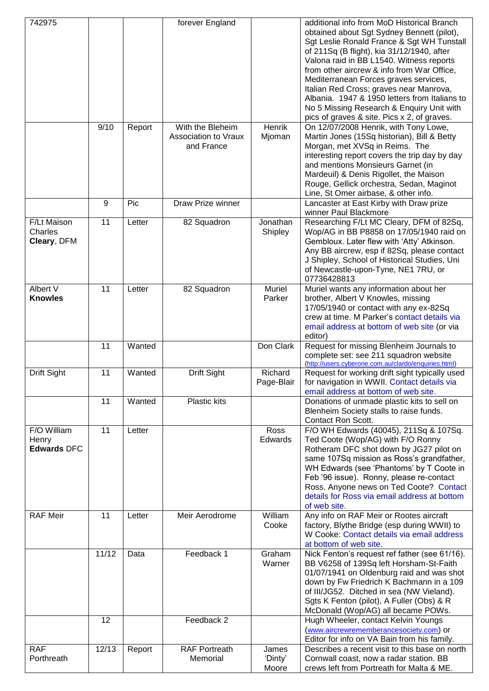| 742975                                     |       |        | forever England                                        |                           | additional info from MoD Historical Branch<br>obtained about Sgt Sydney Bennett (pilot),<br>Sgt Leslie Ronald France & Sgt WH Tunstall<br>of 211Sq (B flight), kia 31/12/1940, after<br>Valona raid in BB L1540. Witness reports<br>from other aircrew & info from War Office,<br>Mediterranean Forces graves services,<br>Italian Red Cross; graves near Manrova,<br>Albania. 1947 & 1950 letters from Italians to<br>No 5 Missing Research & Enquiry Unit with<br>pics of graves & site. Pics x 2, of graves. |
|--------------------------------------------|-------|--------|--------------------------------------------------------|---------------------------|-----------------------------------------------------------------------------------------------------------------------------------------------------------------------------------------------------------------------------------------------------------------------------------------------------------------------------------------------------------------------------------------------------------------------------------------------------------------------------------------------------------------|
|                                            | 9/10  | Report | With the Bleheim<br>Association to Vraux<br>and France | Henrik<br>Mjoman          | On 12/07/2008 Henrik, with Tony Lowe,<br>Martin Jones (15Sq historian), Bill & Betty<br>Morgan, met XVSq in Reims. The<br>interesting report covers the trip day by day<br>and mentions Monsieurs Garnet (in<br>Mardeuil) & Denis Rigollet, the Maison<br>Rouge, Gellick orchestra, Sedan, Maginot<br>Line, St Omer airbase, & other info.                                                                                                                                                                      |
|                                            | 9     | Pic    | Draw Prize winner                                      |                           | Lancaster at East Kirby with Draw prize<br>winner Paul Blackmore                                                                                                                                                                                                                                                                                                                                                                                                                                                |
| F/Lt Maison<br>Charles<br>Cleary, DFM      | 11    | Letter | 82 Squadron                                            | Jonathan<br>Shipley       | Researching F/Lt MC Cleary, DFM of 82Sq,<br>Wop/AG in BB P8858 on 17/05/1940 raid on<br>Gembloux. Later flew with 'Atty' Atkinson.<br>Any BB aircrew, esp if 82Sq, please contact<br>J Shipley, School of Historical Studies, Uni<br>of Newcastle-upon-Tyne, NE1 7RU, or<br>07736428813                                                                                                                                                                                                                         |
| Albert V<br><b>Knowles</b>                 | 11    | Letter | 82 Squadron                                            | Muriel<br>Parker          | Muriel wants any information about her<br>brother, Albert V Knowles, missing<br>17/05/1940 or contact with any ex-82Sq<br>crew at time. M Parker's contact details via<br>email address at bottom of web site (or via<br>editor)                                                                                                                                                                                                                                                                                |
|                                            | 11    | Wanted |                                                        | Don Clark                 | Request for missing Blenheim Journals to<br>complete set: see 211 squadron website<br>(http://users.cyberone.com.au/clardo/enquiries.html)                                                                                                                                                                                                                                                                                                                                                                      |
| Drift Sight                                | 11    | Wanted | Drift Sight                                            | Richard<br>Page-Blair     | Request for working drift sight typically used<br>for navigation in WWII. Contact details via<br>email address at bottom of web site.                                                                                                                                                                                                                                                                                                                                                                           |
|                                            | 11    | Wanted | Plastic kits                                           |                           | Donations of unmade plastic kits to sell on<br>Blenheim Society stalls to raise funds.<br>Contact Ron Scott.                                                                                                                                                                                                                                                                                                                                                                                                    |
| F/O William<br>Henry<br><b>Edwards DFC</b> | 11    | Letter |                                                        | Ross<br>Edwards           | F/O WH Edwards (40045), 211Sq & 107Sq.<br>Ted Coote (Wop/AG) with F/O Ronny<br>Rotheram DFC shot down by JG27 pilot on<br>same 107Sq mission as Ross's grandfather,<br>WH Edwards (see 'Phantoms' by T Coote in<br>Feb '96 issue). Ronny, please re-contact<br>Ross. Anyone news on Ted Coote? Contact<br>details for Ross via email address at bottom<br>of web site.                                                                                                                                          |
| <b>RAF Meir</b>                            | 11    | Letter | Meir Aerodrome                                         | William<br>Cooke          | Any info on RAF Meir or Rootes aircraft<br>factory, Blythe Bridge (esp during WWII) to<br>W Cooke: Contact details via email address<br>at bottom of web site.                                                                                                                                                                                                                                                                                                                                                  |
|                                            | 11/12 | Data   | Feedback 1                                             | Graham<br>Warner          | Nick Fenton's request ref father (see 61/16).<br>BB V6258 of 139Sq left Horsham-St-Faith<br>01/07/1941 on Oldenburg raid and was shot<br>down by Fw Friedrich K Bachmann in a 109<br>of III/JG52. Ditched in sea (NW Vieland).<br>Sgts K Fenton (pilot), A Fuller (Obs) & R<br>McDonald (Wop/AG) all became POWs.                                                                                                                                                                                               |
|                                            | 12    |        | Feedback 2                                             |                           | Hugh Wheeler, contact Kelvin Youngs<br>(www.aircrewrememberancesociety.com) or<br>Editor for info on VA Bain from his family.                                                                                                                                                                                                                                                                                                                                                                                   |
| <b>RAF</b><br>Porthreath                   | 12/13 | Report | <b>RAF Portreath</b><br>Memorial                       | James<br>'Dinty'<br>Moore | Describes a recent visit to this base on north<br>Cornwall coast, now a radar station. BB<br>crews left from Portreath for Malta & ME.                                                                                                                                                                                                                                                                                                                                                                          |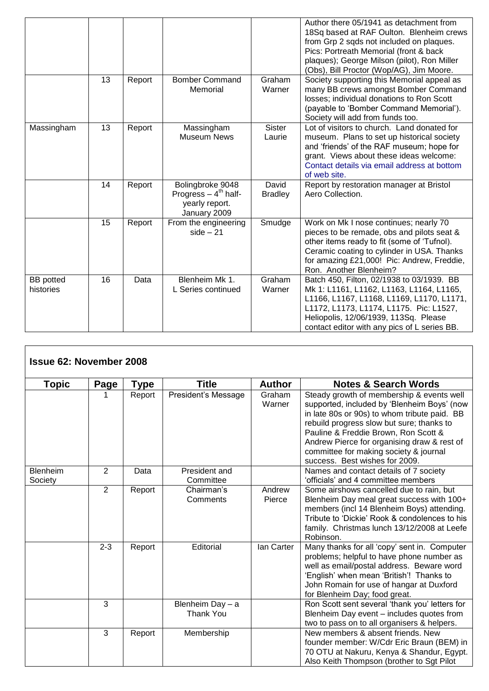|                               |    |        |                                                                             |                         | Author there 05/1941 as detachment from<br>18Sq based at RAF Oulton. Blenheim crews<br>from Grp 2 sqds not included on plaques.<br>Pics: Portreath Memorial (front & back<br>plaques); George Milson (pilot), Ron Miller<br>(Obs), Bill Proctor (Wop/AG), Jim Moore.   |
|-------------------------------|----|--------|-----------------------------------------------------------------------------|-------------------------|------------------------------------------------------------------------------------------------------------------------------------------------------------------------------------------------------------------------------------------------------------------------|
|                               | 13 | Report | <b>Bomber Command</b><br>Memorial                                           | Graham<br>Warner        | Society supporting this Memorial appeal as<br>many BB crews amongst Bomber Command<br>losses; individual donations to Ron Scott<br>(payable to 'Bomber Command Memorial').<br>Society will add from funds too.                                                         |
| Massingham                    | 13 | Report | Massingham<br><b>Museum News</b>                                            | <b>Sister</b><br>Laurie | Lot of visitors to church. Land donated for<br>museum. Plans to set up historical society<br>and 'friends' of the RAF museum; hope for<br>grant. Views about these ideas welcome:<br>Contact details via email address at bottom<br>of web site.                       |
|                               | 14 | Report | Bolingbroke 9048<br>Progress $-4th$ half-<br>yearly report.<br>January 2009 | David<br><b>Bradley</b> | Report by restoration manager at Bristol<br>Aero Collection.                                                                                                                                                                                                           |
|                               | 15 | Report | From the engineering<br>$side - 21$                                         | Smudge                  | Work on Mk I nose continues; nearly 70<br>pieces to be remade, obs and pilots seat &<br>other items ready to fit (some of 'Tufnol).<br>Ceramic coating to cylinder in USA. Thanks<br>for amazing £21,000! Pic: Andrew, Freddie,<br>Ron. Another Blenheim?              |
| <b>BB</b> potted<br>histories | 16 | Data   | Blenheim Mk 1.<br>L Series continued                                        | Graham<br>Warner        | Batch 450, Filton, 02/1938 to 03/1939. BB<br>Mk 1: L1161, L1162, L1163, L1164, L1165,<br>L1166, L1167, L1168, L1169, L1170, L1171,<br>L1172, L1173, L1174, L1175. Pic: L1527,<br>Heliopolis, 12/06/1939, 113Sq. Please<br>contact editor with any pics of L series BB. |

| <b>Issue 62: November 2008</b> |                |        |                                      |                  |                                                                                                                                                                                                                                                                                                                                                          |
|--------------------------------|----------------|--------|--------------------------------------|------------------|----------------------------------------------------------------------------------------------------------------------------------------------------------------------------------------------------------------------------------------------------------------------------------------------------------------------------------------------------------|
| <b>Topic</b>                   | Page           | Type   | <b>Title</b>                         | <b>Author</b>    | <b>Notes &amp; Search Words</b>                                                                                                                                                                                                                                                                                                                          |
|                                |                | Report | President's Message                  | Graham<br>Warner | Steady growth of membership & events well<br>supported, included by 'Blenheim Boys' (now<br>in late 80s or 90s) to whom tribute paid. BB<br>rebuild progress slow but sure; thanks to<br>Pauline & Freddie Brown, Ron Scott &<br>Andrew Pierce for organising draw & rest of<br>committee for making society & journal<br>success. Best wishes for 2009. |
| Blenheim<br>Society            | 2              | Data   | President and<br>Committee           |                  | Names and contact details of 7 society<br>'officials' and 4 committee members                                                                                                                                                                                                                                                                            |
|                                | $\overline{2}$ | Report | Chairman's<br>Comments               | Andrew<br>Pierce | Some airshows cancelled due to rain, but<br>Blenheim Day meal great success with 100+<br>members (incl 14 Blenheim Boys) attending.<br>Tribute to 'Dickie' Rook & condolences to his<br>family. Christmas lunch 13/12/2008 at Leefe<br>Robinson.                                                                                                         |
|                                | $2 - 3$        | Report | Editorial                            | lan Carter       | Many thanks for all 'copy' sent in. Computer<br>problems; helpful to have phone number as<br>well as email/postal address. Beware word<br>'English' when mean 'British'! Thanks to<br>John Romain for use of hangar at Duxford<br>for Blenheim Day; food great.                                                                                          |
|                                | 3              |        | Blenheim Day - a<br><b>Thank You</b> |                  | Ron Scott sent several 'thank you' letters for<br>Blenheim Day event - includes quotes from<br>two to pass on to all organisers & helpers.                                                                                                                                                                                                               |
|                                | $\overline{3}$ | Report | Membership                           |                  | New members & absent friends. New<br>founder member: W/Cdr Eric Braun (BEM) in<br>70 OTU at Nakuru, Kenya & Shandur, Egypt.<br>Also Keith Thompson (brother to Sgt Pilot                                                                                                                                                                                 |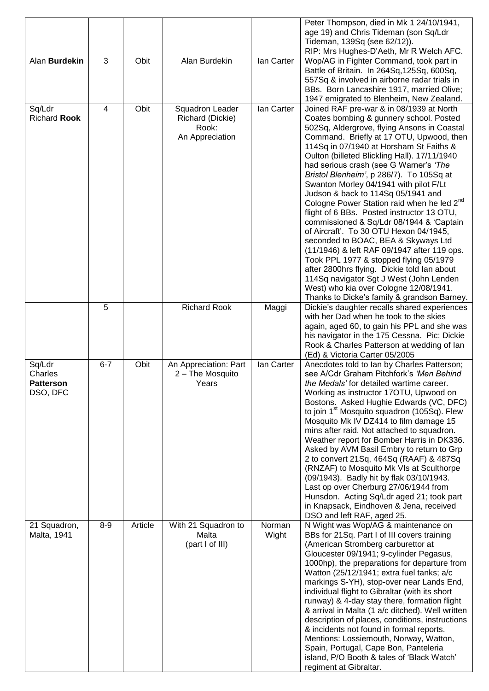| Alan Burdekin                                     | 3              | Obit    | Alan Burdekin                                                   | lan Carter      | Peter Thompson, died in Mk 1 24/10/1941,<br>age 19) and Chris Tideman (son Sq/Ldr<br>Tideman, 139Sq (see 62/12)).<br>RIP: Mrs Hughes-D'Aeth, Mr R Welch AFC.<br>Wop/AG in Fighter Command, took part in                                                                                                                                                                                                                                                                                                                                                                                                                                                                                                                                                                                                                                                                                                                                                          |
|---------------------------------------------------|----------------|---------|-----------------------------------------------------------------|-----------------|------------------------------------------------------------------------------------------------------------------------------------------------------------------------------------------------------------------------------------------------------------------------------------------------------------------------------------------------------------------------------------------------------------------------------------------------------------------------------------------------------------------------------------------------------------------------------------------------------------------------------------------------------------------------------------------------------------------------------------------------------------------------------------------------------------------------------------------------------------------------------------------------------------------------------------------------------------------|
|                                                   |                |         |                                                                 |                 | Battle of Britain. In 264Sq, 125Sq, 600Sq,<br>557Sq & involved in airborne radar trials in<br>BBs. Born Lancashire 1917, married Olive;<br>1947 emigrated to Blenheim, New Zealand.                                                                                                                                                                                                                                                                                                                                                                                                                                                                                                                                                                                                                                                                                                                                                                              |
| Sq/Ldr<br><b>Richard Rook</b>                     | $\overline{4}$ | Obit    | Squadron Leader<br>Richard (Dickie)<br>Rook:<br>An Appreciation | lan Carter      | Joined RAF pre-war & in 08/1939 at North<br>Coates bombing & gunnery school. Posted<br>502Sq, Aldergrove, flying Ansons in Coastal<br>Command. Briefly at 17 OTU, Upwood, then<br>114Sq in 07/1940 at Horsham St Faiths &<br>Oulton (billeted Blickling Hall). 17/11/1940<br>had serious crash (see G Warner's 'The<br>Bristol Blenheim', p 286/7). To 105Sq at<br>Swanton Morley 04/1941 with pilot F/Lt<br>Judson & back to 114Sq 05/1941 and<br>Cologne Power Station raid when he led 2 <sup>nd</sup><br>flight of 6 BBs. Posted instructor 13 OTU,<br>commissioned & Sq/Ldr 08/1944 & 'Captain<br>of Aircraft'. To 30 OTU Hexon 04/1945,<br>seconded to BOAC, BEA & Skyways Ltd<br>(11/1946) & left RAF 09/1947 after 119 ops.<br>Took PPL 1977 & stopped flying 05/1979<br>after 2800hrs flying. Dickie told lan about<br>114Sq navigator Sgt J West (John Lenden<br>West) who kia over Cologne 12/08/1941.<br>Thanks to Dicke's family & grandson Barney. |
|                                                   | 5              |         | <b>Richard Rook</b>                                             | Maggi           | Dickie's daughter recalls shared experiences<br>with her Dad when he took to the skies<br>again, aged 60, to gain his PPL and she was<br>his navigator in the 175 Cessna. Pic: Dickie<br>Rook & Charles Patterson at wedding of lan<br>(Ed) & Victoria Carter 05/2005                                                                                                                                                                                                                                                                                                                                                                                                                                                                                                                                                                                                                                                                                            |
| Sq/Ldr<br>Charles<br><b>Patterson</b><br>DSO, DFC | $6 - 7$        | Obit    | An Appreciation: Part<br>2 - The Mosquito<br>Years              | lan Carter      | Anecdotes told to Ian by Charles Patterson;<br>see A/Cdr Graham Pitchfork's 'Men Behind<br>the Medals' for detailed wartime career.<br>Working as instructor 17OTU, Upwood on<br>Bostons. Asked Hughie Edwards (VC, DFC)<br>to join 1 <sup>st</sup> Mosquito squadron (105Sq). Flew<br>Mosquito Mk IV DZ414 to film damage 15<br>mins after raid. Not attached to squadron.<br>Weather report for Bomber Harris in DK336.<br>Asked by AVM Basil Embry to return to Grp<br>2 to convert 21Sq, 464Sq (RAAF) & 487Sq<br>(RNZAF) to Mosquito Mk VIs at Sculthorpe<br>(09/1943). Badly hit by flak 03/10/1943.<br>Last op over Cherburg 27/06/1944 from<br>Hunsdon. Acting Sq/Ldr aged 21; took part<br>in Knapsack, Eindhoven & Jena, received<br>DSO and left RAF, aged 25.                                                                                                                                                                                         |
| 21 Squadron,<br>Malta, 1941                       | $8-9$          | Article | With 21 Squadron to<br>Malta<br>(part I of III)                 | Norman<br>Wight | N Wight was Wop/AG & maintenance on<br>BBs for 21Sq. Part I of III covers training<br>(American Stromberg carburettor at<br>Gloucester 09/1941; 9-cylinder Pegasus,<br>1000hp), the preparations for departure from<br>Watton (25/12/1941; extra fuel tanks; a/c<br>markings S-YH), stop-over near Lands End,<br>individual flight to Gibraltar (with its short<br>runway) & 4-day stay there, formation flight<br>& arrival in Malta (1 a/c ditched). Well written<br>description of places, conditions, instructions<br>& incidents not found in formal reports.<br>Mentions: Lossiemouth, Norway, Watton,<br>Spain, Portugal, Cape Bon, Panteleria<br>island, P/O Booth & tales of 'Black Watch'<br>regiment at Gibraltar.                                                                                                                                                                                                                                    |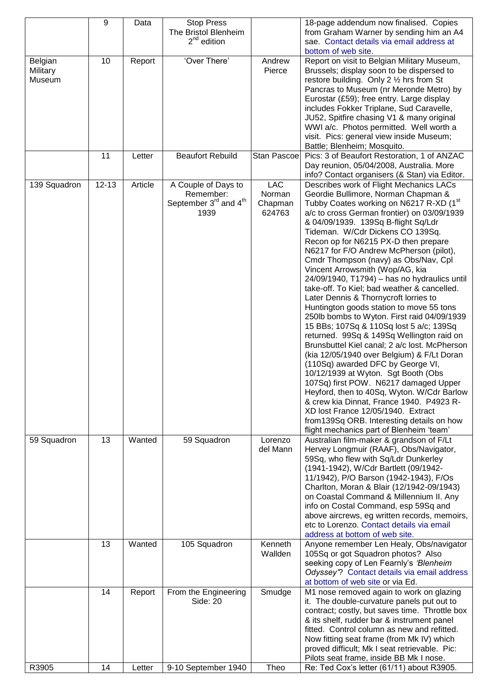|              | 9         | Data    | <b>Stop Press</b>                             |             | 18-page addendum now finalised. Copies                                                    |
|--------------|-----------|---------|-----------------------------------------------|-------------|-------------------------------------------------------------------------------------------|
|              |           |         | The Bristol Blenheim                          |             | from Graham Warner by sending him an A4                                                   |
|              |           |         | $2nd$ edition                                 |             | sae. Contact details via email address at                                                 |
|              |           |         |                                               |             | bottom of web site.                                                                       |
| Belgian      | 10        | Report  | 'Over There'                                  | Andrew      | Report on visit to Belgian Military Museum,                                               |
| Military     |           |         |                                               | Pierce      | Brussels; display soon to be dispersed to                                                 |
| Museum       |           |         |                                               |             | restore building. Only 2 1/2 hrs from St                                                  |
|              |           |         |                                               |             | Pancras to Museum (nr Meronde Metro) by                                                   |
|              |           |         |                                               |             | Eurostar (£59); free entry. Large display                                                 |
|              |           |         |                                               |             | includes Fokker Triplane, Sud Caravelle,                                                  |
|              |           |         |                                               |             | JU52, Spitfire chasing V1 & many original                                                 |
|              |           |         |                                               |             | WWI a/c. Photos permitted. Well worth a                                                   |
|              |           |         |                                               |             | visit. Pics: general view inside Museum;                                                  |
|              |           |         |                                               |             | Battle; Blenheim; Mosquito.                                                               |
|              | 11        | Letter  | <b>Beaufort Rebuild</b>                       | Stan Pascoe | Pics: 3 of Beaufort Restoration, 1 of ANZAC                                               |
|              |           |         |                                               |             | Day reunion, 05/04/2008, Australia. More                                                  |
|              |           |         |                                               |             | info? Contact organisers (& Stan) via Editor.                                             |
| 139 Squadron | $12 - 13$ | Article | A Couple of Days to                           | <b>LAC</b>  | Describes work of Flight Mechanics LACs                                                   |
|              |           |         | Remember:                                     | Norman      | Geordie Bullimore, Norman Chapman &                                                       |
|              |           |         | September 3 <sup>rd</sup> and 4 <sup>th</sup> | Chapman     | Tubby Coates working on N6217 R-XD (1st                                                   |
|              |           |         | 1939                                          | 624763      | a/c to cross German frontier) on 03/09/1939                                               |
|              |           |         |                                               |             | & 04/09/1939. 139Sq B-flight Sq/Ldr                                                       |
|              |           |         |                                               |             | Tideman. W/Cdr Dickens CO 139Sq.                                                          |
|              |           |         |                                               |             | Recon op for N6215 PX-D then prepare                                                      |
|              |           |         |                                               |             | N6217 for F/O Andrew McPherson (pilot),                                                   |
|              |           |         |                                               |             | Cmdr Thompson (navy) as Obs/Nav, Cpl                                                      |
|              |           |         |                                               |             | Vincent Arrowsmith (Wop/AG, kia                                                           |
|              |           |         |                                               |             | 24/09/1940, T1794) - has no hydraulics until                                              |
|              |           |         |                                               |             | take-off. To Kiel; bad weather & cancelled.                                               |
|              |           |         |                                               |             | Later Dennis & Thornycroft lorries to                                                     |
|              |           |         |                                               |             | Huntington goods station to move 55 tons                                                  |
|              |           |         |                                               |             | 250lb bombs to Wyton. First raid 04/09/1939                                               |
|              |           |         |                                               |             | 15 BBs; 107Sq & 110Sq lost 5 a/c; 139Sq                                                   |
|              |           |         |                                               |             | returned. 99Sq & 149Sq Wellington raid on                                                 |
|              |           |         |                                               |             | Brunsbuttel Kiel canal; 2 a/c lost. McPherson                                             |
|              |           |         |                                               |             | (kia 12/05/1940 over Belgium) & F/Lt Doran                                                |
|              |           |         |                                               |             | (110Sq) awarded DFC by George VI,                                                         |
|              |           |         |                                               |             | 10/12/1939 at Wyton. Sgt Booth (Obs                                                       |
|              |           |         |                                               |             | 107Sq) first POW. N6217 damaged Upper                                                     |
|              |           |         |                                               |             | Heyford, then to 40Sq, Wyton. W/Cdr Barlow                                                |
|              |           |         |                                               |             | & crew kia Dinnat, France 1940. P4923 R-                                                  |
|              |           |         |                                               |             | XD lost France 12/05/1940. Extract                                                        |
|              |           |         |                                               |             | from 139Sq ORB. Interesting details on how                                                |
|              |           |         |                                               |             | flight mechanics part of Blenheim 'team'                                                  |
| 59 Squadron  | 13        | Wanted  | 59 Squadron                                   | Lorenzo     | Australian film-maker & grandson of F/Lt                                                  |
|              |           |         |                                               | del Mann    | Hervey Longmuir (RAAF), Obs/Navigator,                                                    |
|              |           |         |                                               |             | 59Sq, who flew with Sq/Ldr Dunkerley                                                      |
|              |           |         |                                               |             | (1941-1942), W/Cdr Bartlett (09/1942-                                                     |
|              |           |         |                                               |             | 11/1942), P/O Barson (1942-1943), F/Os                                                    |
|              |           |         |                                               |             | Charlton, Moran & Blair (12/1942-09/1943)                                                 |
|              |           |         |                                               |             | on Coastal Command & Millennium II. Any                                                   |
|              |           |         |                                               |             | info on Costal Command, esp 59Sq and                                                      |
|              |           |         |                                               |             | above aircrews, eg written records, memoirs,<br>etc to Lorenzo. Contact details via email |
|              |           |         |                                               |             | address at bottom of web site.                                                            |
|              | 13        | Wanted  | 105 Squadron                                  | Kenneth     | Anyone remember Len Healy, Obs/navigator                                                  |
|              |           |         |                                               | Wallden     | 105Sq or got Squadron photos? Also                                                        |
|              |           |         |                                               |             | seeking copy of Len Fearnly's 'Blenheim                                                   |
|              |           |         |                                               |             | Odyssey"? Contact details via email address                                               |
|              |           |         |                                               |             | at bottom of web site or via Ed.                                                          |
|              | 14        | Report  | From the Engineering                          | Smudge      | M1 nose removed again to work on glazing                                                  |
|              |           |         | Side: 20                                      |             | it. The double-curvature panels put out to                                                |
|              |           |         |                                               |             | contract; costly, but saves time. Throttle box                                            |
|              |           |         |                                               |             | & its shelf, rudder bar & instrument panel                                                |
|              |           |         |                                               |             | fitted. Control column as new and refitted.                                               |
|              |           |         |                                               |             | Now fitting seat frame (from Mk IV) which                                                 |
|              |           |         |                                               |             | proved difficult; Mk I seat retrievable. Pic:                                             |
|              |           |         |                                               |             | Pilots seat frame, inside BB Mk I nose.                                                   |
| R3905        | 14        | Letter  | 9-10 September 1940                           | Theo        | Re: Ted Cox's letter (61/11) about R3905.                                                 |
|              |           |         |                                               |             |                                                                                           |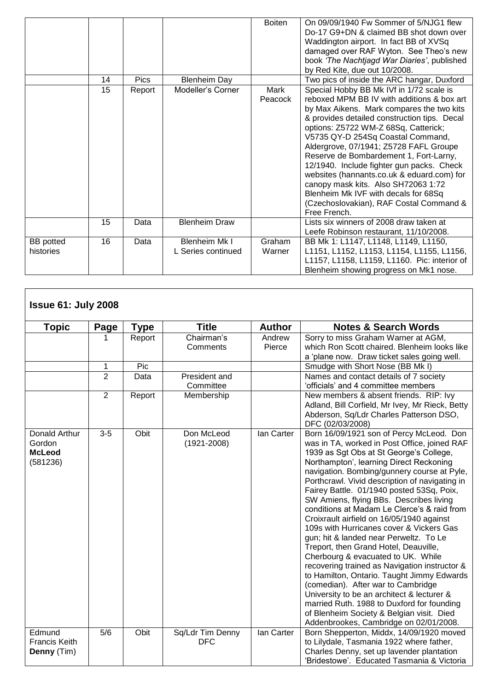|                               |    |             |                                     | <b>Boiten</b>    | On 09/09/1940 Fw Sommer of 5/NJG1 flew<br>Do-17 G9+DN & claimed BB shot down over<br>Waddington airport. In fact BB of XVSq<br>damaged over RAF Wyton. See Theo's new<br>book 'The Nachtjagd War Diaries', published<br>by Red Kite, due out 10/2008.                                                                                                                                                                                                                                                                                                                                     |
|-------------------------------|----|-------------|-------------------------------------|------------------|-------------------------------------------------------------------------------------------------------------------------------------------------------------------------------------------------------------------------------------------------------------------------------------------------------------------------------------------------------------------------------------------------------------------------------------------------------------------------------------------------------------------------------------------------------------------------------------------|
|                               | 14 | <b>Pics</b> | <b>Blenheim Day</b>                 |                  | Two pics of inside the ARC hangar, Duxford                                                                                                                                                                                                                                                                                                                                                                                                                                                                                                                                                |
|                               | 15 | Report      | Modeller's Corner                   | Mark<br>Peacock  | Special Hobby BB Mk IVf in 1/72 scale is<br>reboxed MPM BB IV with additions & box art<br>by Max Aikens. Mark compares the two kits<br>& provides detailed construction tips. Decal<br>options: Z5722 WM-Z 68Sq, Catterick;<br>V5735 QY-D 254Sq Coastal Command,<br>Aldergrove, 07/1941; Z5728 FAFL Groupe<br>Reserve de Bombardement 1, Fort-Larny,<br>12/1940. Include fighter gun packs. Check<br>websites (hannants.co.uk & eduard.com) for<br>canopy mask kits. Also SH72063 1:72<br>Blenheim Mk IVF with decals for 68Sq<br>(Czechoslovakian), RAF Costal Command &<br>Free French. |
|                               | 15 | Data        | <b>Blenheim Draw</b>                |                  | Lists six winners of 2008 draw taken at<br>Leefe Robinson restaurant, 11/10/2008.                                                                                                                                                                                                                                                                                                                                                                                                                                                                                                         |
| <b>BB</b> potted<br>histories | 16 | Data        | Blenheim Mk I<br>L Series continued | Graham<br>Warner | BB Mk 1: L1147, L1148, L1149, L1150,<br>L1151, L1152, L1153, L1154, L1155, L1156,<br>L1157, L1158, L1159, L1160. Pic: interior of<br>Blenheim showing progress on Mk1 nose.                                                                                                                                                                                                                                                                                                                                                                                                               |

## **Issue 61: July 2008**

| <b>Topic</b>                                         | Page           | <b>Type</b> | <b>Title</b>                   | <b>Author</b>    | <b>Notes &amp; Search Words</b>                                                                                                                                                                                                                                                                                                                                                                                                                                                                                                                                                                                                                                                                                                                                                                                                                                                                                                                                  |
|------------------------------------------------------|----------------|-------------|--------------------------------|------------------|------------------------------------------------------------------------------------------------------------------------------------------------------------------------------------------------------------------------------------------------------------------------------------------------------------------------------------------------------------------------------------------------------------------------------------------------------------------------------------------------------------------------------------------------------------------------------------------------------------------------------------------------------------------------------------------------------------------------------------------------------------------------------------------------------------------------------------------------------------------------------------------------------------------------------------------------------------------|
|                                                      |                | Report      | Chairman's<br>Comments         | Andrew<br>Pierce | Sorry to miss Graham Warner at AGM,<br>which Ron Scott chaired. Blenheim looks like                                                                                                                                                                                                                                                                                                                                                                                                                                                                                                                                                                                                                                                                                                                                                                                                                                                                              |
|                                                      |                |             |                                |                  | a 'plane now. Draw ticket sales going well.                                                                                                                                                                                                                                                                                                                                                                                                                                                                                                                                                                                                                                                                                                                                                                                                                                                                                                                      |
|                                                      | 1              | Pic         |                                |                  | Smudge with Short Nose (BB Mk I)                                                                                                                                                                                                                                                                                                                                                                                                                                                                                                                                                                                                                                                                                                                                                                                                                                                                                                                                 |
|                                                      | $\overline{2}$ | Data        | President and<br>Committee     |                  | Names and contact details of 7 society<br>'officials' and 4 committee members                                                                                                                                                                                                                                                                                                                                                                                                                                                                                                                                                                                                                                                                                                                                                                                                                                                                                    |
|                                                      | 2              | Report      | Membership                     |                  | New members & absent friends. RIP: Ivy<br>Adland, Bill Corfield, Mr Ivey, Mr Rieck, Betty<br>Abderson, Sq/Ldr Charles Patterson DSO,<br>DFC (02/03/2008)                                                                                                                                                                                                                                                                                                                                                                                                                                                                                                                                                                                                                                                                                                                                                                                                         |
| Donald Arthur<br>Gordon<br><b>McLeod</b><br>(581236) | $3-5$          | Obit        | Don McLeod<br>$(1921 - 2008)$  | lan Carter       | Born 16/09/1921 son of Percy McLeod. Don<br>was in TA, worked in Post Office, joined RAF<br>1939 as Sgt Obs at St George's College,<br>Northampton', learning Direct Reckoning<br>navigation. Bombing/gunnery course at Pyle,<br>Porthcrawl. Vivid description of navigating in<br>Fairey Battle. 01/1940 posted 53Sq, Poix,<br>SW Amiens, flying BBs. Describes living<br>conditions at Madam Le Clerce's & raid from<br>Croixrault airfield on 16/05/1940 against<br>109s with Hurricanes cover & Vickers Gas<br>gun; hit & landed near Perweltz. To Le<br>Treport, then Grand Hotel, Deauville,<br>Cherbourg & evacuated to UK. While<br>recovering trained as Navigation instructor &<br>to Hamilton, Ontario. Taught Jimmy Edwards<br>(comedian). After war to Cambridge<br>University to be an architect & lecturer &<br>married Ruth. 1988 to Duxford for founding<br>of Blenheim Society & Belgian visit. Died<br>Addenbrookes, Cambridge on 02/01/2008. |
| Edmund<br><b>Francis Keith</b><br>Denny (Tim)        | 5/6            | Obit        | Sq/Ldr Tim Denny<br><b>DFC</b> | lan Carter       | Born Shepperton, Middx, 14/09/1920 moved<br>to Lilydale, Tasmania 1922 where father,<br>Charles Denny, set up lavender plantation<br>'Bridestowe'. Educated Tasmania & Victoria                                                                                                                                                                                                                                                                                                                                                                                                                                                                                                                                                                                                                                                                                                                                                                                  |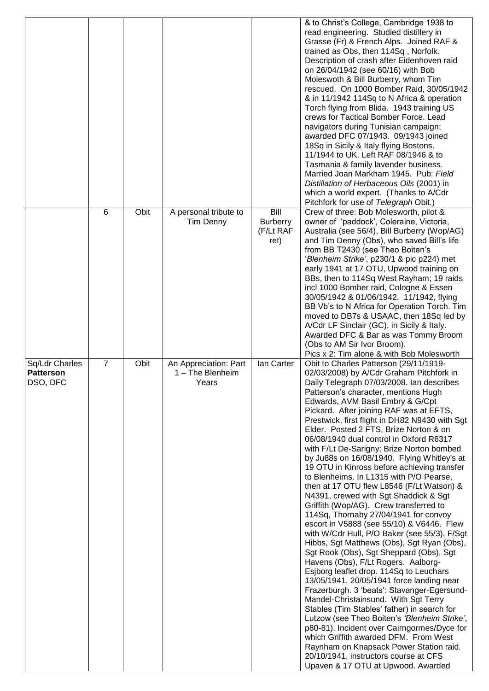|                                                |                |      |                                                    |                                              | & to Christ's College, Cambridge 1938 to<br>read engineering. Studied distillery in<br>Grasse (Fr) & French Alps. Joined RAF &<br>trained as Obs, then 114Sq, Norfolk.<br>Description of crash after Eidenhoven raid<br>on 26/04/1942 (see 60/16) with Bob<br>Moleswoth & Bill Burberry, whom Tim<br>rescued. On 1000 Bomber Raid, 30/05/1942<br>& in 11/1942 114Sq to N Africa & operation<br>Torch flying from Blida. 1943 training US<br>crews for Tactical Bomber Force. Lead<br>navigators during Tunisian campaign;<br>awarded DFC 07/1943. 09/1943 joined<br>18Sq in Sicily & Italy flying Bostons.<br>11/1944 to UK. Left RAF 08/1946 & to<br>Tasmania & family lavender business.<br>Married Joan Markham 1945. Pub: Field<br>Distillation of Herbaceous Oils (2001) in<br>which a world expert. (Thanks to A/Cdr<br>Pitchfork for use of Telegraph Obit.)                                                                                                                                                                                                                                                                                                                                                                                                                                                                                                                                                                                                                       |
|------------------------------------------------|----------------|------|----------------------------------------------------|----------------------------------------------|-------------------------------------------------------------------------------------------------------------------------------------------------------------------------------------------------------------------------------------------------------------------------------------------------------------------------------------------------------------------------------------------------------------------------------------------------------------------------------------------------------------------------------------------------------------------------------------------------------------------------------------------------------------------------------------------------------------------------------------------------------------------------------------------------------------------------------------------------------------------------------------------------------------------------------------------------------------------------------------------------------------------------------------------------------------------------------------------------------------------------------------------------------------------------------------------------------------------------------------------------------------------------------------------------------------------------------------------------------------------------------------------------------------------------------------------------------------------------------------------|
|                                                | 6              | Obit | A personal tribute to<br>Tim Denny                 | Bill<br><b>Burberry</b><br>(F/Lt RAF<br>ret) | Crew of three: Bob Molesworth, pilot &<br>owner of 'paddock', Coleraine, Victoria,<br>Australia (see 56/4), Bill Burberry (Wop/AG)<br>and Tim Denny (Obs), who saved Bill's life<br>from BB T2430 (see Theo Boiten's<br>'Blenheim Strike', p230/1 & pic p224) met<br>early 1941 at 17 OTU, Upwood training on<br>BBs, then to 114Sq West Rayham; 19 raids<br>incl 1000 Bomber raid, Cologne & Essen<br>30/05/1942 & 01/06/1942. 11/1942, flying<br>BB Vb's to N Africa for Operation Torch. Tim<br>moved to DB7s & USAAC, then 18Sq led by<br>A/Cdr LF Sinclair (GC), in Sicily & Italy.<br>Awarded DFC & Bar as was Tommy Broom<br>(Obs to AM Sir Ivor Broom).<br>Pics x 2: Tim alone & with Bob Molesworth                                                                                                                                                                                                                                                                                                                                                                                                                                                                                                                                                                                                                                                                                                                                                                              |
| Sq/Ldr Charles<br><b>Patterson</b><br>DSO, DFC | $\overline{7}$ | Obit | An Appreciation: Part<br>1 - The Blenheim<br>Years | lan Carter                                   | Obit to Charles Patterson (29/11/1919-<br>02/03/2008) by A/Cdr Graham Pitchfork in<br>Daily Telegraph 07/03/2008. Ian describes<br>Patterson's character, mentions Hugh<br>Edwards, AVM Basil Embry & G/Cpt<br>Pickard. After joining RAF was at EFTS,<br>Prestwick, first flight in DH82 N9430 with Sgt<br>Elder. Posted 2 FTS, Brize Norton & on<br>06/08/1940 dual control in Oxford R6317<br>with F/Lt De-Sarigny; Brize Norton bombed<br>by Ju88s on 16/08/1940. Flying Whitley's at<br>19 OTU in Kinross before achieving transfer<br>to Blenheims. In L1315 with P/O Pearse,<br>then at 17 OTU flew L8546 (F/Lt Watson) &<br>N4391, crewed with Sgt Shaddick & Sgt<br>Griffith (Wop/AG). Crew transferred to<br>114Sq, Thornaby 27/04/1941 for convoy<br>escort in V5888 (see 55/10) & V6446. Flew<br>with W/Cdr Hull, P/O Baker (see 55/3), F/Sgt<br>Hibbs, Sgt Matthews (Obs), Sgt Ryan (Obs),<br>Sgt Rook (Obs), Sgt Sheppard (Obs), Sgt<br>Havens (Obs), F/Lt Rogers. Aalborg-<br>Esjborg leaflet drop. 114Sq to Leuchars<br>13/05/1941. 20/05/1941 force landing near<br>Frazerburgh. 3 'beats': Stavanger-Egersund-<br>Mandel-Christainsund. With Sgt Terry<br>Stables (Tim Stables' father) in search for<br>Lutzow (see Theo Boiten's 'Blenheim Strike',<br>p80-81). Incident over Cairngormes/Dyce for<br>which Griffith awarded DFM. From West<br>Raynham on Knapsack Power Station raid.<br>20/10/1941, instructors course at CFS<br>Upaven & 17 OTU at Upwood. Awarded |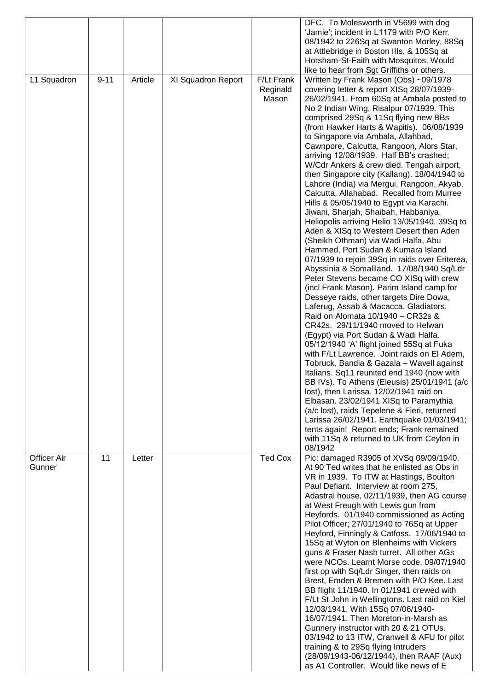|                    |          |         |                    |                | DFC. To Molesworth in V5699 with dog           |
|--------------------|----------|---------|--------------------|----------------|------------------------------------------------|
|                    |          |         |                    |                | 'Jamie'; incident in L1179 with P/O Kerr.      |
|                    |          |         |                    |                | 08/1942 to 226Sq at Swanton Morley, 88Sq       |
|                    |          |         |                    |                | at Attlebridge in Boston IIIs, & 105Sq at      |
|                    |          |         |                    |                | Horsham-St-Faith with Mosquitos. Would         |
|                    |          |         |                    |                | like to hear from Sgt Griffiths or others.     |
| 11 Squadron        | $9 - 11$ | Article | XI Squadron Report | F/Lt Frank     | Written by Frank Mason (Obs) ~09/1978          |
|                    |          |         |                    | Reginald       | covering letter & report XISq 28/07/1939-      |
|                    |          |         |                    | Mason          | 26/02/1941. From 60Sq at Ambala posted to      |
|                    |          |         |                    |                | No 2 Indian Wing, Risalpur 07/1939. This       |
|                    |          |         |                    |                | comprised 29Sq & 11Sq flying new BBs           |
|                    |          |         |                    |                | (from Hawker Harts & Wapitis). 06/08/1939      |
|                    |          |         |                    |                | to Singapore via Ambala, Allahbad,             |
|                    |          |         |                    |                | Cawnpore, Calcutta, Rangoon, Alors Star,       |
|                    |          |         |                    |                | arriving 12/08/1939. Half BB's crashed;        |
|                    |          |         |                    |                | W/Cdr Ankers & crew died. Tengah airport,      |
|                    |          |         |                    |                | then Singapore city (Kallang). 18/04/1940 to   |
|                    |          |         |                    |                | Lahore (India) via Mergui, Rangoon, Akyab,     |
|                    |          |         |                    |                | Calcutta, Allahabad. Recalled from Murree      |
|                    |          |         |                    |                | Hills & 05/05/1940 to Egypt via Karachi.       |
|                    |          |         |                    |                | Jiwani, Sharjah, Shaibah, Habbaniya,           |
|                    |          |         |                    |                | Heliopolis arriving Helio 13/05/1940. 39Sq to  |
|                    |          |         |                    |                | Aden & XISq to Western Desert then Aden        |
|                    |          |         |                    |                | (Sheikh Othman) via Wadi Halfa, Abu            |
|                    |          |         |                    |                | Hammed, Port Sudan & Kumara Island             |
|                    |          |         |                    |                | 07/1939 to rejoin 39Sq in raids over Eriterea, |
|                    |          |         |                    |                | Abyssinia & Somaliland. 17/08/1940 Sq/Ldr      |
|                    |          |         |                    |                |                                                |
|                    |          |         |                    |                | Peter Stevens became CO XISq with crew         |
|                    |          |         |                    |                | (incl Frank Mason). Parim Island camp for      |
|                    |          |         |                    |                | Desseye raids, other targets Dire Dowa,        |
|                    |          |         |                    |                | Laferug, Assab & Macacca. Gladiators.          |
|                    |          |         |                    |                | Raid on Alomata 10/1940 - CR32s &              |
|                    |          |         |                    |                | CR42s. 29/11/1940 moved to Helwan              |
|                    |          |         |                    |                | (Egypt) via Port Sudan & Wadi Halfa.           |
|                    |          |         |                    |                | 05/12/1940 'A' flight joined 55Sq at Fuka      |
|                    |          |         |                    |                | with F/Lt Lawrence. Joint raids on El Adem,    |
|                    |          |         |                    |                | Tobruck, Bandia & Gazala - Wavell against      |
|                    |          |         |                    |                | Italians. Sq11 reunited end 1940 (now with     |
|                    |          |         |                    |                | BB IVs). To Athens (Eleusis) 25/01/1941 (a/c   |
|                    |          |         |                    |                | lost), then Larissa. 12/02/1941 raid on        |
|                    |          |         |                    |                | Elbasan. 23/02/1941 XISq to Paramythia         |
|                    |          |         |                    |                | (a/c lost), raids Tepelene & Fieri, returned   |
|                    |          |         |                    |                | Larissa 26/02/1941. Earthquake 01/03/1941;     |
|                    |          |         |                    |                | tents again! Report ends; Frank remained       |
|                    |          |         |                    |                | with 11Sq & returned to UK from Ceylon in      |
|                    |          |         |                    |                | 08/1942                                        |
| <b>Officer Air</b> | 11       | Letter  |                    | <b>Ted Cox</b> | Pic: damaged R3905 of XVSq 09/09/1940.         |
| Gunner             |          |         |                    |                | At 90 Ted writes that he enlisted as Obs in    |
|                    |          |         |                    |                | VR in 1939. To ITW at Hastings, Boulton        |
|                    |          |         |                    |                | Paul Defiant. Interview at room 275,           |
|                    |          |         |                    |                | Adastral house, 02/11/1939, then AG course     |
|                    |          |         |                    |                | at West Freugh with Lewis gun from             |
|                    |          |         |                    |                | Heyfords. 01/1940 commissioned as Acting       |
|                    |          |         |                    |                | Pilot Officer; 27/01/1940 to 76Sq at Upper     |
|                    |          |         |                    |                | Heyford, Finningly & Catfoss. 17/06/1940 to    |
|                    |          |         |                    |                | 15Sq at Wyton on Blenheims with Vickers        |
|                    |          |         |                    |                | guns & Fraser Nash turret. All other AGs       |
|                    |          |         |                    |                | were NCOs. Learnt Morse code. 09/07/1940       |
|                    |          |         |                    |                | first op with Sq/Ldr Singer, then raids on     |
|                    |          |         |                    |                | Brest, Emden & Bremen with P/O Kee. Last       |
|                    |          |         |                    |                | BB flight 11/1940. In 01/1941 crewed with      |
|                    |          |         |                    |                | F/Lt St John in Wellingtons. Last raid on Kiel |
|                    |          |         |                    |                | 12/03/1941. With 15Sq 07/06/1940-              |
|                    |          |         |                    |                | 16/07/1941. Then Moreton-in-Marsh as           |
|                    |          |         |                    |                | Gunnery instructor with 20 & 21 OTUs.          |
|                    |          |         |                    |                | 03/1942 to 13 ITW, Cranwell & AFU for pilot    |
|                    |          |         |                    |                | training & to 29Sq flying Intruders            |
|                    |          |         |                    |                | (28/09/1943-06/12/1944), then RAAF (Aux)       |
|                    |          |         |                    |                | as A1 Controller. Would like news of E         |
|                    |          |         |                    |                |                                                |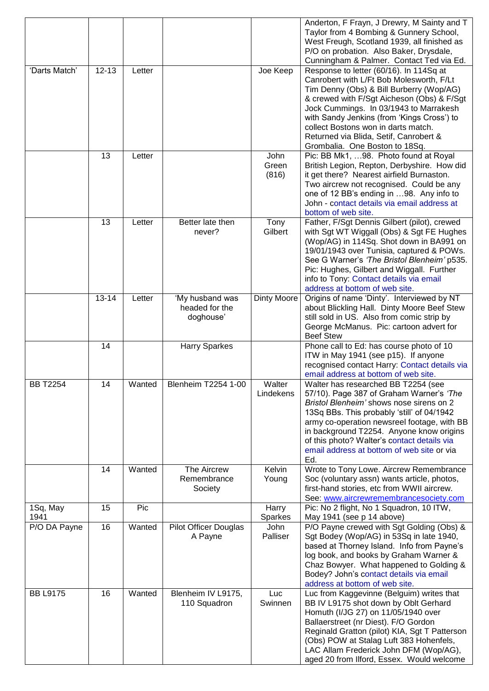|                  |           |        |                                                |                        | Anderton, F Frayn, J Drewry, M Sainty and T<br>Taylor from 4 Bombing & Gunnery School,<br>West Freugh, Scotland 1939, all finished as<br>P/O on probation. Also Baker, Drysdale,<br>Cunningham & Palmer. Contact Ted via Ed.                                                                                                                                                             |
|------------------|-----------|--------|------------------------------------------------|------------------------|------------------------------------------------------------------------------------------------------------------------------------------------------------------------------------------------------------------------------------------------------------------------------------------------------------------------------------------------------------------------------------------|
| 'Darts Match'    | $12 - 13$ | Letter |                                                | Joe Keep               | Response to letter (60/16). In 114Sq at<br>Canrobert with L/Ft Bob Molesworth, F/Lt<br>Tim Denny (Obs) & Bill Burberry (Wop/AG)<br>& crewed with F/Sgt Aicheson (Obs) & F/Sgt<br>Jock Cummings. In 03/1943 to Marrakesh<br>with Sandy Jenkins (from 'Kings Cross') to<br>collect Bostons won in darts match.<br>Returned via Blida, Setif, Canrobert &<br>Grombalia. One Boston to 18Sq. |
|                  | 13        | Letter |                                                | John<br>Green<br>(816) | Pic: BB Mk1, 98. Photo found at Royal<br>British Legion, Repton, Derbyshire. How did<br>it get there? Nearest airfield Burnaston.<br>Two aircrew not recognised. Could be any<br>one of 12 BB's ending in 98. Any info to<br>John - contact details via email address at<br>bottom of web site.                                                                                          |
|                  | 13        | Letter | Better late then<br>never?                     | Tony<br>Gilbert        | Father, F/Sgt Dennis Gilbert (pilot), crewed<br>with Sgt WT Wiggall (Obs) & Sgt FE Hughes<br>(Wop/AG) in 114Sq. Shot down in BA991 on<br>19/01/1943 over Tunisia, captured & POWs.<br>See G Warner's 'The Bristol Blenheim' p535.<br>Pic: Hughes, Gilbert and Wiggall. Further<br>info to Tony: Contact details via email<br>address at bottom of web site.                              |
|                  | $13 - 14$ | Letter | 'My husband was<br>headed for the<br>doghouse' | <b>Dinty Moore</b>     | Origins of name 'Dinty'. Interviewed by NT<br>about Blickling Hall. Dinty Moore Beef Stew<br>still sold in US. Also from comic strip by<br>George McManus. Pic: cartoon advert for<br><b>Beef Stew</b>                                                                                                                                                                                   |
|                  | 14        |        | <b>Harry Sparkes</b>                           |                        | Phone call to Ed: has course photo of 10<br>ITW in May 1941 (see p15). If anyone<br>recognised contact Harry: Contact details via<br>email address at bottom of web site.                                                                                                                                                                                                                |
| <b>BB T2254</b>  | 14        | Wanted | Blenheim T2254 1-00                            | Walter<br>Lindekens    | Walter has researched BB T2254 (see<br>57/10). Page 387 of Graham Warner's 'The<br>Bristol Blenheim' shows nose sirens on 2<br>13Sq BBs. This probably 'still' of 04/1942<br>army co-operation newsreel footage, with BB<br>in background T2254. Anyone know origins<br>of this photo? Walter's contact details via<br>email address at bottom of web site or via<br>Ed.                 |
|                  | 14        | Wanted | The Aircrew<br>Remembrance<br>Society          | Kelvin<br>Young        | Wrote to Tony Lowe. Aircrew Remembrance<br>Soc (voluntary assn) wants article, photos,<br>first-hand stories, etc from WWII aircrew.<br>See: www.aircrewremembrancesociety.com                                                                                                                                                                                                           |
| 1Sq, May<br>1941 | 15        | Pic    |                                                | Harry<br>Sparkes       | Pic: No 2 flight, No 1 Squadron, 10 ITW,<br>May 1941 (see p 14 above)                                                                                                                                                                                                                                                                                                                    |
| P/O DA Payne     | 16        | Wanted | <b>Pilot Officer Douglas</b><br>A Payne        | John<br>Palliser       | P/O Payne crewed with Sgt Golding (Obs) &<br>Sgt Bodey (Wop/AG) in 53Sq in late 1940,<br>based at Thorney Island. Info from Payne's<br>log book, and books by Graham Warner &<br>Chaz Bowyer. What happened to Golding &<br>Bodey? John's contact details via email<br>address at bottom of web site.                                                                                    |
| <b>BB L9175</b>  | 16        | Wanted | Blenheim IV L9175,<br>110 Squadron             | Luc<br>Swinnen         | Luc from Kaggevinne (Belguim) writes that<br>BB IV L9175 shot down by Oblt Gerhard<br>Homuth (I/JG 27) on 11/05/1940 over<br>Ballaerstreet (nr Diest). F/O Gordon<br>Reginald Gratton (pilot) KIA, Sgt T Patterson<br>(Obs) POW at Stalag Luft 383 Hohenfels,<br>LAC Allam Frederick John DFM (Wop/AG),<br>aged 20 from Ilford, Essex. Would welcome                                     |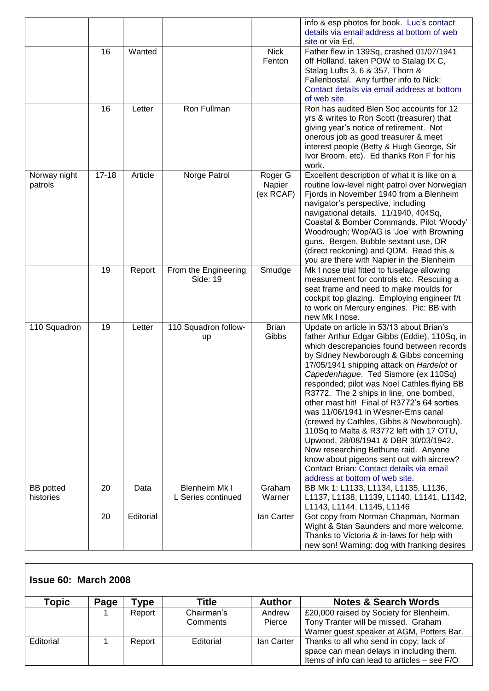|                               |           |           |                                            |                                | info & esp photos for book. Luc's contact<br>details via email address at bottom of web                                                                                                                                                                                                                                                                                                                                                                                                                                                                                                                                                                                                                                                                 |
|-------------------------------|-----------|-----------|--------------------------------------------|--------------------------------|---------------------------------------------------------------------------------------------------------------------------------------------------------------------------------------------------------------------------------------------------------------------------------------------------------------------------------------------------------------------------------------------------------------------------------------------------------------------------------------------------------------------------------------------------------------------------------------------------------------------------------------------------------------------------------------------------------------------------------------------------------|
|                               |           |           |                                            |                                | site or via Ed.                                                                                                                                                                                                                                                                                                                                                                                                                                                                                                                                                                                                                                                                                                                                         |
|                               | 16        | Wanted    |                                            | <b>Nick</b><br>Fenton          | Father flew in 139Sq, crashed 01/07/1941<br>off Holland, taken POW to Stalag IX C,<br>Stalag Lufts 3, 6 & 357, Thorn &<br>Fallenbostal. Any further info to Nick:<br>Contact details via email address at bottom<br>of web site.                                                                                                                                                                                                                                                                                                                                                                                                                                                                                                                        |
|                               | 16        | Letter    | Ron Fullman                                |                                | Ron has audited Blen Soc accounts for 12<br>yrs & writes to Ron Scott (treasurer) that<br>giving year's notice of retirement. Not<br>onerous job as good treasurer & meet<br>interest people (Betty & Hugh George, Sir<br>Ivor Broom, etc). Ed thanks Ron F for his<br>work.                                                                                                                                                                                                                                                                                                                                                                                                                                                                            |
| Norway night<br>patrols       | $17 - 18$ | Article   | Norge Patrol                               | Roger G<br>Napier<br>(ex RCAF) | Excellent description of what it is like on a<br>routine low-level night patrol over Norwegian<br>Fjords in November 1940 from a Blenheim<br>navigator's perspective, including<br>navigational details. 11/1940, 404Sq,<br>Coastal & Bomber Commands. Pilot 'Woody'<br>Woodrough; Wop/AG is 'Joe' with Browning<br>guns. Bergen. Bubble sextant use, DR<br>(direct reckoning) and QDM. Read this &<br>you are there with Napier in the Blenheim                                                                                                                                                                                                                                                                                                        |
|                               | 19        | Report    | From the Engineering<br>Side: 19           | Smudge                         | Mk I nose trial fitted to fuselage allowing<br>measurement for controls etc. Rescuing a<br>seat frame and need to make moulds for<br>cockpit top glazing. Employing engineer f/t<br>to work on Mercury engines. Pic: BB with<br>new Mk I nose.                                                                                                                                                                                                                                                                                                                                                                                                                                                                                                          |
| 110 Squadron                  | 19        | Letter    | 110 Squadron follow-<br>up                 | <b>Brian</b><br>Gibbs          | Update on article in 53/13 about Brian's<br>father Arthur Edgar Gibbs (Eddie), 110Sq, in<br>which descrepancies found between records<br>by Sidney Newborough & Gibbs concerning<br>17/05/1941 shipping attack on Hardelot or<br>Capedenhague. Ted Sismore (ex 110Sq)<br>responded; pilot was Noel Cathles flying BB<br>R3772. The 2 ships in line, one bombed,<br>other mast hit! Final of R3772's 64 sorties<br>was 11/06/1941 in Wesner-Ems canal<br>(crewed by Cathles, Gibbs & Newborough).<br>110Sq to Malta & R3772 left with 17 OTU,<br>Upwood, 28/08/1941 & DBR 30/03/1942.<br>Now researching Bethune raid. Anyone<br>know about pigeons sent out with aircrew?<br>Contact Brian: Contact details via email<br>address at bottom of web site. |
| <b>BB</b> potted<br>histories | 20        | Data      | <b>Blenheim Mk I</b><br>L Series continued | Graham<br>Warner               | BB Mk 1: L1133, L1134, L1135, L1136,<br>L1137, L1138, L1139, L1140, L1141, L1142,<br>L1143, L1144, L1145, L1146                                                                                                                                                                                                                                                                                                                                                                                                                                                                                                                                                                                                                                         |
|                               | 20        | Editorial |                                            | lan Carter                     | Got copy from Norman Chapman, Norman<br>Wight & Stan Saunders and more welcome.<br>Thanks to Victoria & in-laws for help with<br>new son! Warning: dog with franking desires                                                                                                                                                                                                                                                                                                                                                                                                                                                                                                                                                                            |

| <b>Issue 60: March 2008</b> |      |        |                        |                  |                                                                                                                                     |
|-----------------------------|------|--------|------------------------|------------------|-------------------------------------------------------------------------------------------------------------------------------------|
| Topic                       | Page | vpe    | Title                  | <b>Author</b>    | <b>Notes &amp; Search Words</b>                                                                                                     |
|                             |      | Report | Chairman's<br>Comments | Andrew<br>Pierce | £20,000 raised by Society for Blenheim.<br>Tony Tranter will be missed. Graham<br>Warner guest speaker at AGM, Potters Bar.         |
| Editorial                   |      | Report | Editorial              | lan Carter       | Thanks to all who send in copy; lack of<br>space can mean delays in including them.<br>Items of info can lead to articles - see F/O |

 $\lceil$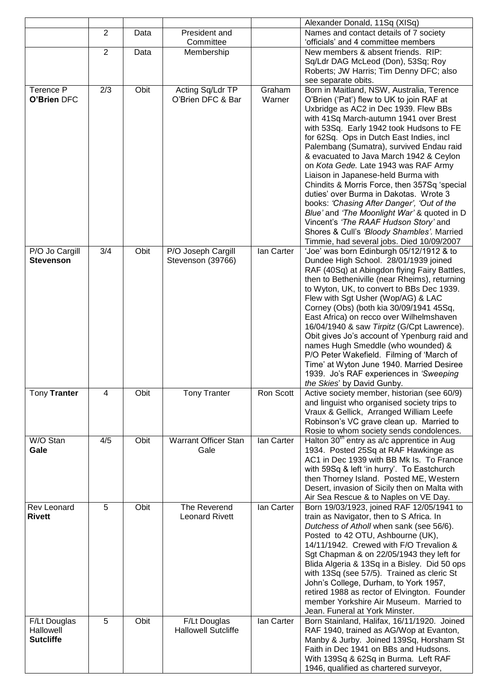|                                               |                                                      |      |                                            |                                                                               | Alexander Donald, 11Sq (XISq)                                                                                                                                                                                                                                                                                                                                                                                                                                                                                                                                                                                                                                                                                                                                      |
|-----------------------------------------------|------------------------------------------------------|------|--------------------------------------------|-------------------------------------------------------------------------------|--------------------------------------------------------------------------------------------------------------------------------------------------------------------------------------------------------------------------------------------------------------------------------------------------------------------------------------------------------------------------------------------------------------------------------------------------------------------------------------------------------------------------------------------------------------------------------------------------------------------------------------------------------------------------------------------------------------------------------------------------------------------|
|                                               | $\overline{2}$<br>President and<br>Data<br>Committee |      |                                            | Names and contact details of 7 society<br>'officials' and 4 committee members |                                                                                                                                                                                                                                                                                                                                                                                                                                                                                                                                                                                                                                                                                                                                                                    |
|                                               | 2                                                    | Data | Membership                                 |                                                                               | New members & absent friends. RIP:<br>Sq/Ldr DAG McLeod (Don), 53Sq; Roy<br>Roberts; JW Harris; Tim Denny DFC; also<br>see separate obits.                                                                                                                                                                                                                                                                                                                                                                                                                                                                                                                                                                                                                         |
| Terence P<br>O'Brien DFC                      | 2/3                                                  | Obit | Acting Sq/Ldr TP<br>O'Brien DFC & Bar      | Graham<br>Warner                                                              | Born in Maitland, NSW, Australia, Terence<br>O'Brien ('Pat') flew to UK to join RAF at<br>Uxbridge as AC2 in Dec 1939. Flew BBs<br>with 41Sq March-autumn 1941 over Brest<br>with 53Sq. Early 1942 took Hudsons to FE<br>for 62Sq. Ops in Dutch East Indies, incl<br>Palembang (Sumatra), survived Endau raid<br>& evacuated to Java March 1942 & Ceylon<br>on Kota Gede. Late 1943 was RAF Army<br>Liaison in Japanese-held Burma with<br>Chindits & Morris Force, then 357Sq 'special<br>duties' over Burma in Dakotas. Wrote 3<br>books: 'Chasing After Danger', 'Out of the<br>Blue' and 'The Moonlight War' & quoted in D<br>Vincent's 'The RAAF Hudson Story' and<br>Shores & Cull's 'Bloody Shambles'. Married<br>Timmie, had several jobs. Died 10/09/2007 |
| P/O Jo Cargill<br><b>Stevenson</b>            | 3/4                                                  | Obit | P/O Joseph Cargill<br>Stevenson (39766)    | lan Carter                                                                    | 'Joe' was born Edinburgh 05/12/1912 & to<br>Dundee High School. 28/01/1939 joined<br>RAF (40Sq) at Abingdon flying Fairy Battles,<br>then to Betheniville (near Rheims), returning<br>to Wyton, UK, to convert to BBs Dec 1939.<br>Flew with Sgt Usher (Wop/AG) & LAC<br>Corney (Obs) (both kia 30/09/1941 45Sq,<br>East Africa) on recco over Wilhelmshaven<br>16/04/1940 & saw Tirpitz (G/Cpt Lawrence).<br>Obit gives Jo's account of Ypenburg raid and<br>names Hugh Smeddle (who wounded) &<br>P/O Peter Wakefield. Filming of 'March of<br>Time' at Wyton June 1940. Married Desiree<br>1939. Jo's RAF experiences in 'Sweeping<br>the Skies' by David Gunby.                                                                                                |
| Tony Tranter                                  | 4                                                    | Obit | <b>Tony Tranter</b>                        | Ron Scott                                                                     | Active society member, historian (see 60/9)<br>and linguist who organised society trips to<br>Vraux & Gellick, Arranged William Leefe<br>Robinson's VC grave clean up. Married to<br>Rosie to whom society sends condolences.                                                                                                                                                                                                                                                                                                                                                                                                                                                                                                                                      |
| W/O Stan<br>Gale                              | 4/5                                                  | Obit | <b>Warrant Officer Stan</b><br>Gale        | lan Carter                                                                    | Halton 30 <sup>th</sup> entry as a/c apprentice in Aug<br>1934. Posted 25Sq at RAF Hawkinge as<br>AC1 in Dec 1939 with BB Mk Is. To France<br>with 59Sq & left 'in hurry'. To Eastchurch<br>then Thorney Island. Posted ME, Western<br>Desert, invasion of Sicily then on Malta with<br>Air Sea Rescue & to Naples on VE Day.                                                                                                                                                                                                                                                                                                                                                                                                                                      |
| <b>Rev Leonard</b><br><b>Rivett</b>           | 5                                                    | Obit | The Reverend<br><b>Leonard Rivett</b>      | lan Carter                                                                    | Born 19/03/1923, joined RAF 12/05/1941 to<br>train as Navigator, then to S Africa. In<br>Dutchess of Atholl when sank (see 56/6).<br>Posted to 42 OTU, Ashbourne (UK),<br>14/11/1942. Crewed with F/O Trevalion &<br>Sgt Chapman & on 22/05/1943 they left for<br>Blida Algeria & 13Sq in a Bisley. Did 50 ops<br>with 13Sq (see 57/5). Trained as cleric St<br>John's College, Durham, to York 1957,<br>retired 1988 as rector of Elvington. Founder<br>member Yorkshire Air Museum. Married to<br>Jean. Funeral at York Minster.                                                                                                                                                                                                                                 |
| F/Lt Douglas<br>Hallowell<br><b>Sutcliffe</b> | 5                                                    | Obit | F/Lt Douglas<br><b>Hallowell Sutcliffe</b> | lan Carter                                                                    | Born Stainland, Halifax, 16/11/1920. Joined<br>RAF 1940, trained as AG/Wop at Evanton,<br>Manby & Jurby. Joined 139Sq, Horsham St<br>Faith in Dec 1941 on BBs and Hudsons.<br>With 139Sq & 62Sq in Burma. Left RAF<br>1946, qualified as chartered surveyor,                                                                                                                                                                                                                                                                                                                                                                                                                                                                                                       |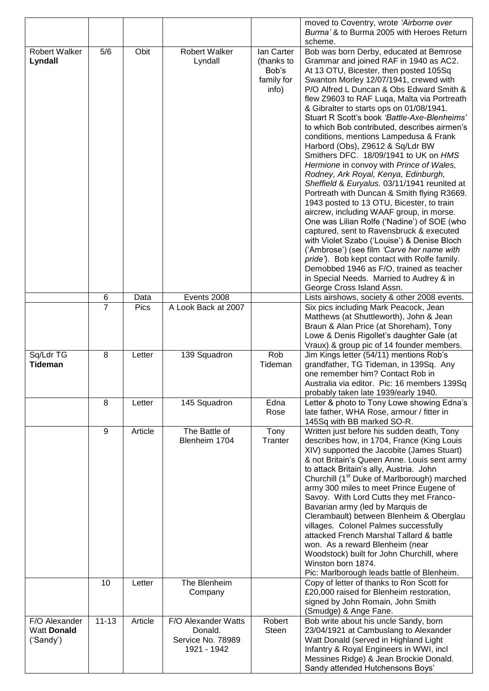|                      |                |             |                      | moved to Coventry, wrote 'Airborne over   |                                                                              |  |  |  |
|----------------------|----------------|-------------|----------------------|-------------------------------------------|------------------------------------------------------------------------------|--|--|--|
|                      |                |             |                      | Burma' & to Burma 2005 with Heroes Return |                                                                              |  |  |  |
|                      |                |             |                      |                                           | scheme.                                                                      |  |  |  |
| <b>Robert Walker</b> | 5/6            | Obit        | <b>Robert Walker</b> | lan Carter                                | Bob was born Derby, educated at Bemrose                                      |  |  |  |
| Lyndall              |                |             | Lyndall              | (thanks to                                | Grammar and joined RAF in 1940 as AC2.                                       |  |  |  |
|                      |                |             |                      | Bob's                                     | At 13 OTU, Bicester, then posted 105Sq                                       |  |  |  |
|                      |                |             |                      | family for                                | Swanton Morley 12/07/1941, crewed with                                       |  |  |  |
|                      |                |             |                      | info)                                     | P/O Alfred L Duncan & Obs Edward Smith &                                     |  |  |  |
|                      |                |             |                      |                                           | flew Z9603 to RAF Luqa, Malta via Portreath                                  |  |  |  |
|                      |                |             |                      |                                           | & Gibralter to starts ops on 01/08/1941.                                     |  |  |  |
|                      |                |             |                      |                                           | Stuart R Scott's book 'Battle-Axe-Blenheims'                                 |  |  |  |
|                      |                |             |                      |                                           | to which Bob contributed, describes airmen's                                 |  |  |  |
|                      |                |             |                      |                                           | conditions, mentions Lampedusa & Frank                                       |  |  |  |
|                      |                |             |                      |                                           | Harbord (Obs), Z9612 & Sq/Ldr BW<br>Smithers DFC. 18/09/1941 to UK on HMS    |  |  |  |
|                      |                |             |                      |                                           | Hermione in convoy with Prince of Wales,                                     |  |  |  |
|                      |                |             |                      |                                           | Rodney, Ark Royal, Kenya, Edinburgh,                                         |  |  |  |
|                      |                |             |                      |                                           | Sheffield & Euryalus. 03/11/1941 reunited at                                 |  |  |  |
|                      |                |             |                      |                                           | Portreath with Duncan & Smith flying R3669.                                  |  |  |  |
|                      |                |             |                      |                                           | 1943 posted to 13 OTU, Bicester, to train                                    |  |  |  |
|                      |                |             |                      |                                           | aircrew, including WAAF group, in morse.                                     |  |  |  |
|                      |                |             |                      |                                           | One was Lilian Rolfe ('Nadine') of SOE (who                                  |  |  |  |
|                      |                |             |                      |                                           | captured, sent to Ravensbruck & executed                                     |  |  |  |
|                      |                |             |                      |                                           | with Violet Szabo ('Louise') & Denise Bloch                                  |  |  |  |
|                      |                |             |                      |                                           | ('Ambrose') (see film 'Carve her name with                                   |  |  |  |
|                      |                |             |                      |                                           | pride'). Bob kept contact with Rolfe family.                                 |  |  |  |
|                      |                |             |                      |                                           | Demobbed 1946 as F/O, trained as teacher                                     |  |  |  |
|                      |                |             |                      |                                           | in Special Needs. Married to Audrey & in                                     |  |  |  |
|                      |                |             |                      |                                           | George Cross Island Assn.                                                    |  |  |  |
|                      | 6              | Data        | Events 2008          |                                           | Lists airshows, society & other 2008 events.                                 |  |  |  |
|                      | $\overline{7}$ | <b>Pics</b> | A Look Back at 2007  |                                           | Six pics including Mark Peacock, Jean                                        |  |  |  |
|                      |                |             |                      |                                           | Matthews (at Shuttleworth), John & Jean                                      |  |  |  |
|                      |                |             |                      |                                           | Braun & Alan Price (at Shoreham), Tony                                       |  |  |  |
|                      |                |             |                      |                                           | Lowe & Denis Rigollet's daughter Gale (at                                    |  |  |  |
|                      |                |             |                      |                                           | Vraux) & group pic of 14 founder members.                                    |  |  |  |
| Sq/Ldr TG            | 8              | Letter      | 139 Squadron         | Rob                                       | Jim Kings letter (54/11) mentions Rob's                                      |  |  |  |
| <b>Tideman</b>       |                |             |                      | Tideman                                   | grandfather, TG Tideman, in 139Sq. Any                                       |  |  |  |
|                      |                |             |                      |                                           |                                                                              |  |  |  |
|                      |                |             |                      |                                           | one remember him? Contact Rob in                                             |  |  |  |
|                      |                |             |                      |                                           | Australia via editor. Pic: 16 members 139Sq                                  |  |  |  |
|                      |                |             |                      |                                           | probably taken late 1939/early 1940.                                         |  |  |  |
|                      | 8              | Letter      | 145 Squadron         | Edna                                      | Letter & photo to Tony Lowe showing Edna's                                   |  |  |  |
|                      |                |             |                      | Rose                                      | late father, WHA Rose, armour / fitter in                                    |  |  |  |
|                      |                |             |                      |                                           | 145Sq with BB marked SO-R.                                                   |  |  |  |
|                      | 9              | Article     | The Battle of        | Tony                                      | Written just before his sudden death, Tony                                   |  |  |  |
|                      |                |             | Blenheim 1704        | Tranter                                   | describes how, in 1704, France (King Louis                                   |  |  |  |
|                      |                |             |                      |                                           | XIV) supported the Jacobite (James Stuart)                                   |  |  |  |
|                      |                |             |                      |                                           | & not Britain's Queen Anne. Louis sent army                                  |  |  |  |
|                      |                |             |                      |                                           | to attack Britain's ally, Austria. John                                      |  |  |  |
|                      |                |             |                      |                                           | Churchill (1 <sup>st</sup> Duke of Marlborough) marched                      |  |  |  |
|                      |                |             |                      |                                           | army 300 miles to meet Prince Eugene of                                      |  |  |  |
|                      |                |             |                      |                                           | Savoy. With Lord Cutts they met Franco-                                      |  |  |  |
|                      |                |             |                      |                                           | Bavarian army (led by Marquis de<br>Clerambault) between Blenheim & Oberglau |  |  |  |
|                      |                |             |                      |                                           | villages. Colonel Palmes successfully                                        |  |  |  |
|                      |                |             |                      |                                           | attacked French Marshal Tallard & battle                                     |  |  |  |
|                      |                |             |                      |                                           | won. As a reward Blenheim (near                                              |  |  |  |
|                      |                |             |                      |                                           | Woodstock) built for John Churchill, where                                   |  |  |  |
|                      |                |             |                      |                                           | Winston born 1874.                                                           |  |  |  |
|                      |                |             |                      |                                           | Pic: Marlborough leads battle of Blenheim.                                   |  |  |  |
|                      | 10             | Letter      | The Blenheim         |                                           | Copy of letter of thanks to Ron Scott for                                    |  |  |  |
|                      |                |             | Company              |                                           | £20,000 raised for Blenheim restoration,                                     |  |  |  |
|                      |                |             |                      |                                           | signed by John Romain, John Smith                                            |  |  |  |
|                      |                |             |                      |                                           | (Smudge) & Ange Fane.                                                        |  |  |  |
| F/O Alexander        | $11 - 13$      | Article     | F/O Alexander Watts  | Robert                                    | Bob write about his uncle Sandy, born                                        |  |  |  |
| <b>Watt Donald</b>   |                |             | Donald.              | <b>Steen</b>                              | 23/04/1921 at Cambuslang to Alexander                                        |  |  |  |
| ('Sandy')            |                |             | Service No. 78989    |                                           | Watt Donald (served in Highland Light                                        |  |  |  |
|                      |                |             | 1921 - 1942          |                                           | Infantry & Royal Engineers in WWI, incl                                      |  |  |  |
|                      |                |             |                      |                                           | Messines Ridge) & Jean Brockie Donald.<br>Sandy attended Hutchensons Boys'   |  |  |  |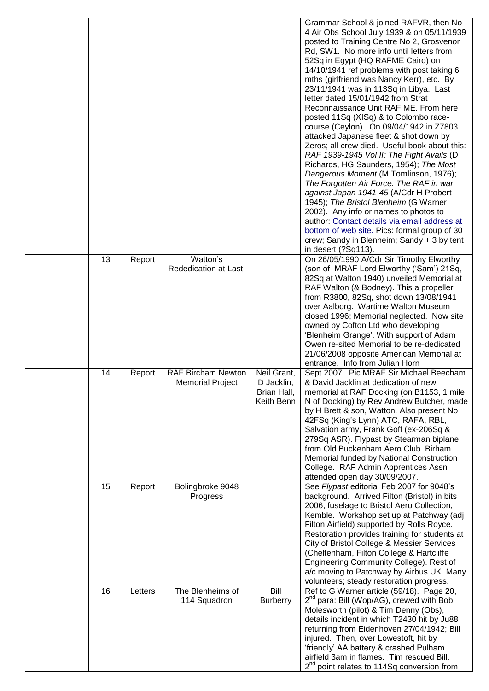|    |         |                                                      |                                                        | Grammar School & joined RAFVR, then No<br>4 Air Obs School July 1939 & on 05/11/1939<br>posted to Training Centre No 2, Grosvenor<br>Rd, SW1. No more info until letters from<br>52Sq in Egypt (HQ RAFME Cairo) on<br>14/10/1941 ref problems with post taking 6<br>mths (girlfriend was Nancy Kerr), etc. By<br>23/11/1941 was in 113Sq in Libya. Last<br>letter dated 15/01/1942 from Strat<br>Reconnaissance Unit RAF ME. From here<br>posted 11Sq (XISq) & to Colombo race-<br>course (Ceylon). On 09/04/1942 in Z7803<br>attacked Japanese fleet & shot down by<br>Zeros; all crew died. Useful book about this:<br>RAF 1939-1945 Vol II; The Fight Avails (D<br>Richards, HG Saunders, 1954); The Most<br>Dangerous Moment (M Tomlinson, 1976);<br>The Forgotten Air Force. The RAF in war<br>against Japan 1941-45 (A/Cdr H Probert<br>1945); The Bristol Blenheim (G Warner<br>2002). Any info or names to photos to<br>author: Contact details via email address at<br>bottom of web site. Pics: formal group of 30<br>crew; Sandy in Blenheim; Sandy + 3 by tent<br>in desert (?Sq113). |
|----|---------|------------------------------------------------------|--------------------------------------------------------|---------------------------------------------------------------------------------------------------------------------------------------------------------------------------------------------------------------------------------------------------------------------------------------------------------------------------------------------------------------------------------------------------------------------------------------------------------------------------------------------------------------------------------------------------------------------------------------------------------------------------------------------------------------------------------------------------------------------------------------------------------------------------------------------------------------------------------------------------------------------------------------------------------------------------------------------------------------------------------------------------------------------------------------------------------------------------------------------------|
| 13 | Report  | Watton's<br>Rededication at Last!                    |                                                        | On 26/05/1990 A/Cdr Sir Timothy Elworthy<br>(son of MRAF Lord Elworthy ('Sam') 21Sq,<br>82Sq at Walton 1940) unveiled Memorial at<br>RAF Walton (& Bodney). This a propeller<br>from R3800, 82Sq, shot down 13/08/1941<br>over Aalborg. Wartime Walton Museum<br>closed 1996; Memorial neglected. Now site<br>owned by Cofton Ltd who developing<br>'Blenheim Grange'. With support of Adam<br>Owen re-sited Memorial to be re-dedicated<br>21/06/2008 opposite American Memorial at<br>entrance. Info from Julian Horn                                                                                                                                                                                                                                                                                                                                                                                                                                                                                                                                                                           |
| 14 | Report  | <b>RAF Bircham Newton</b><br><b>Memorial Project</b> | Neil Grant,<br>D Jacklin,<br>Brian Hall,<br>Keith Benn | Sept 2007. Pic MRAF Sir Michael Beecham<br>& David Jacklin at dedication of new<br>memorial at RAF Docking (on B1153, 1 mile<br>N of Docking) by Rev Andrew Butcher, made<br>by H Brett & son, Watton. Also present No<br>42FSq (King's Lynn) ATC, RAFA, RBL,<br>Salvation army, Frank Goff (ex-206Sq &<br>279Sq ASR). Flypast by Stearman biplane<br>from Old Buckenham Aero Club. Birham<br>Memorial funded by National Construction<br>College. RAF Admin Apprentices Assn<br>attended open day 30/09/2007.                                                                                                                                                                                                                                                                                                                                                                                                                                                                                                                                                                                    |
| 15 | Report  | Bolingbroke 9048<br>Progress                         |                                                        | See Flypast editorial Feb 2007 for 9048's<br>background. Arrived Filton (Bristol) in bits<br>2006, fuselage to Bristol Aero Collection,<br>Kemble. Workshop set up at Patchway (adj<br>Filton Airfield) supported by Rolls Royce.<br>Restoration provides training for students at<br>City of Bristol College & Messier Services<br>(Cheltenham, Filton College & Hartcliffe<br>Engineering Community College). Rest of<br>a/c moving to Patchway by Airbus UK. Many<br>volunteers; steady restoration progress.                                                                                                                                                                                                                                                                                                                                                                                                                                                                                                                                                                                  |
| 16 | Letters | The Blenheims of<br>114 Squadron                     | Bill<br><b>Burberry</b>                                | Ref to G Warner article (59/18). Page 20,<br>2 <sup>nd</sup> para: Bill (Wop/AG), crewed with Bob<br>Molesworth (pilot) & Tim Denny (Obs),<br>details incident in which T2430 hit by Ju88<br>returning from Eidenhoven 27/04/1942; Bill<br>injured. Then, over Lowestoft, hit by<br>'friendly' AA battery & crashed Pulham<br>airfield 3am in flames. Tim rescued Bill.<br>2 <sup>nd</sup> point relates to 114Sq conversion from                                                                                                                                                                                                                                                                                                                                                                                                                                                                                                                                                                                                                                                                 |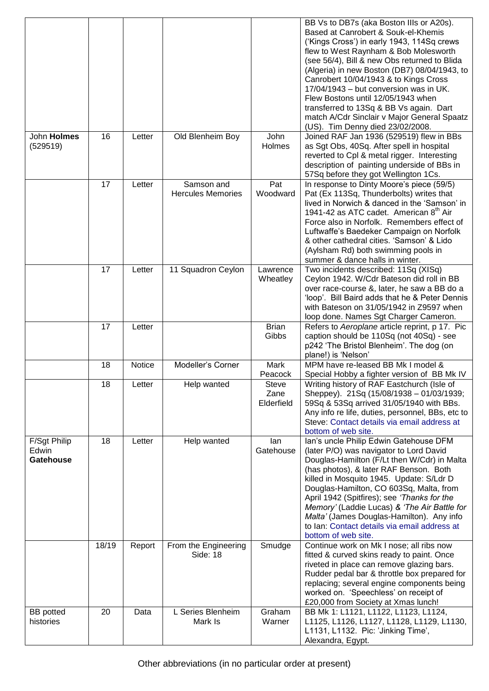|                                           |       |               |                                        |                                    | BB Vs to DB7s (aka Boston IIIs or A20s).<br>Based at Canrobert & Souk-el-Khemis<br>('Kings Cross') in early 1943, 114Sq crews<br>flew to West Raynham & Bob Molesworth<br>(see 56/4), Bill & new Obs returned to Blida<br>(Algeria) in new Boston (DB7) 08/04/1943, to<br>Canrobert 10/04/1943 & to Kings Cross<br>17/04/1943 – but conversion was in UK.<br>Flew Bostons until 12/05/1943 when<br>transferred to 13Sq & BB Vs again. Dart<br>match A/Cdr Sinclair v Major General Spaatz<br>(US). Tim Denny died 23/02/2008. |
|-------------------------------------------|-------|---------------|----------------------------------------|------------------------------------|-------------------------------------------------------------------------------------------------------------------------------------------------------------------------------------------------------------------------------------------------------------------------------------------------------------------------------------------------------------------------------------------------------------------------------------------------------------------------------------------------------------------------------|
| John Holmes<br>(529519)                   | 16    | Letter        | Old Blenheim Boy                       | John<br>Holmes                     | Joined RAF Jan 1936 (529519) flew in BBs<br>as Sgt Obs, 40Sq. After spell in hospital<br>reverted to Cpl & metal rigger. Interesting<br>description of painting underside of BBs in<br>57Sq before they got Wellington 1Cs.                                                                                                                                                                                                                                                                                                   |
|                                           | 17    | Letter        | Samson and<br><b>Hercules Memories</b> | Pat<br>Woodward                    | In response to Dinty Moore's piece (59/5)<br>Pat (Ex 113Sq, Thunderbolts) writes that<br>lived in Norwich & danced in the 'Samson' in<br>1941-42 as ATC cadet. American 8 <sup>th</sup> Air<br>Force also in Norfolk. Remembers effect of<br>Luftwaffe's Baedeker Campaign on Norfolk<br>& other cathedral cities. 'Samson' & Lido<br>(Aylsham Rd) both swimming pools in<br>summer & dance halls in winter.                                                                                                                  |
|                                           | 17    | Letter        | 11 Squadron Ceylon                     | Lawrence<br>Wheatley               | Two incidents described: 11Sq (XISq)<br>Ceylon 1942. W/Cdr Bateson did roll in BB<br>over race-course &, later, he saw a BB do a<br>'loop'. Bill Baird adds that he & Peter Dennis<br>with Bateson on 31/05/1942 in Z9597 when<br>loop done. Names Sgt Charger Cameron.                                                                                                                                                                                                                                                       |
|                                           | 17    | Letter        |                                        | <b>Brian</b><br>Gibbs              | Refers to Aeroplane article reprint, p 17. Pic<br>caption should be 110Sq (not 40Sq) - see<br>p242 'The Bristol Blenheim'. The dog (on<br>plane!) is 'Nelson'                                                                                                                                                                                                                                                                                                                                                                 |
|                                           | 18    | <b>Notice</b> | Modeller's Corner                      | Mark<br>Peacock                    | MPM have re-leased BB Mk I model &<br>Special Hobby a fighter version of BB Mk IV                                                                                                                                                                                                                                                                                                                                                                                                                                             |
|                                           | 18    | Letter        | Help wanted                            | <b>Steve</b><br>Zane<br>Elderfield | Writing history of RAF Eastchurch (Isle of<br>Sheppey). 21Sq (15/08/1938 - 01/03/1939;<br>59Sq & 53Sq arrived 31/05/1940 with BBs.<br>Any info re life, duties, personnel, BBs, etc to<br>Steve: Contact details via email address at<br>bottom of web site.                                                                                                                                                                                                                                                                  |
| F/Sgt Philip<br>Edwin<br><b>Gatehouse</b> | 18    | Letter        | Help wanted                            | lan<br>Gatehouse                   | Ian's uncle Philip Edwin Gatehouse DFM<br>(later P/O) was navigator to Lord David<br>Douglas-Hamilton (F/Lt then W/Cdr) in Malta<br>(has photos), & later RAF Benson. Both<br>killed in Mosquito 1945. Update: S/Ldr D<br>Douglas-Hamilton, CO 603Sq, Malta, from<br>April 1942 (Spitfires); see 'Thanks for the<br>Memory' (Laddie Lucas) & 'The Air Battle for<br>Malta' (James Douglas-Hamilton). Any info<br>to Ian: Contact details via email address at<br>bottom of web site.                                          |
|                                           | 18/19 | Report        | From the Engineering<br>Side: 18       | Smudge                             | Continue work on Mk I nose; all ribs now<br>fitted & curved skins ready to paint. Once<br>riveted in place can remove glazing bars.<br>Rudder pedal bar & throttle box prepared for<br>replacing; several engine components being<br>worked on. 'Speechless' on receipt of<br>£20,000 from Society at Xmas lunch!                                                                                                                                                                                                             |
| <b>BB</b> potted<br>histories             | 20    | Data          | L Series Blenheim<br>Mark Is           | Graham<br>Warner                   | BB Mk 1: L1121, L1122, L1123, L1124,<br>L1125, L1126, L1127, L1128, L1129, L1130,<br>L1131, L1132. Pic: 'Jinking Time',<br>Alexandra, Egypt.                                                                                                                                                                                                                                                                                                                                                                                  |